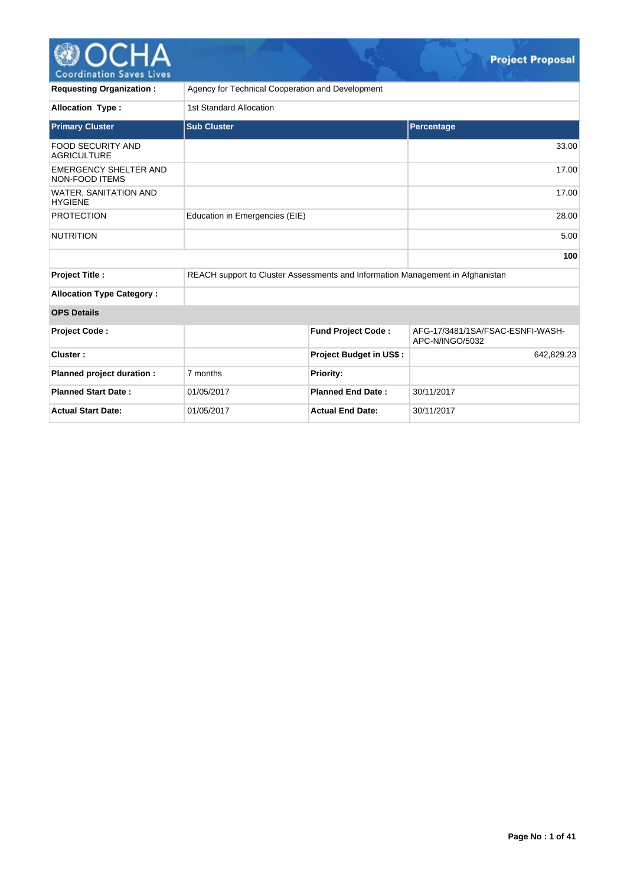

| <b>Requesting Organization:</b>                | Agency for Technical Cooperation and Development                               |                                |                                                     |  |  |  |  |  |  |
|------------------------------------------------|--------------------------------------------------------------------------------|--------------------------------|-----------------------------------------------------|--|--|--|--|--|--|
| <b>Allocation Type:</b>                        | 1st Standard Allocation                                                        |                                |                                                     |  |  |  |  |  |  |
| <b>Primary Cluster</b>                         | <b>Sub Cluster</b>                                                             |                                | Percentage                                          |  |  |  |  |  |  |
| <b>FOOD SECURITY AND</b><br><b>AGRICULTURE</b> |                                                                                |                                | 33.00                                               |  |  |  |  |  |  |
| <b>EMERGENCY SHELTER AND</b><br>NON-FOOD ITEMS |                                                                                |                                | 17.00                                               |  |  |  |  |  |  |
| <b>WATER, SANITATION AND</b><br><b>HYGIENE</b> |                                                                                |                                | 17.00                                               |  |  |  |  |  |  |
| <b>PROTECTION</b>                              | Education in Emergencies (EIE)                                                 |                                | 28.00                                               |  |  |  |  |  |  |
| <b>NUTRITION</b>                               |                                                                                |                                | 5.00                                                |  |  |  |  |  |  |
|                                                |                                                                                |                                | 100                                                 |  |  |  |  |  |  |
| Project Title :                                | REACH support to Cluster Assessments and Information Management in Afghanistan |                                |                                                     |  |  |  |  |  |  |
| <b>Allocation Type Category:</b>               |                                                                                |                                |                                                     |  |  |  |  |  |  |
| <b>OPS Details</b>                             |                                                                                |                                |                                                     |  |  |  |  |  |  |
| <b>Project Code:</b>                           |                                                                                | <b>Fund Project Code:</b>      | AFG-17/3481/1SA/FSAC-ESNFI-WASH-<br>APC-N/INGO/5032 |  |  |  |  |  |  |
| Cluster:                                       |                                                                                | <b>Project Budget in US\$:</b> | 642,829.23                                          |  |  |  |  |  |  |
| Planned project duration :                     | 7 months                                                                       | <b>Priority:</b>               |                                                     |  |  |  |  |  |  |
| <b>Planned Start Date:</b>                     | 01/05/2017                                                                     | <b>Planned End Date:</b>       | 30/11/2017                                          |  |  |  |  |  |  |
| <b>Actual Start Date:</b>                      | 01/05/2017                                                                     | <b>Actual End Date:</b>        | 30/11/2017                                          |  |  |  |  |  |  |

 $\mathbb{C}$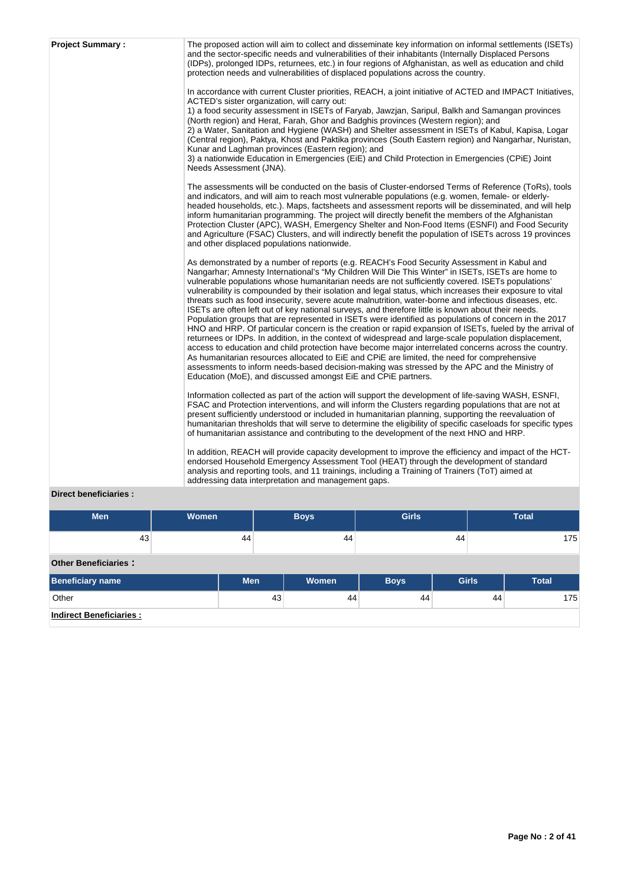| <b>Project Summary:</b> | The proposed action will aim to collect and disseminate key information on informal settlements (ISETs)<br>and the sector-specific needs and vulnerabilities of their inhabitants (Internally Displaced Persons<br>(IDPs), prolonged IDPs, returnees, etc.) in four regions of Afghanistan, as well as education and child<br>protection needs and vulnerabilities of displaced populations across the country.<br>In accordance with current Cluster priorities, REACH, a joint initiative of ACTED and IMPACT Initiatives,<br>ACTED's sister organization, will carry out:<br>1) a food security assessment in ISETs of Faryab, Jawzjan, Saripul, Balkh and Samangan provinces<br>(North region) and Herat, Farah, Ghor and Badghis provinces (Western region); and<br>2) a Water, Sanitation and Hygiene (WASH) and Shelter assessment in ISETs of Kabul, Kapisa, Logar<br>(Central region), Paktya, Khost and Paktika provinces (South Eastern region) and Nangarhar, Nuristan,<br>Kunar and Laghman provinces (Eastern region); and<br>3) a nationwide Education in Emergencies (EiE) and Child Protection in Emergencies (CPiE) Joint<br>Needs Assessment (JNA).                                                                                                                                                                |
|-------------------------|---------------------------------------------------------------------------------------------------------------------------------------------------------------------------------------------------------------------------------------------------------------------------------------------------------------------------------------------------------------------------------------------------------------------------------------------------------------------------------------------------------------------------------------------------------------------------------------------------------------------------------------------------------------------------------------------------------------------------------------------------------------------------------------------------------------------------------------------------------------------------------------------------------------------------------------------------------------------------------------------------------------------------------------------------------------------------------------------------------------------------------------------------------------------------------------------------------------------------------------------------------------------------------------------------------------------------------------|
|                         | The assessments will be conducted on the basis of Cluster-endorsed Terms of Reference (ToRs), tools<br>and indicators, and will aim to reach most vulnerable populations (e.g. women, female- or elderly-<br>headed households, etc.). Maps, factsheets and assessment reports will be disseminated, and will help<br>inform humanitarian programming. The project will directly benefit the members of the Afghanistan<br>Protection Cluster (APC), WASH, Emergency Shelter and Non-Food Items (ESNFI) and Food Security<br>and Agriculture (FSAC) Clusters, and will indirectly benefit the population of ISETs across 19 provinces<br>and other displaced populations nationwide.                                                                                                                                                                                                                                                                                                                                                                                                                                                                                                                                                                                                                                                  |
|                         | As demonstrated by a number of reports (e.g. REACH's Food Security Assessment in Kabul and<br>Nangarhar; Amnesty International's "My Children Will Die This Winter" in ISETs, ISETs are home to<br>vulnerable populations whose humanitarian needs are not sufficiently covered. ISETs populations'<br>vulnerability is compounded by their isolation and legal status, which increases their exposure to vital<br>threats such as food insecurity, severe acute malnutrition, water-borne and infectious diseases, etc.<br>ISETs are often left out of key national surveys, and therefore little is known about their needs.<br>Population groups that are represented in ISETs were identified as populations of concern in the 2017<br>HNO and HRP. Of particular concern is the creation or rapid expansion of ISETs, fueled by the arrival of<br>returnees or IDPs. In addition, in the context of widespread and large-scale population displacement,<br>access to education and child protection have become major interrelated concerns across the country.<br>As humanitarian resources allocated to EiE and CPIE are limited, the need for comprehensive<br>assessments to inform needs-based decision-making was stressed by the APC and the Ministry of<br>Education (MoE), and discussed amongst EiE and CPiE partners. |
|                         | Information collected as part of the action will support the development of life-saving WASH, ESNFI,<br>FSAC and Protection interventions, and will inform the Clusters regarding populations that are not at<br>present sufficiently understood or included in humanitarian planning, supporting the reevaluation of<br>humanitarian thresholds that will serve to determine the eligibility of specific caseloads for specific types<br>of humanitarian assistance and contributing to the development of the next HNO and HRP.                                                                                                                                                                                                                                                                                                                                                                                                                                                                                                                                                                                                                                                                                                                                                                                                     |
| Diroct honoficiarios    | In addition, REACH will provide capacity development to improve the efficiency and impact of the HCT-<br>endorsed Household Emergency Assessment Tool (HEAT) through the development of standard<br>analysis and reporting tools, and 11 trainings, including a Training of Trainers (ToT) aimed at<br>addressing data interpretation and management gaps.                                                                                                                                                                                                                                                                                                                                                                                                                                                                                                                                                                                                                                                                                                                                                                                                                                                                                                                                                                            |

## **Direct beneficiaries :**

| <b>Men</b>                                | Women | <b>Boys</b> | <b>Girls</b> | <b>Total</b> |
|-------------------------------------------|-------|-------------|--------------|--------------|
| 43                                        | 44    | 44          | 44           | 175          |
| $\sim$ $\sim$ $\sim$ $\sim$ $\sim$ $\sim$ |       |             |              |              |

## **Other Beneficiaries :**

| <b>Beneficiary name</b>        | <b>Men</b> | Women <sup>'</sup> | <b>Boys</b> | <b>Girls</b> | <b>Total</b> |
|--------------------------------|------------|--------------------|-------------|--------------|--------------|
| Other                          | 43         | 44                 | 44          | 44           | 175          |
| <b>Indirect Beneficiaries:</b> |            |                    |             |              |              |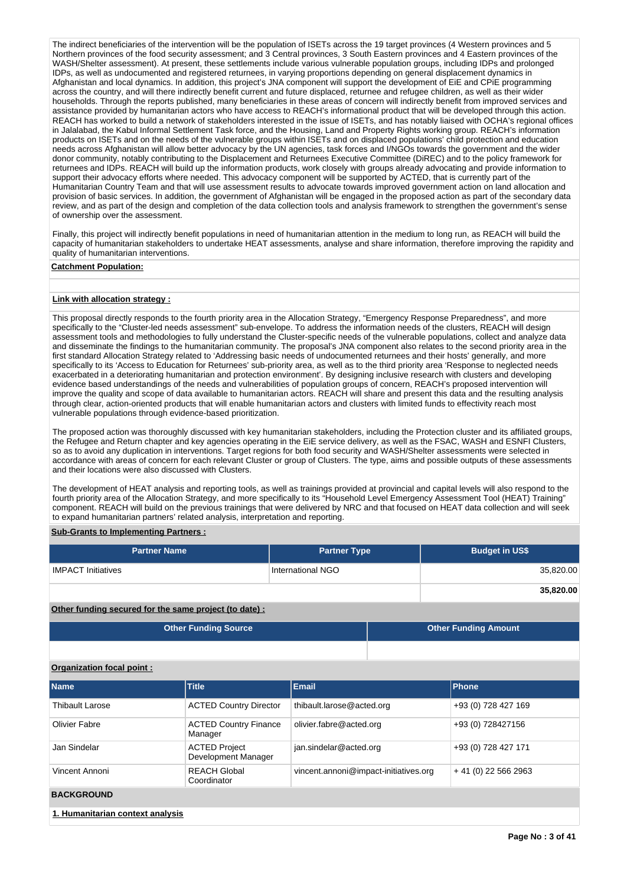The indirect beneficiaries of the intervention will be the population of ISETs across the 19 target provinces (4 Western provinces and 5 Northern provinces of the food security assessment; and 3 Central provinces, 3 South Eastern provinces and 4 Eastern provinces of the WASH/Shelter assessment). At present, these settlements include various vulnerable population groups, including IDPs and prolonged IDPs, as well as undocumented and registered returnees, in varying proportions depending on general displacement dynamics in Afghanistan and local dynamics. In addition, this project's JNA component will support the development of EiE and CPiE programming across the country, and will there indirectly benefit current and future displaced, returnee and refugee children, as well as their wider households. Through the reports published, many beneficiaries in these areas of concern will indirectly benefit from improved services and assistance provided by humanitarian actors who have access to REACH's informational product that will be developed through this action. REACH has worked to build a network of stakeholders interested in the issue of ISETs, and has notably liaised with OCHA's regional offices in Jalalabad, the Kabul Informal Settlement Task force, and the Housing, Land and Property Rights working group. REACH's information products on ISETs and on the needs of the vulnerable groups within ISETs and on displaced populations' child protection and education needs across Afghanistan will allow better advocacy by the UN agencies, task forces and I/NGOs towards the government and the wider donor community, notably contributing to the Displacement and Returnees Executive Committee (DiREC) and to the policy framework for returnees and IDPs. REACH will build up the information products, work closely with groups already advocating and provide information to support their advocacy efforts where needed. This advocacy component will be supported by ACTED, that is currently part of the Humanitarian Country Team and that will use assessment results to advocate towards improved government action on land allocation and provision of basic services. In addition, the government of Afghanistan will be engaged in the proposed action as part of the secondary data review, and as part of the design and completion of the data collection tools and analysis framework to strengthen the government's sense of ownership over the assessment.

Finally, this project will indirectly benefit populations in need of humanitarian attention in the medium to long run, as REACH will build the capacity of humanitarian stakeholders to undertake HEAT assessments, analyse and share information, therefore improving the rapidity and quality of humanitarian interventions.

## **Catchment Population:**

## **Link with allocation strategy :**

This proposal directly responds to the fourth priority area in the Allocation Strategy, "Emergency Response Preparedness", and more specifically to the "Cluster-led needs assessment" sub-envelope. To address the information needs of the clusters, REACH will design assessment tools and methodologies to fully understand the Cluster-specific needs of the vulnerable populations, collect and analyze data and disseminate the findings to the humanitarian community. The proposal's JNA component also relates to the second priority area in the first standard Allocation Strategy related to 'Addressing basic needs of undocumented returnees and their hosts' generally, and more specifically to its 'Access to Education for Returnees' sub-priority area, as well as to the third priority area 'Response to neglected needs exacerbated in a deteriorating humanitarian and protection environment'. By designing inclusive research with clusters and developing evidence based understandings of the needs and vulnerabilities of population groups of concern, REACH's proposed intervention will improve the quality and scope of data available to humanitarian actors. REACH will share and present this data and the resulting analysis through clear, action-oriented products that will enable humanitarian actors and clusters with limited funds to effectivity reach most vulnerable populations through evidence-based prioritization.

The proposed action was thoroughly discussed with key humanitarian stakeholders, including the Protection cluster and its affiliated groups, the Refugee and Return chapter and key agencies operating in the EiE service delivery, as well as the FSAC, WASH and ESNFI Clusters, so as to avoid any duplication in interventions. Target regions for both food security and WASH/Shelter assessments were selected in accordance with areas of concern for each relevant Cluster or group of Clusters. The type, aims and possible outputs of these assessments and their locations were also discussed with Clusters.

The development of HEAT analysis and reporting tools, as well as trainings provided at provincial and capital levels will also respond to the fourth priority area of the Allocation Strategy, and more specifically to its "Household Level Emergency Assessment Tool (HEAT) Training" component. REACH will build on the previous trainings that were delivered by NRC and that focused on HEAT data collection and will seek to expand humanitarian partners' related analysis, interpretation and reporting.

## **Sub-Grants to Implementing Partners :**

| <b>Partner Name</b>       | <b>Partner Type</b> | <b>Budget in US\$</b> |
|---------------------------|---------------------|-----------------------|
| <b>IMPACT Initiatives</b> | International NGO   | 35,820.00             |
|                           |                     | 35,820.00             |

**Other funding secured for the same project (to date) :**

| <b>Other Funding Source</b> | <b>Other Funding Amount</b> |
|-----------------------------|-----------------------------|
|                             |                             |

## **Organization focal point :**

| <b>Name</b>                      | <b>Title</b>                                | <b>Email</b>                          | Phone                |  |  |  |  |
|----------------------------------|---------------------------------------------|---------------------------------------|----------------------|--|--|--|--|
| <b>Thibault Larose</b>           | <b>ACTED Country Director</b>               | thibault.larose@acted.org             | +93 (0) 728 427 169  |  |  |  |  |
| Olivier Fabre                    | <b>ACTED Country Finance</b><br>Manager     | olivier.fabre@acted.org               | +93 (0) 728427156    |  |  |  |  |
| Jan Sindelar                     | <b>ACTED Project</b><br>Development Manager | jan.sindelar@acted.org                | +93 (0) 728 427 171  |  |  |  |  |
| Vincent Annoni                   | <b>REACH Global</b><br>Coordinator          | vincent.annoni@impact-initiatives.org | $+41(0)$ 22 566 2963 |  |  |  |  |
| <b>BACKGROUND</b>                |                                             |                                       |                      |  |  |  |  |
| 1. Humanitarian context analysis |                                             |                                       |                      |  |  |  |  |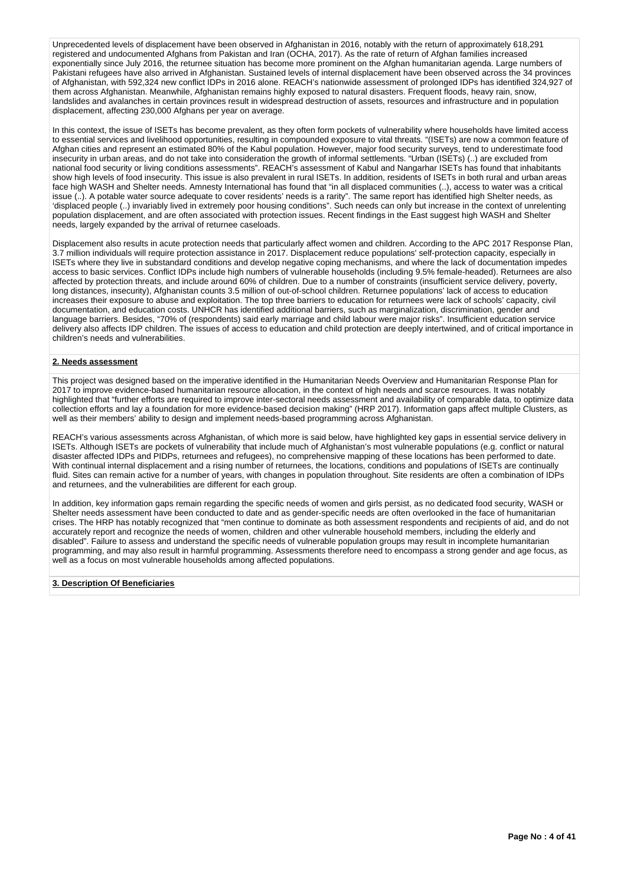Unprecedented levels of displacement have been observed in Afghanistan in 2016, notably with the return of approximately 618,291 registered and undocumented Afghans from Pakistan and Iran (OCHA, 2017). As the rate of return of Afghan families increased exponentially since July 2016, the returnee situation has become more prominent on the Afghan humanitarian agenda. Large numbers of Pakistani refugees have also arrived in Afghanistan. Sustained levels of internal displacement have been observed across the 34 provinces of Afghanistan, with 592,324 new conflict IDPs in 2016 alone. REACH's nationwide assessment of prolonged IDPs has identified 324,927 of them across Afghanistan. Meanwhile, Afghanistan remains highly exposed to natural disasters. Frequent floods, heavy rain, snow, landslides and avalanches in certain provinces result in widespread destruction of assets, resources and infrastructure and in population displacement, affecting 230,000 Afghans per year on average.

In this context, the issue of ISETs has become prevalent, as they often form pockets of vulnerability where households have limited access to essential services and livelihood opportunities, resulting in compounded exposure to vital threats. "(ISETs) are now a common feature of Afghan cities and represent an estimated 80% of the Kabul population. However, major food security surveys, tend to underestimate food insecurity in urban areas, and do not take into consideration the growth of informal settlements. "Urban (ISETs) (..) are excluded from national food security or living conditions assessments". REACH's assessment of Kabul and Nangarhar ISETs has found that inhabitants show high levels of food insecurity. This issue is also prevalent in rural ISETs. In addition, residents of ISETs in both rural and urban areas face high WASH and Shelter needs. Amnesty International has found that "in all displaced communities (..), access to water was a critical issue (..). A potable water source adequate to cover residents' needs is a rarity". The same report has identified high Shelter needs, as 'displaced people (..) invariably lived in extremely poor housing conditions". Such needs can only but increase in the context of unrelenting population displacement, and are often associated with protection issues. Recent findings in the East suggest high WASH and Shelter needs, largely expanded by the arrival of returnee caseloads.

Displacement also results in acute protection needs that particularly affect women and children. According to the APC 2017 Response Plan, 3.7 million individuals will require protection assistance in 2017. Displacement reduce populations' self-protection capacity, especially in ISETs where they live in substandard conditions and develop negative coping mechanisms, and where the lack of documentation impedes access to basic services. Conflict IDPs include high numbers of vulnerable households (including 9.5% female-headed). Returnees are also affected by protection threats, and include around 60% of children. Due to a number of constraints (insufficient service delivery, poverty, long distances, insecurity), Afghanistan counts 3.5 million of out-of-school children. Returnee populations' lack of access to education increases their exposure to abuse and exploitation. The top three barriers to education for returnees were lack of schools' capacity, civil documentation, and education costs. UNHCR has identified additional barriers, such as marginalization, discrimination, gender and language barriers. Besides, "70% of (respondents) said early marriage and child labour were major risks". Insufficient education service delivery also affects IDP children. The issues of access to education and child protection are deeply intertwined, and of critical importance in children's needs and vulnerabilities.

## **2. Needs assessment**

This project was designed based on the imperative identified in the Humanitarian Needs Overview and Humanitarian Response Plan for 2017 to improve evidence-based humanitarian resource allocation, in the context of high needs and scarce resources. It was notably highlighted that "further efforts are required to improve inter-sectoral needs assessment and availability of comparable data, to optimize data collection efforts and lay a foundation for more evidence-based decision making" (HRP 2017). Information gaps affect multiple Clusters, as well as their members' ability to design and implement needs-based programming across Afghanistan.

REACH's various assessments across Afghanistan, of which more is said below, have highlighted key gaps in essential service delivery in ISETs. Although ISETs are pockets of vulnerability that include much of Afghanistan's most vulnerable populations (e.g. conflict or natural disaster affected IDPs and PIDPs, returnees and refugees), no comprehensive mapping of these locations has been performed to date. With continual internal displacement and a rising number of returnees, the locations, conditions and populations of ISETs are continually fluid. Sites can remain active for a number of years, with changes in population throughout. Site residents are often a combination of IDPs and returnees, and the vulnerabilities are different for each group.

In addition, key information gaps remain regarding the specific needs of women and girls persist, as no dedicated food security, WASH or Shelter needs assessment have been conducted to date and as gender-specific needs are often overlooked in the face of humanitarian crises. The HRP has notably recognized that "men continue to dominate as both assessment respondents and recipients of aid, and do not accurately report and recognize the needs of women, children and other vulnerable household members, including the elderly and disabled". Failure to assess and understand the specific needs of vulnerable population groups may result in incomplete humanitarian programming, and may also result in harmful programming. Assessments therefore need to encompass a strong gender and age focus, as well as a focus on most vulnerable households among affected populations.

#### **3. Description Of Beneficiaries**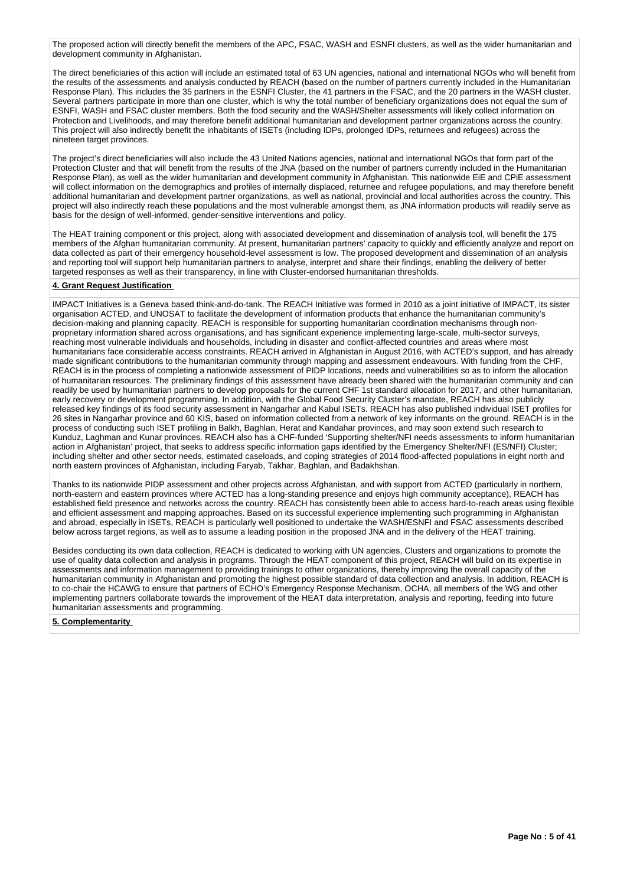The proposed action will directly benefit the members of the APC, FSAC, WASH and ESNFI clusters, as well as the wider humanitarian and development community in Afghanistan.

The direct beneficiaries of this action will include an estimated total of 63 UN agencies, national and international NGOs who will benefit from the results of the assessments and analysis conducted by REACH (based on the number of partners currently included in the Humanitarian Response Plan). This includes the 35 partners in the ESNFI Cluster, the 41 partners in the FSAC, and the 20 partners in the WASH cluster. Several partners participate in more than one cluster, which is why the total number of beneficiary organizations does not equal the sum of ESNFI, WASH and FSAC cluster members. Both the food security and the WASH/Shelter assessments will likely collect information on Protection and Livelihoods, and may therefore benefit additional humanitarian and development partner organizations across the country. This project will also indirectly benefit the inhabitants of ISETs (including IDPs, prolonged IDPs, returnees and refugees) across the nineteen target provinces.

The project's direct beneficiaries will also include the 43 United Nations agencies, national and international NGOs that form part of the Protection Cluster and that will benefit from the results of the JNA (based on the number of partners currently included in the Humanitarian Response Plan), as well as the wider humanitarian and development community in Afghanistan. This nationwide EiE and CPiE assessment will collect information on the demographics and profiles of internally displaced, returnee and refugee populations, and may therefore benefit additional humanitarian and development partner organizations, as well as national, provincial and local authorities across the country. This project will also indirectly reach these populations and the most vulnerable amongst them, as JNA information products will readily serve as basis for the design of well-informed, gender-sensitive interventions and policy.

The HEAT training component or this project, along with associated development and dissemination of analysis tool, will benefit the 175 members of the Afghan humanitarian community. At present, humanitarian partners' capacity to quickly and efficiently analyze and report on data collected as part of their emergency household-level assessment is low. The proposed development and dissemination of an analysis and reporting tool will support help humanitarian partners to analyse, interpret and share their findings, enabling the delivery of better targeted responses as well as their transparency, in line with Cluster-endorsed humanitarian thresholds.

## **4. Grant Request Justification**

IMPACT Initiatives is a Geneva based think-and-do-tank. The REACH Initiative was formed in 2010 as a joint initiative of IMPACT, its sister organisation ACTED, and UNOSAT to facilitate the development of information products that enhance the humanitarian community's decision-making and planning capacity. REACH is responsible for supporting humanitarian coordination mechanisms through nonproprietary information shared across organisations, and has significant experience implementing large-scale, multi-sector surveys, reaching most vulnerable individuals and households, including in disaster and conflict-affected countries and areas where most humanitarians face considerable access constraints. REACH arrived in Afghanistan in August 2016, with ACTED's support, and has already made significant contributions to the humanitarian community through mapping and assessment endeavours. With funding from the CHF, REACH is in the process of completing a nationwide assessment of PIDP locations, needs and vulnerabilities so as to inform the allocation of humanitarian resources. The preliminary findings of this assessment have already been shared with the humanitarian community and can readily be used by humanitarian partners to develop proposals for the current CHF 1st standard allocation for 2017, and other humanitarian, early recovery or development programming. In addition, with the Global Food Security Cluster's mandate, REACH has also publicly released key findings of its food security assessment in Nangarhar and Kabul ISETs. REACH has also published individual ISET profiles for 26 sites in Nangarhar province and 60 KIS, based on information collected from a network of key informants on the ground. REACH is in the process of conducting such ISET profiling in Balkh, Baghlan, Herat and Kandahar provinces, and may soon extend such research to Kunduz, Laghman and Kunar provinces. REACH also has a CHF-funded 'Supporting shelter/NFI needs assessments to inform humanitarian action in Afghanistan' project, that seeks to address specific information gaps identified by the Emergency Shelter/NFI (ES/NFI) Cluster; including shelter and other sector needs, estimated caseloads, and coping strategies of 2014 flood-affected populations in eight north and north eastern provinces of Afghanistan, including Faryab, Takhar, Baghlan, and Badakhshan.

Thanks to its nationwide PIDP assessment and other projects across Afghanistan, and with support from ACTED (particularly in northern, north-eastern and eastern provinces where ACTED has a long-standing presence and enjoys high community acceptance), REACH has established field presence and networks across the country. REACH has consistently been able to access hard-to-reach areas using flexible and efficient assessment and mapping approaches. Based on its successful experience implementing such programming in Afghanistan and abroad, especially in ISETs, REACH is particularly well positioned to undertake the WASH/ESNFI and FSAC assessments described below across target regions, as well as to assume a leading position in the proposed JNA and in the delivery of the HEAT training.

Besides conducting its own data collection, REACH is dedicated to working with UN agencies, Clusters and organizations to promote the use of quality data collection and analysis in programs. Through the HEAT component of this project, REACH will build on its expertise in assessments and information management to providing trainings to other organizations, thereby improving the overall capacity of the humanitarian community in Afghanistan and promoting the highest possible standard of data collection and analysis. In addition, REACH is to co-chair the HCAWG to ensure that partners of ECHO's Emergency Response Mechanism, OCHA, all members of the WG and other implementing partners collaborate towards the improvement of the HEAT data interpretation, analysis and reporting, feeding into future humanitarian assessments and programming.

**5. Complementarity**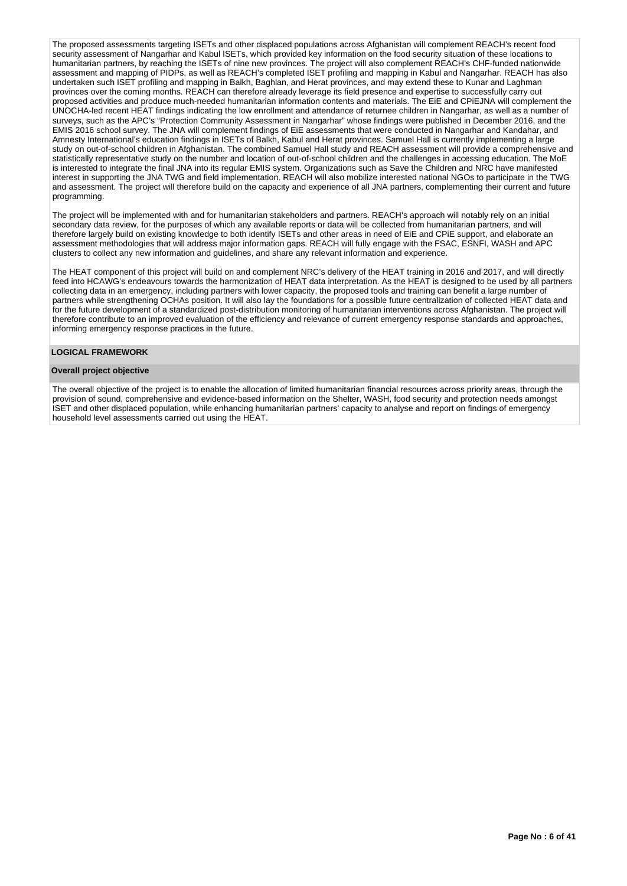The proposed assessments targeting ISETs and other displaced populations across Afghanistan will complement REACH's recent food security assessment of Nangarhar and Kabul ISETs, which provided key information on the food security situation of these locations to humanitarian partners, by reaching the ISETs of nine new provinces. The project will also complement REACH's CHF-funded nationwide assessment and mapping of PIDPs, as well as REACH's completed ISET profiling and mapping in Kabul and Nangarhar. REACH has also undertaken such ISET profiling and mapping in Balkh, Baghlan, and Herat provinces, and may extend these to Kunar and Laghman provinces over the coming months. REACH can therefore already leverage its field presence and expertise to successfully carry out proposed activities and produce much-needed humanitarian information contents and materials. The EiE and CPiEJNA will complement the UNOCHA-led recent HEAT findings indicating the low enrollment and attendance of returnee children in Nangarhar, as well as a number of surveys, such as the APC's "Protection Community Assessment in Nangarhar" whose findings were published in December 2016, and the EMIS 2016 school survey. The JNA will complement findings of EiE assessments that were conducted in Nangarhar and Kandahar, and Amnesty International's education findings in ISETs of Balkh, Kabul and Herat provinces. Samuel Hall is currently implementing a large study on out-of-school children in Afghanistan. The combined Samuel Hall study and REACH assessment will provide a comprehensive and statistically representative study on the number and location of out-of-school children and the challenges in accessing education. The MoE is interested to integrate the final JNA into its regular EMIS system. Organizations such as Save the Children and NRC have manifested interest in supporting the JNA TWG and field implementation. REACH will also mobilize interested national NGOs to participate in the TWG and assessment. The project will therefore build on the capacity and experience of all JNA partners, complementing their current and future programming.

The project will be implemented with and for humanitarian stakeholders and partners. REACH's approach will notably rely on an initial secondary data review, for the purposes of which any available reports or data will be collected from humanitarian partners, and will therefore largely build on existing knowledge to both identify ISETs and other areas in need of EiE and CPiE support, and elaborate an assessment methodologies that will address major information gaps. REACH will fully engage with the FSAC, ESNFI, WASH and APC clusters to collect any new information and guidelines, and share any relevant information and experience.

The HEAT component of this project will build on and complement NRC's delivery of the HEAT training in 2016 and 2017, and will directly feed into HCAWG's endeavours towards the harmonization of HEAT data interpretation. As the HEAT is designed to be used by all partners collecting data in an emergency, including partners with lower capacity, the proposed tools and training can benefit a large number of partners while strengthening OCHAs position. It will also lay the foundations for a possible future centralization of collected HEAT data and for the future development of a standardized post-distribution monitoring of humanitarian interventions across Afghanistan. The project will therefore contribute to an improved evaluation of the efficiency and relevance of current emergency response standards and approaches, informing emergency response practices in the future.

## **LOGICAL FRAMEWORK**

#### **Overall project objective**

The overall objective of the project is to enable the allocation of limited humanitarian financial resources across priority areas, through the provision of sound, comprehensive and evidence-based information on the Shelter, WASH, food security and protection needs amongst ISET and other displaced population, while enhancing humanitarian partners' capacity to analyse and report on findings of emergency household level assessments carried out using the HEAT.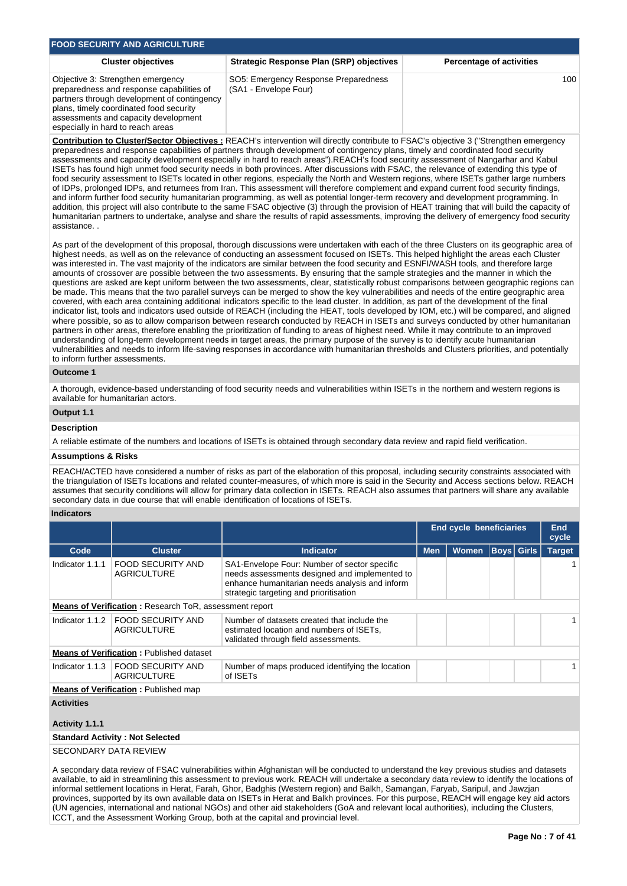| <b>FOOD SECURITY AND AGRICULTURE</b>                                                                                                                                                                                                                  |                                                               |                                 |  |  |  |  |  |  |  |
|-------------------------------------------------------------------------------------------------------------------------------------------------------------------------------------------------------------------------------------------------------|---------------------------------------------------------------|---------------------------------|--|--|--|--|--|--|--|
| <b>Cluster objectives</b>                                                                                                                                                                                                                             | Strategic Response Plan (SRP) objectives                      | <b>Percentage of activities</b> |  |  |  |  |  |  |  |
| Objective 3: Strengthen emergency<br>preparedness and response capabilities of<br>partners through development of contingency<br>plans, timely coordinated food security<br>assessments and capacity development<br>especially in hard to reach areas | SO5: Emergency Response Preparedness<br>(SA1 - Envelope Four) | 100                             |  |  |  |  |  |  |  |

**Contribution to Cluster/Sector Objectives :** REACH's intervention will directly contribute to FSAC's objective 3 ("Strengthen emergency preparedness and response capabilities of partners through development of contingency plans, timely and coordinated food security assessments and capacity development especially in hard to reach areas").REACH's food security assessment of Nangarhar and Kabul ISETs has found high unmet food security needs in both provinces. After discussions with FSAC, the relevance of extending this type of food security assessment to ISETs located in other regions, especially the North and Western regions, where ISETs gather large numbers of IDPs, prolonged IDPs, and returnees from Iran. This assessment will therefore complement and expand current food security findings, and inform further food security humanitarian programming, as well as potential longer-term recovery and development programming. In addition, this project will also contribute to the same FSAC objective (3) through the provision of HEAT training that will build the capacity of humanitarian partners to undertake, analyse and share the results of rapid assessments, improving the delivery of emergency food security assistance. .

As part of the development of this proposal, thorough discussions were undertaken with each of the three Clusters on its geographic area of highest needs, as well as on the relevance of conducting an assessment focused on ISETs. This helped highlight the areas each Cluster was interested in. The vast majority of the indicators are similar between the food security and ESNFI/WASH tools, and therefore large amounts of crossover are possible between the two assessments. By ensuring that the sample strategies and the manner in which the questions are asked are kept uniform between the two assessments, clear, statistically robust comparisons between geographic regions can be made. This means that the two parallel surveys can be merged to show the key vulnerabilities and needs of the entire geographic area covered, with each area containing additional indicators specific to the lead cluster. In addition, as part of the development of the final indicator list, tools and indicators used outside of REACH (including the HEAT, tools developed by IOM, etc.) will be compared, and aligned where possible, so as to allow comparison between research conducted by REACH in ISETs and surveys conducted by other humanitarian partners in other areas, therefore enabling the prioritization of funding to areas of highest need. While it may contribute to an improved understanding of long-term development needs in target areas, the primary purpose of the survey is to identify acute humanitarian vulnerabilities and needs to inform life-saving responses in accordance with humanitarian thresholds and Clusters priorities, and potentially to inform further assessments.

## **Outcome 1**

A thorough, evidence-based understanding of food security needs and vulnerabilities within ISETs in the northern and western regions is available for humanitarian actors.

## **Output 1.1**

## **Description**

A reliable estimate of the numbers and locations of ISETs is obtained through secondary data review and rapid field verification.

## **Assumptions & Risks**

REACH/ACTED have considered a number of risks as part of the elaboration of this proposal, including security constraints associated with the triangulation of ISETs locations and related counter-measures, of which more is said in the Security and Access sections below. REACH assumes that security conditions will allow for primary data collection in ISETs. REACH also assumes that partners will share any available secondary data in due course that will enable identification of locations of ISETs.

## **Indicators**

|                       |                                                               |                                                                                                                                                                                           | <b>End cycle beneficiaries</b> |       |                   | End<br>cycle  |
|-----------------------|---------------------------------------------------------------|-------------------------------------------------------------------------------------------------------------------------------------------------------------------------------------------|--------------------------------|-------|-------------------|---------------|
| Code                  | <b>Cluster</b>                                                | Indicator                                                                                                                                                                                 | <b>Men</b>                     | Women | <b>Boys</b> Girls | <b>Target</b> |
| Indicator 1.1.1       | <b>FOOD SECURITY AND</b><br><b>AGRICULTURE</b>                | SA1-Envelope Four: Number of sector specific<br>needs assessments designed and implemented to<br>enhance humanitarian needs analysis and inform<br>strategic targeting and prioritisation |                                |       |                   |               |
|                       | <b>Means of Verification:</b> Research ToR, assessment report |                                                                                                                                                                                           |                                |       |                   |               |
| Indicator 1.1.2       | FOOD SECURITY AND<br><b>AGRICULTURE</b>                       | Number of datasets created that include the<br>estimated location and numbers of ISETs,<br>validated through field assessments.                                                           |                                |       |                   |               |
|                       | <b>Means of Verification: Published dataset</b>               |                                                                                                                                                                                           |                                |       |                   |               |
|                       | Indicator 1.1.3   FOOD SECURITY AND<br><b>AGRICULTURE</b>     | Number of maps produced identifying the location<br>of ISET <sub>S</sub>                                                                                                                  |                                |       |                   |               |
|                       | <b>Means of Verification:</b> Published map                   |                                                                                                                                                                                           |                                |       |                   |               |
| <b>Activities</b>     |                                                               |                                                                                                                                                                                           |                                |       |                   |               |
| Activity 1.1.1        |                                                               |                                                                                                                                                                                           |                                |       |                   |               |
|                       | <b>Standard Activity: Not Selected</b>                        |                                                                                                                                                                                           |                                |       |                   |               |
| SECONDARY DATA REVIEW |                                                               |                                                                                                                                                                                           |                                |       |                   |               |

A secondary data review of FSAC vulnerabilities within Afghanistan will be conducted to understand the key previous studies and datasets available, to aid in streamlining this assessment to previous work. REACH will undertake a secondary data review to identify the locations of informal settlement locations in Herat, Farah, Ghor, Badghis (Western region) and Balkh, Samangan, Faryab, Saripul, and Jawzjan provinces, supported by its own available data on ISETs in Herat and Balkh provinces. For this purpose, REACH will engage key aid actors (UN agencies, international and national NGOs) and other aid stakeholders (GoA and relevant local authorities), including the Clusters, ICCT, and the Assessment Working Group, both at the capital and provincial level.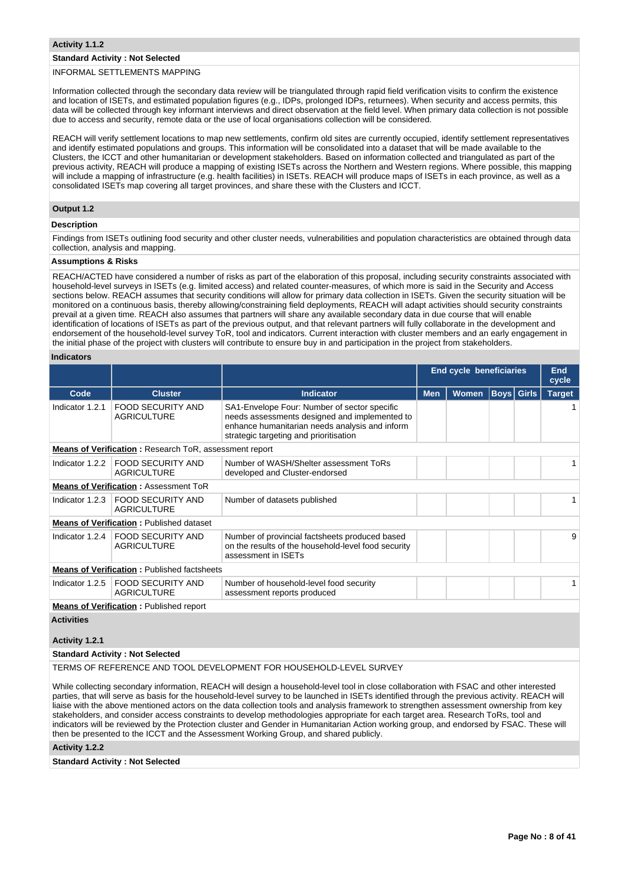## **Standard Activity : Not Selected**

## INFORMAL SETTLEMENTS MAPPING

Information collected through the secondary data review will be triangulated through rapid field verification visits to confirm the existence and location of ISETs, and estimated population figures (e.g., IDPs, prolonged IDPs, returnees). When security and access permits, this data will be collected through key informant interviews and direct observation at the field level. When primary data collection is not possible due to access and security, remote data or the use of local organisations collection will be considered.

REACH will verify settlement locations to map new settlements, confirm old sites are currently occupied, identify settlement representatives and identify estimated populations and groups. This information will be consolidated into a dataset that will be made available to the Clusters, the ICCT and other humanitarian or development stakeholders. Based on information collected and triangulated as part of the previous activity, REACH will produce a mapping of existing ISETs across the Northern and Western regions. Where possible, this mapping will include a mapping of infrastructure (e.g. health facilities) in ISETs. REACH will produce maps of ISETs in each province, as well as a consolidated ISETs map covering all target provinces, and share these with the Clusters and ICCT.

## **Output 1.2**

## **Description**

Findings from ISETs outlining food security and other cluster needs, vulnerabilities and population characteristics are obtained through data collection, analysis and mapping.

## **Assumptions & Risks**

REACH/ACTED have considered a number of risks as part of the elaboration of this proposal, including security constraints associated with household-level surveys in ISETs (e.g. limited access) and related counter-measures, of which more is said in the Security and Access sections below. REACH assumes that security conditions will allow for primary data collection in ISETs. Given the security situation will be monitored on a continuous basis, thereby allowing/constraining field deployments, REACH will adapt activities should security constraints prevail at a given time. REACH also assumes that partners will share any available secondary data in due course that will enable identification of locations of ISETs as part of the previous output, and that relevant partners will fully collaborate in the development and endorsement of the household-level survey ToR, tool and indicators. Current interaction with cluster members and an early engagement in the initial phase of the project with clusters will contribute to ensure buy in and participation in the project from stakeholders.

## **Indicators**

|                   |                                                               |                                                                                                                                                                                           | End cycle beneficiaries |              |                   | End<br>cycle  |
|-------------------|---------------------------------------------------------------|-------------------------------------------------------------------------------------------------------------------------------------------------------------------------------------------|-------------------------|--------------|-------------------|---------------|
| Code              | <b>Cluster</b>                                                | <b>Indicator</b>                                                                                                                                                                          | <b>Men</b>              | <b>Women</b> | <b>Boys</b> Girls | <b>Target</b> |
| Indicator 1.2.1   | FOOD SECURITY AND<br><b>AGRICULTURE</b>                       | SA1-Envelope Four: Number of sector specific<br>needs assessments designed and implemented to<br>enhance humanitarian needs analysis and inform<br>strategic targeting and prioritisation |                         |              |                   |               |
|                   | <b>Means of Verification:</b> Research ToR, assessment report |                                                                                                                                                                                           |                         |              |                   |               |
| Indicator 1.2.2   | <b>FOOD SECURITY AND</b><br><b>AGRICULTURE</b>                | Number of WASH/Shelter assessment ToRs<br>developed and Cluster-endorsed                                                                                                                  |                         |              |                   |               |
|                   | <b>Means of Verification: Assessment ToR</b>                  |                                                                                                                                                                                           |                         |              |                   |               |
| Indicator 1.2.3   | <b>FOOD SECURITY AND</b><br><b>AGRICULTURE</b>                | Number of datasets published                                                                                                                                                              |                         |              |                   |               |
|                   | <b>Means of Verification: Published dataset</b>               |                                                                                                                                                                                           |                         |              |                   |               |
| Indicator 1.2.4   | <b>FOOD SECURITY AND</b><br><b>AGRICULTURE</b>                | Number of provincial factsheets produced based<br>on the results of the household-level food security<br>assessment in ISETs                                                              |                         |              |                   | 9             |
|                   | <b>Means of Verification: Published factsheets</b>            |                                                                                                                                                                                           |                         |              |                   |               |
| Indicator 1.2.5   | <b>FOOD SECURITY AND</b><br><b>AGRICULTURE</b>                | Number of household-level food security<br>assessment reports produced                                                                                                                    |                         |              |                   |               |
|                   | <b>Means of Verification:</b> Published report                |                                                                                                                                                                                           |                         |              |                   |               |
| <b>Activities</b> |                                                               |                                                                                                                                                                                           |                         |              |                   |               |

#### **Activity 1.2.1**

#### **Standard Activity : Not Selected**

TERMS OF REFERENCE AND TOOL DEVELOPMENT FOR HOUSEHOLD-LEVEL SURVEY

While collecting secondary information, REACH will design a household-level tool in close collaboration with FSAC and other interested parties, that will serve as basis for the household-level survey to be launched in ISETs identified through the previous activity. REACH will liaise with the above mentioned actors on the data collection tools and analysis framework to strengthen assessment ownership from key stakeholders, and consider access constraints to develop methodologies appropriate for each target area. Research ToRs, tool and indicators will be reviewed by the Protection cluster and Gender in Humanitarian Action working group, and endorsed by FSAC. These will then be presented to the ICCT and the Assessment Working Group, and shared publicly.

## **Activity 1.2.2**

**Standard Activity : Not Selected**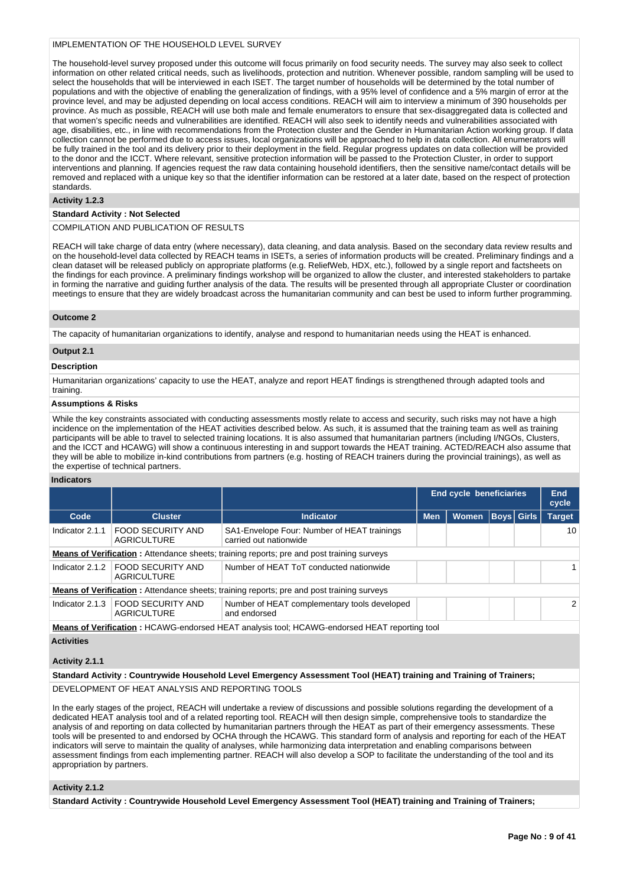## IMPLEMENTATION OF THE HOUSEHOLD LEVEL SURVEY

The household-level survey proposed under this outcome will focus primarily on food security needs. The survey may also seek to collect information on other related critical needs, such as livelihoods, protection and nutrition. Whenever possible, random sampling will be used to select the households that will be interviewed in each ISET. The target number of households will be determined by the total number of populations and with the objective of enabling the generalization of findings, with a 95% level of confidence and a 5% margin of error at the province level, and may be adjusted depending on local access conditions. REACH will aim to interview a minimum of 390 households per province. As much as possible, REACH will use both male and female enumerators to ensure that sex-disaggregated data is collected and that women's specific needs and vulnerabilities are identified. REACH will also seek to identify needs and vulnerabilities associated with age, disabilities, etc., in line with recommendations from the Protection cluster and the Gender in Humanitarian Action working group. If data collection cannot be performed due to access issues, local organizations will be approached to help in data collection. All enumerators will be fully trained in the tool and its delivery prior to their deployment in the field. Regular progress updates on data collection will be provided to the donor and the ICCT. Where relevant, sensitive protection information will be passed to the Protection Cluster, in order to support interventions and planning. If agencies request the raw data containing household identifiers, then the sensitive name/contact details will be removed and replaced with a unique key so that the identifier information can be restored at a later date, based on the respect of protection standards.

#### **Activity 1.2.3**

## **Standard Activity : Not Selected**

## COMPILATION AND PUBLICATION OF RESULTS

REACH will take charge of data entry (where necessary), data cleaning, and data analysis. Based on the secondary data review results and on the household-level data collected by REACH teams in ISETs, a series of information products will be created. Preliminary findings and a clean dataset will be released publicly on appropriate platforms (e.g. ReliefWeb, HDX, etc.), followed by a single report and factsheets on the findings for each province. A preliminary findings workshop will be organized to allow the cluster, and interested stakeholders to partake in forming the narrative and guiding further analysis of the data. The results will be presented through all appropriate Cluster or coordination meetings to ensure that they are widely broadcast across the humanitarian community and can best be used to inform further programming.

## **Outcome 2**

The capacity of humanitarian organizations to identify, analyse and respond to humanitarian needs using the HEAT is enhanced.

## **Output 2.1**

## **Description**

Humanitarian organizations' capacity to use the HEAT, analyze and report HEAT findings is strengthened through adapted tools and training.

#### **Assumptions & Risks**

While the key constraints associated with conducting assessments mostly relate to access and security, such risks may not have a high incidence on the implementation of the HEAT activities described below. As such, it is assumed that the training team as well as training participants will be able to travel to selected training locations. It is also assumed that humanitarian partners (including I/NGOs, Clusters, and the ICCT and HCAWG) will show a continuous interesting in and support towards the HEAT training. ACTED/REACH also assume that they will be able to mobilize in-kind contributions from partners (e.g. hosting of REACH trainers during the provincial trainings), as well as the expertise of technical partners.

## **Indicators**

|                 |                                                                                                  |                                                                                                  | End cycle beneficiaries |              |  | <b>End</b><br>cycle |                 |
|-----------------|--------------------------------------------------------------------------------------------------|--------------------------------------------------------------------------------------------------|-------------------------|--------------|--|---------------------|-----------------|
| Code            | <b>Cluster</b>                                                                                   | <b>Indicator</b>                                                                                 | <b>Men</b>              | <b>Women</b> |  | <b>Boys Girls</b>   | <b>Target</b>   |
| Indicator 2.1.1 | <b>FOOD SECURITY AND</b><br><b>AGRICULTURE</b>                                                   | SA1-Envelope Four: Number of HEAT trainings<br>carried out nationwide                            |                         |              |  |                     | 10 <sup>1</sup> |
|                 | <b>Means of Verification:</b> Attendance sheets; training reports; pre and post training surveys |                                                                                                  |                         |              |  |                     |                 |
| Indicator 2.1.2 | FOOD SECURITY AND<br><b>AGRICULTURE</b>                                                          | Number of HEAT ToT conducted nationwide                                                          |                         |              |  |                     |                 |
|                 |                                                                                                  | <b>Means of Verification:</b> Attendance sheets; training reports; pre and post training surveys |                         |              |  |                     |                 |
| Indicator 2.1.3 | <b>FOOD SECURITY AND</b><br><b>AGRICULTURE</b>                                                   | Number of HEAT complementary tools developed<br>and endorsed                                     |                         |              |  |                     | $\mathcal{P}$   |
|                 |                                                                                                  | Means of Verification • HCAWG-endorsed HEAT analysis tool: HCAWG-endorsed HEAT reporting tool    |                         |              |  |                     |                 |

ed HEAT analysis tool; HCAWG

## **Activities**

## **Activity 2.1.1**

## **Standard Activity : Countrywide Household Level Emergency Assessment Tool (HEAT) training and Training of Trainers;**

DEVELOPMENT OF HEAT ANALYSIS AND REPORTING TOOLS

In the early stages of the project, REACH will undertake a review of discussions and possible solutions regarding the development of a dedicated HEAT analysis tool and of a related reporting tool. REACH will then design simple, comprehensive tools to standardize the analysis of and reporting on data collected by humanitarian partners through the HEAT as part of their emergency assessments. These tools will be presented to and endorsed by OCHA through the HCAWG. This standard form of analysis and reporting for each of the HEAT indicators will serve to maintain the quality of analyses, while harmonizing data interpretation and enabling comparisons between assessment findings from each implementing partner. REACH will also develop a SOP to facilitate the understanding of the tool and its appropriation by partners.

## **Activity 2.1.2**

**Standard Activity : Countrywide Household Level Emergency Assessment Tool (HEAT) training and Training of Trainers;**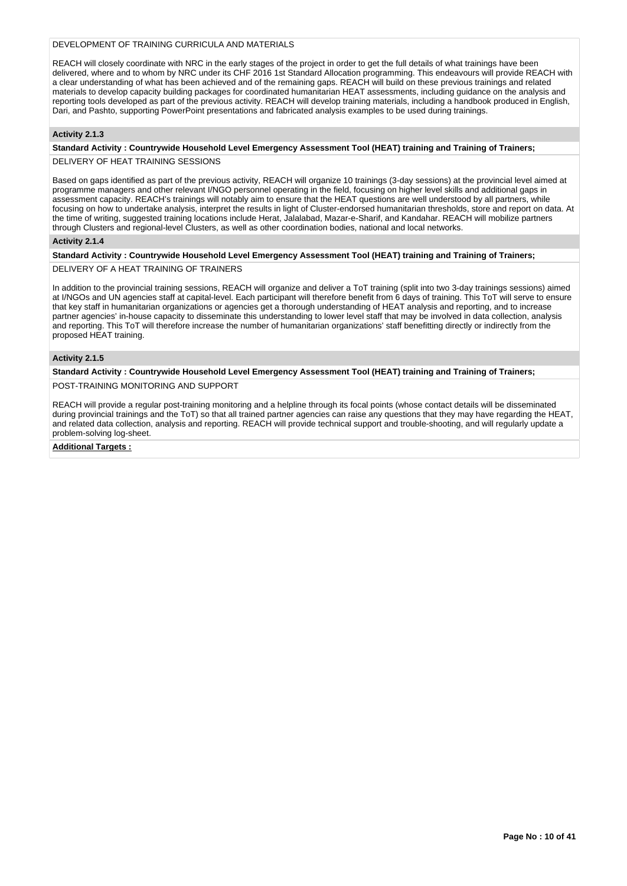## DEVELOPMENT OF TRAINING CURRICULA AND MATERIALS

REACH will closely coordinate with NRC in the early stages of the project in order to get the full details of what trainings have been delivered, where and to whom by NRC under its CHF 2016 1st Standard Allocation programming. This endeavours will provide REACH with a clear understanding of what has been achieved and of the remaining gaps. REACH will build on these previous trainings and related materials to develop capacity building packages for coordinated humanitarian HEAT assessments, including guidance on the analysis and reporting tools developed as part of the previous activity. REACH will develop training materials, including a handbook produced in English, Dari, and Pashto, supporting PowerPoint presentations and fabricated analysis examples to be used during trainings.

## **Activity 2.1.3**

## **Standard Activity : Countrywide Household Level Emergency Assessment Tool (HEAT) training and Training of Trainers;**

DELIVERY OF HEAT TRAINING SESSIONS

Based on gaps identified as part of the previous activity, REACH will organize 10 trainings (3-day sessions) at the provincial level aimed at programme managers and other relevant I/NGO personnel operating in the field, focusing on higher level skills and additional gaps in assessment capacity. REACH's trainings will notably aim to ensure that the HEAT questions are well understood by all partners, while focusing on how to undertake analysis, interpret the results in light of Cluster-endorsed humanitarian thresholds, store and report on data. At the time of writing, suggested training locations include Herat, Jalalabad, Mazar-e-Sharif, and Kandahar. REACH will mobilize partners through Clusters and regional-level Clusters, as well as other coordination bodies, national and local networks.

## **Activity 2.1.4**

#### **Standard Activity : Countrywide Household Level Emergency Assessment Tool (HEAT) training and Training of Trainers;**

DELIVERY OF A HEAT TRAINING OF TRAINERS

In addition to the provincial training sessions, REACH will organize and deliver a ToT training (split into two 3-day trainings sessions) aimed at I/NGOs and UN agencies staff at capital-level. Each participant will therefore benefit from 6 days of training. This ToT will serve to ensure that key staff in humanitarian organizations or agencies get a thorough understanding of HEAT analysis and reporting, and to increase partner agencies' in-house capacity to disseminate this understanding to lower level staff that may be involved in data collection, analysis and reporting. This ToT will therefore increase the number of humanitarian organizations' staff benefitting directly or indirectly from the proposed HEAT training.

## **Activity 2.1.5**

## **Standard Activity : Countrywide Household Level Emergency Assessment Tool (HEAT) training and Training of Trainers;**

## POST-TRAINING MONITORING AND SUPPORT

REACH will provide a regular post-training monitoring and a helpline through its focal points (whose contact details will be disseminated during provincial trainings and the ToT) so that all trained partner agencies can raise any questions that they may have regarding the HEAT, and related data collection, analysis and reporting. REACH will provide technical support and trouble-shooting, and will regularly update a problem-solving log-sheet.

## **Additional Targets :**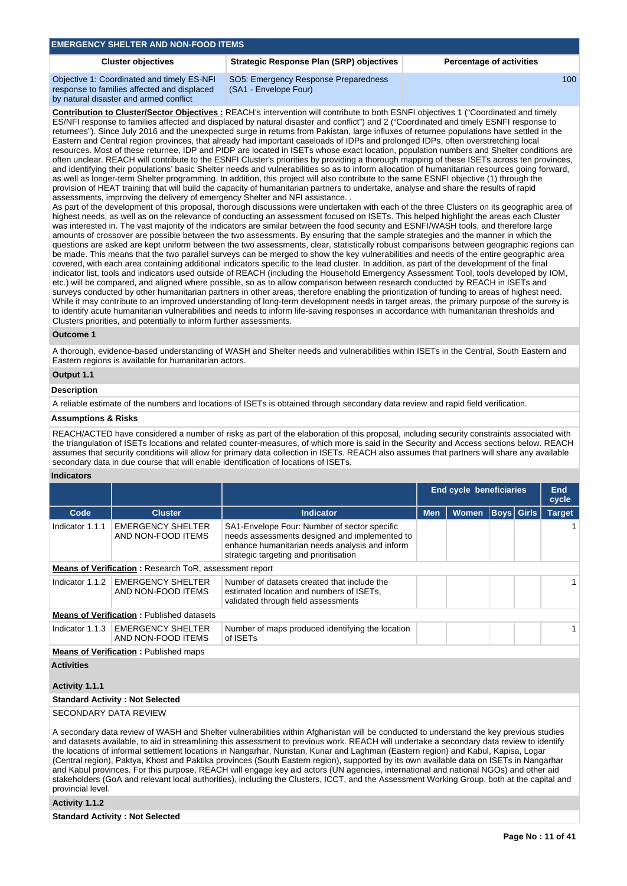## **EMERGENCY SHELTER AND NON-FOOD ITEMS**

## **Cluster objectives Strategic Response Plan (SRP) objectives Percentage of activities**

100

Objective 1: Coordinated and timely ES-NFI response to families affected and displaced by natural disaster and armed conflict

SO5: Emergency Response Preparedness (SA1 - Envelope Four)

**Contribution to Cluster/Sector Objectives :** REACH's intervention will contribute to both ESNFI objectives 1 ("Coordinated and timely ES/NFI response to families affected and displaced by natural disaster and conflict") and 2 ("Coordinated and timely ESNFI response to returnees"). Since July 2016 and the unexpected surge in returns from Pakistan, large influxes of returnee populations have settled in the Eastern and Central region provinces, that already had important caseloads of IDPs and prolonged IDPs, often overstretching local resources. Most of these returnee, IDP and PIDP are located in ISETs whose exact location, population numbers and Shelter conditions are often unclear. REACH will contribute to the ESNFI Cluster's priorities by providing a thorough mapping of these ISETs across ten provinces, and identifying their populations' basic Shelter needs and vulnerabilities so as to inform allocation of humanitarian resources going forward, as well as longer-term Shelter programming. In addition, this project will also contribute to the same ESNFI objective (1) through the provision of HEAT training that will build the capacity of humanitarian partners to undertake, analyse and share the results of rapid assessments, improving the delivery of emergency Shelter and NFI assistance. .

As part of the development of this proposal, thorough discussions were undertaken with each of the three Clusters on its geographic area of highest needs, as well as on the relevance of conducting an assessment focused on ISETs. This helped highlight the areas each Cluster was interested in. The vast majority of the indicators are similar between the food security and ESNFI/WASH tools, and therefore large amounts of crossover are possible between the two assessments. By ensuring that the sample strategies and the manner in which the questions are asked are kept uniform between the two assessments, clear, statistically robust comparisons between geographic regions can be made. This means that the two parallel surveys can be merged to show the key vulnerabilities and needs of the entire geographic area covered, with each area containing additional indicators specific to the lead cluster. In addition, as part of the development of the final indicator list, tools and indicators used outside of REACH (including the Household Emergency Assessment Tool, tools developed by IOM, etc.) will be compared, and aligned where possible, so as to allow comparison between research conducted by REACH in ISETs and surveys conducted by other humanitarian partners in other areas, therefore enabling the prioritization of funding to areas of highest need. While it may contribute to an improved understanding of long-term development needs in target areas, the primary purpose of the survey is to identify acute humanitarian vulnerabilities and needs to inform life-saving responses in accordance with humanitarian thresholds and Clusters priorities, and potentially to inform further assessments.

## **Outcome 1**

A thorough, evidence-based understanding of WASH and Shelter needs and vulnerabilities within ISETs in the Central, South Eastern and Eastern regions is available for humanitarian actors.

# **Output 1.1**

## **Description**

A reliable estimate of the numbers and locations of ISETs is obtained through secondary data review and rapid field verification.

#### **Assumptions & Risks**

REACH/ACTED have considered a number of risks as part of the elaboration of this proposal, including security constraints associated with the triangulation of ISETs locations and related counter-measures, of which more is said in the Security and Access sections below. REACH assumes that security conditions will allow for primary data collection in ISETs. REACH also assumes that partners will share any available secondary data in due course that will enable identification of locations of ISETs.

## **Indicators**

|                   |                                                               |                                                                                                                                                                                           | <b>End cycle beneficiaries</b> |              |  | End<br>cycle      |               |  |
|-------------------|---------------------------------------------------------------|-------------------------------------------------------------------------------------------------------------------------------------------------------------------------------------------|--------------------------------|--------------|--|-------------------|---------------|--|
| Code              | <b>Cluster</b>                                                | <b>Indicator</b>                                                                                                                                                                          | <b>Men</b>                     | <b>Women</b> |  | <b>Boys</b> Girls | <b>Target</b> |  |
| Indicator 1.1.1   | <b>EMERGENCY SHELTER</b><br>AND NON-FOOD ITEMS                | SA1-Envelope Four: Number of sector specific<br>needs assessments designed and implemented to<br>enhance humanitarian needs analysis and inform<br>strategic targeting and prioritisation |                                |              |  |                   |               |  |
|                   | <b>Means of Verification:</b> Research ToR, assessment report |                                                                                                                                                                                           |                                |              |  |                   |               |  |
| Indicator 1.1.2   | <b>EMERGENCY SHELTER</b><br>AND NON-FOOD ITEMS                | Number of datasets created that include the<br>estimated location and numbers of ISETs,<br>validated through field assessments                                                            |                                |              |  |                   |               |  |
|                   | <b>Means of Verification: Published datasets</b>              |                                                                                                                                                                                           |                                |              |  |                   |               |  |
| Indicator 1.1.3   | <b>EMERGENCY SHELTER</b><br>AND NON-FOOD ITEMS                | Number of maps produced identifying the location<br>of ISET <sub>S</sub>                                                                                                                  |                                |              |  |                   |               |  |
|                   | <b>Means of Verification:</b> Published maps                  |                                                                                                                                                                                           |                                |              |  |                   |               |  |
| <b>Activities</b> |                                                               |                                                                                                                                                                                           |                                |              |  |                   |               |  |

## **Activity 1.1.1**

## **Standard Activity : Not Selected**

SECONDARY DATA REVIEW

A secondary data review of WASH and Shelter vulnerabilities within Afghanistan will be conducted to understand the key previous studies and datasets available, to aid in streamlining this assessment to previous work. REACH will undertake a secondary data review to identify the locations of informal settlement locations in Nangarhar, Nuristan, Kunar and Laghman (Eastern region) and Kabul, Kapisa, Logar (Central region), Paktya, Khost and Paktika provinces (South Eastern region), supported by its own available data on ISETs in Nangarhar and Kabul provinces. For this purpose, REACH will engage key aid actors (UN agencies, international and national NGOs) and other aid stakeholders (GoA and relevant local authorities), including the Clusters, ICCT, and the Assessment Working Group, both at the capital and provincial level.

## **Activity 1.1.2**

**Standard Activity : Not Selected**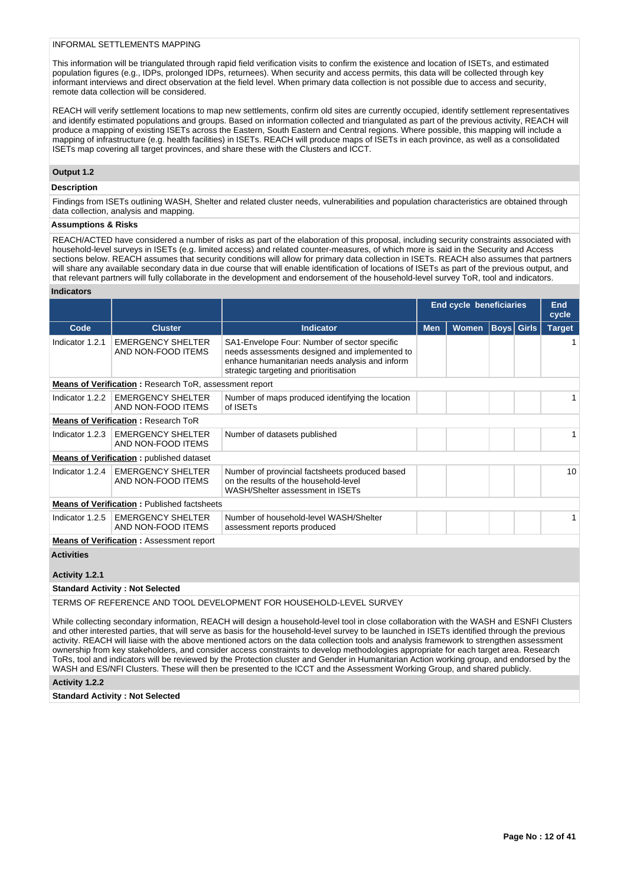## INFORMAL SETTI FMENTS MAPPING

This information will be triangulated through rapid field verification visits to confirm the existence and location of ISETs, and estimated population figures (e.g., IDPs, prolonged IDPs, returnees). When security and access permits, this data will be collected through key informant interviews and direct observation at the field level. When primary data collection is not possible due to access and security, remote data collection will be considered.

REACH will verify settlement locations to map new settlements, confirm old sites are currently occupied, identify settlement representatives and identify estimated populations and groups. Based on information collected and triangulated as part of the previous activity, REACH will produce a mapping of existing ISETs across the Eastern, South Eastern and Central regions. Where possible, this mapping will include a mapping of infrastructure (e.g. health facilities) in ISETs. REACH will produce maps of ISETs in each province, as well as a consolidated ISETs map covering all target provinces, and share these with the Clusters and ICCT.

## **Output 1.2**

#### **Description**

Findings from ISETs outlining WASH, Shelter and related cluster needs, vulnerabilities and population characteristics are obtained through data collection, analysis and mapping.

## **Assumptions & Risks**

REACH/ACTED have considered a number of risks as part of the elaboration of this proposal, including security constraints associated with household-level surveys in ISETs (e.g. limited access) and related counter-measures, of which more is said in the Security and Access sections below. REACH assumes that security conditions will allow for primary data collection in ISETs. REACH also assumes that partners will share any available secondary data in due course that will enable identification of locations of ISETs as part of the previous output, and that relevant partners will fully collaborate in the development and endorsement of the household-level survey ToR, tool and indicators.

#### **Indicators**

|                                            |                                                        |                                                                                                                                                                                           | <b>End cycle beneficiaries</b> |              | End<br>cycle      |  |               |
|--------------------------------------------|--------------------------------------------------------|-------------------------------------------------------------------------------------------------------------------------------------------------------------------------------------------|--------------------------------|--------------|-------------------|--|---------------|
| Code                                       | <b>Cluster</b>                                         | <b>Indicator</b>                                                                                                                                                                          | <b>Men</b>                     | <b>Women</b> | <b>Boys</b> Girls |  | <b>Target</b> |
| Indicator 1.2.1                            | <b>EMERGENCY SHELTER</b><br>AND NON-FOOD ITEMS         | SA1-Envelope Four: Number of sector specific<br>needs assessments designed and implemented to<br>enhance humanitarian needs analysis and inform<br>strategic targeting and prioritisation |                                |              |                   |  |               |
|                                            | Means of Verification: Research ToR, assessment report |                                                                                                                                                                                           |                                |              |                   |  |               |
| Indicator 1.2.2                            | <b>EMERGENCY SHELTER</b><br>AND NON-FOOD ITEMS         | Number of maps produced identifying the location<br>of ISETs                                                                                                                              |                                |              |                   |  |               |
| <b>Means of Verification: Research ToR</b> |                                                        |                                                                                                                                                                                           |                                |              |                   |  |               |
| Indicator 1.2.3                            | <b>EMERGENCY SHELTER</b><br>AND NON-FOOD ITEMS         | Number of datasets published                                                                                                                                                              |                                |              |                   |  | 1             |
|                                            | <b>Means of Verification: published dataset</b>        |                                                                                                                                                                                           |                                |              |                   |  |               |
| Indicator 1.2.4                            | <b>EMERGENCY SHELTER</b><br>AND NON-FOOD ITEMS         | Number of provincial factsheets produced based<br>on the results of the household-level<br>WASH/Shelter assessment in ISETs                                                               |                                |              |                   |  | 10            |
|                                            | <b>Means of Verification: Published factsheets</b>     |                                                                                                                                                                                           |                                |              |                   |  |               |
| Indicator 1.2.5                            | <b>EMERGENCY SHELTER</b><br>AND NON-FOOD ITEMS         | Number of household-level WASH/Shelter<br>assessment reports produced                                                                                                                     |                                |              |                   |  |               |
|                                            | <b>Means of Verification: Assessment report</b>        |                                                                                                                                                                                           |                                |              |                   |  |               |
| <b>Activities</b>                          |                                                        |                                                                                                                                                                                           |                                |              |                   |  |               |
| Activity 1.2.1                             |                                                        |                                                                                                                                                                                           |                                |              |                   |  |               |
|                                            | <b>Standard Activity: Not Selected</b>                 |                                                                                                                                                                                           |                                |              |                   |  |               |
|                                            |                                                        | TERMS OF REFERENCE AND TOOL DEVELOPMENT FOR HOUSEHOLD-LEVEL SURVEY                                                                                                                        |                                |              |                   |  |               |
|                                            |                                                        | While collecting secondary information. REACH will docign a bousehold lovel tool in close collaboration with the WASH and ESNEL Clusters                                                  |                                |              |                   |  |               |

While collecting secondary information, REACH will design a household-level tool in close collaboration with the WASH and ESNFI Clusters and other interested parties, that will serve as basis for the household-level survey to be launched in ISETs identified through the previous activity. REACH will liaise with the above mentioned actors on the data collection tools and analysis framework to strengthen assessment ownership from key stakeholders, and consider access constraints to develop methodologies appropriate for each target area. Research ToRs, tool and indicators will be reviewed by the Protection cluster and Gender in Humanitarian Action working group, and endorsed by the WASH and ES/NFI Clusters. These will then be presented to the ICCT and the Assessment Working Group, and shared publicly.

## **Activity 1.2.2**

**Standard Activity : Not Selected**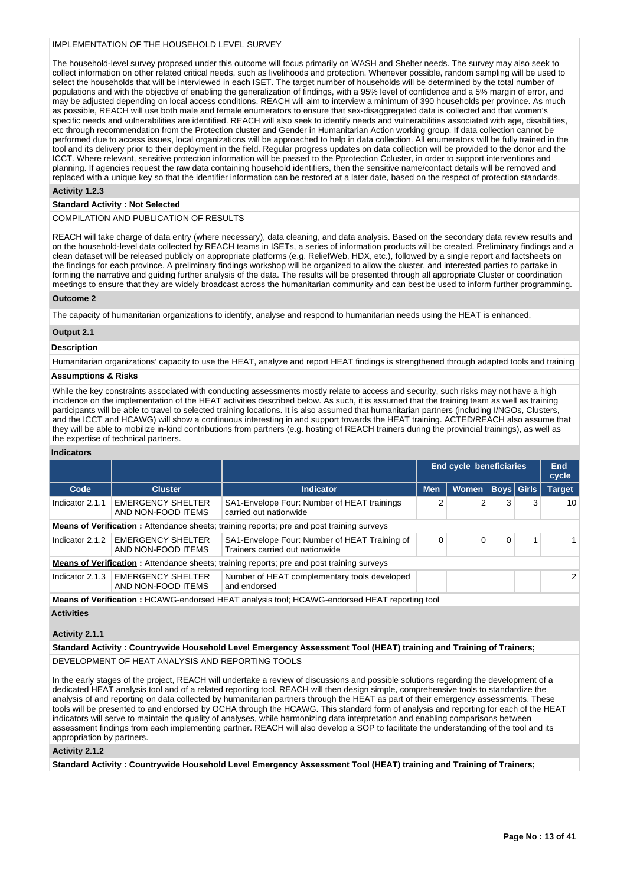## IMPLEMENTATION OF THE HOUSEHOLD LEVEL SURVEY

The household-level survey proposed under this outcome will focus primarily on WASH and Shelter needs. The survey may also seek to collect information on other related critical needs, such as livelihoods and protection. Whenever possible, random sampling will be used to select the households that will be interviewed in each ISET. The target number of households will be determined by the total number of populations and with the objective of enabling the generalization of findings, with a 95% level of confidence and a 5% margin of error, and may be adjusted depending on local access conditions. REACH will aim to interview a minimum of 390 households per province. As much as possible, REACH will use both male and female enumerators to ensure that sex-disaggregated data is collected and that women's specific needs and vulnerabilities are identified. REACH will also seek to identify needs and vulnerabilities associated with age, disabilities, etc through recommendation from the Protection cluster and Gender in Humanitarian Action working group. If data collection cannot be performed due to access issues, local organizations will be approached to help in data collection. All enumerators will be fully trained in the tool and its delivery prior to their deployment in the field. Regular progress updates on data collection will be provided to the donor and the ICCT. Where relevant, sensitive protection information will be passed to the Pprotection Ccluster, in order to support interventions and planning. If agencies request the raw data containing household identifiers, then the sensitive name/contact details will be removed and replaced with a unique key so that the identifier information can be restored at a later date, based on the respect of protection standards.

## **Activity 1.2.3**

## **Standard Activity : Not Selected**

## COMPILATION AND PUBLICATION OF RESULTS

REACH will take charge of data entry (where necessary), data cleaning, and data analysis. Based on the secondary data review results and on the household-level data collected by REACH teams in ISETs, a series of information products will be created. Preliminary findings and a clean dataset will be released publicly on appropriate platforms (e.g. ReliefWeb, HDX, etc.), followed by a single report and factsheets on the findings for each province. A preliminary findings workshop will be organized to allow the cluster, and interested parties to partake in forming the narrative and guiding further analysis of the data. The results will be presented through all appropriate Cluster or coordination meetings to ensure that they are widely broadcast across the humanitarian community and can best be used to inform further programming.

## **Outcome 2**

The capacity of humanitarian organizations to identify, analyse and respond to humanitarian needs using the HEAT is enhanced.

## **Output 2.1**

#### **Description**

Humanitarian organizations' capacity to use the HEAT, analyze and report HEAT findings is strengthened through adapted tools and training

## **Assumptions & Risks**

While the key constraints associated with conducting assessments mostly relate to access and security, such risks may not have a high incidence on the implementation of the HEAT activities described below. As such, it is assumed that the training team as well as training participants will be able to travel to selected training locations. It is also assumed that humanitarian partners (including I/NGOs, Clusters, and the ICCT and HCAWG) will show a continuous interesting in and support towards the HEAT training. ACTED/REACH also assume that they will be able to mobilize in-kind contributions from partners (e.g. hosting of REACH trainers during the provincial trainings), as well as the expertise of technical partners.

#### **Indicators**

|                                                                                                  |                                                |                                                                                                  | End cycle beneficiaries | End<br>cycle |   |                   |               |
|--------------------------------------------------------------------------------------------------|------------------------------------------------|--------------------------------------------------------------------------------------------------|-------------------------|--------------|---|-------------------|---------------|
| Code                                                                                             | <b>Cluster</b>                                 | <b>Indicator</b>                                                                                 | <b>Men</b>              | <b>Women</b> |   | <b>Boys</b> Girls | <b>Target</b> |
| Indicator 2.1.1                                                                                  | <b>EMERGENCY SHELTER</b><br>AND NON-FOOD ITEMS | SA1-Envelope Four: Number of HEAT trainings<br>carried out nationwide                            |                         |              | 3 | 3                 | 10            |
| <b>Means of Verification:</b> Attendance sheets; training reports; pre and post training surveys |                                                |                                                                                                  |                         |              |   |                   |               |
| Indicator 2.1.2                                                                                  | <b>EMERGENCY SHELTER</b><br>AND NON-FOOD ITEMS | SA1-Envelope Four: Number of HEAT Training of<br>Trainers carried out nationwide                 | 0                       |              | 0 |                   |               |
|                                                                                                  |                                                | <b>Means of Verification:</b> Attendance sheets; training reports; pre and post training surveys |                         |              |   |                   |               |
| Indicator 2.1.3                                                                                  | <b>EMERGENCY SHELTER</b><br>AND NON-FOOD ITEMS | Number of HEAT complementary tools developed<br>and endorsed                                     |                         |              |   |                   | $\mathcal{P}$ |
|                                                                                                  |                                                | Moans of Verification : HCANIC endersed HEAT applysis tool: HCANIC endersed HEAT reporting tool  |                         |              |   |                   |               |

**Means of Verification :** HCAWG-endorsed HEAT analysis tool; HCAWG-endorsed HEAT reporting tool **Activities**

## **Activity 2.1.1**

**Standard Activity : Countrywide Household Level Emergency Assessment Tool (HEAT) training and Training of Trainers;**

DEVELOPMENT OF HEAT ANALYSIS AND REPORTING TOOLS

In the early stages of the project, REACH will undertake a review of discussions and possible solutions regarding the development of a dedicated HEAT analysis tool and of a related reporting tool. REACH will then design simple, comprehensive tools to standardize the analysis of and reporting on data collected by humanitarian partners through the HEAT as part of their emergency assessments. These tools will be presented to and endorsed by OCHA through the HCAWG. This standard form of analysis and reporting for each of the HEAT indicators will serve to maintain the quality of analyses, while harmonizing data interpretation and enabling comparisons between assessment findings from each implementing partner. REACH will also develop a SOP to facilitate the understanding of the tool and its appropriation by partners.

## **Activity 2.1.2**

**Standard Activity : Countrywide Household Level Emergency Assessment Tool (HEAT) training and Training of Trainers;**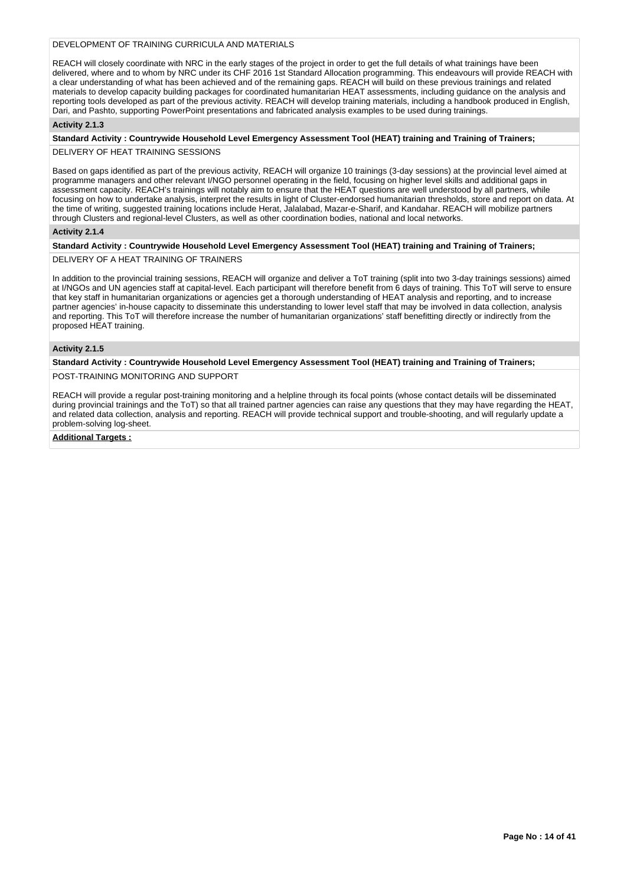## DEVELOPMENT OF TRAINING CURRICULA AND MATERIALS

REACH will closely coordinate with NRC in the early stages of the project in order to get the full details of what trainings have been delivered, where and to whom by NRC under its CHF 2016 1st Standard Allocation programming. This endeavours will provide REACH with a clear understanding of what has been achieved and of the remaining gaps. REACH will build on these previous trainings and related materials to develop capacity building packages for coordinated humanitarian HEAT assessments, including guidance on the analysis and reporting tools developed as part of the previous activity. REACH will develop training materials, including a handbook produced in English, Dari, and Pashto, supporting PowerPoint presentations and fabricated analysis examples to be used during trainings.

#### **Activity 2.1.3**

**Standard Activity : Countrywide Household Level Emergency Assessment Tool (HEAT) training and Training of Trainers;** DELIVERY OF HEAT TRAINING SESSIONS

Based on gaps identified as part of the previous activity, REACH will organize 10 trainings (3-day sessions) at the provincial level aimed at programme managers and other relevant I/NGO personnel operating in the field, focusing on higher level skills and additional gaps in assessment capacity. REACH's trainings will notably aim to ensure that the HEAT questions are well understood by all partners, while focusing on how to undertake analysis, interpret the results in light of Cluster-endorsed humanitarian thresholds, store and report on data. At the time of writing, suggested training locations include Herat, Jalalabad, Mazar-e-Sharif, and Kandahar. REACH will mobilize partners through Clusters and regional-level Clusters, as well as other coordination bodies, national and local networks.

#### **Activity 2.1.4**

## **Standard Activity : Countrywide Household Level Emergency Assessment Tool (HEAT) training and Training of Trainers;**

DELIVERY OF A HEAT TRAINING OF TRAINERS

In addition to the provincial training sessions, REACH will organize and deliver a ToT training (split into two 3-day trainings sessions) aimed at I/NGOs and UN agencies staff at capital-level. Each participant will therefore benefit from 6 days of training. This ToT will serve to ensure that key staff in humanitarian organizations or agencies get a thorough understanding of HEAT analysis and reporting, and to increase partner agencies' in-house capacity to disseminate this understanding to lower level staff that may be involved in data collection, analysis and reporting. This ToT will therefore increase the number of humanitarian organizations' staff benefitting directly or indirectly from the proposed HEAT training.

## **Activity 2.1.5**

**Standard Activity : Countrywide Household Level Emergency Assessment Tool (HEAT) training and Training of Trainers;**

## POST-TRAINING MONITORING AND SUPPORT

REACH will provide a regular post-training monitoring and a helpline through its focal points (whose contact details will be disseminated during provincial trainings and the ToT) so that all trained partner agencies can raise any questions that they may have regarding the HEAT, and related data collection, analysis and reporting. REACH will provide technical support and trouble-shooting, and will regularly update a problem-solving log-sheet.

#### **Additional Targets :**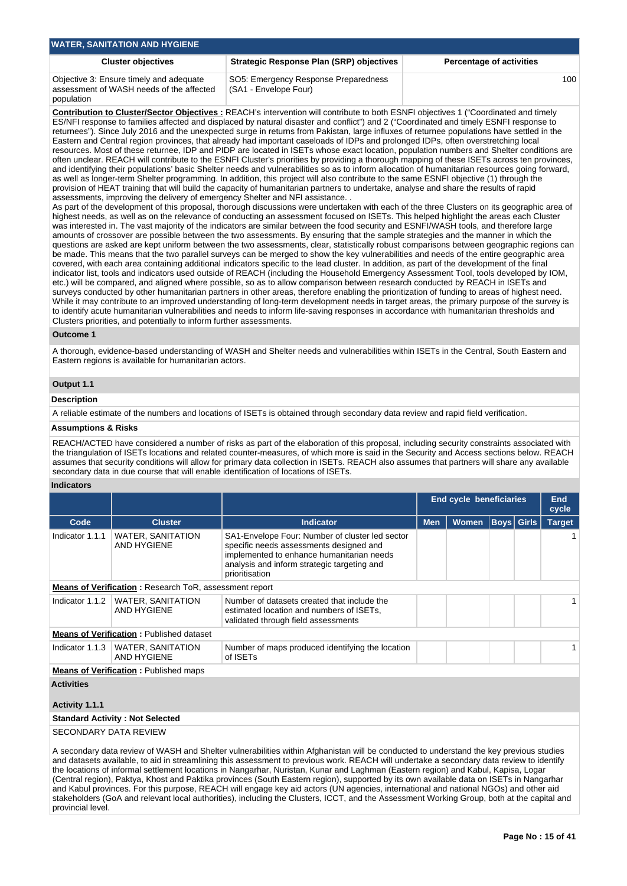| Strategic Response Plan (SRP) objectives<br><b>Cluster objectives</b><br><b>Percentage of activities</b>                                                           | <b>WATER, SANITATION AND HYGIENE</b> |  |     |
|--------------------------------------------------------------------------------------------------------------------------------------------------------------------|--------------------------------------|--|-----|
|                                                                                                                                                                    |                                      |  |     |
| Objective 3: Ensure timely and adequate<br>SO5: Emergency Response Preparedness<br>(SA1 - Envelope Four)<br>assessment of WASH needs of the affected<br>population |                                      |  | 100 |

**Contribution to Cluster/Sector Objectives :** REACH's intervention will contribute to both ESNFI objectives 1 ("Coordinated and timely ES/NFI response to families affected and displaced by natural disaster and conflict") and 2 ("Coordinated and timely ESNFI response to returnees"). Since July 2016 and the unexpected surge in returns from Pakistan, large influxes of returnee populations have settled in the Eastern and Central region provinces, that already had important caseloads of IDPs and prolonged IDPs, often overstretching local resources. Most of these returnee, IDP and PIDP are located in ISETs whose exact location, population numbers and Shelter conditions are often unclear. REACH will contribute to the ESNFI Cluster's priorities by providing a thorough mapping of these ISETs across ten provinces, and identifying their populations' basic Shelter needs and vulnerabilities so as to inform allocation of humanitarian resources going forward, as well as longer-term Shelter programming. In addition, this project will also contribute to the same ESNFI objective (1) through the provision of HEAT training that will build the capacity of humanitarian partners to undertake, analyse and share the results of rapid assessments, improving the delivery of emergency Shelter and NFI assistance. .

As part of the development of this proposal, thorough discussions were undertaken with each of the three Clusters on its geographic area of highest needs, as well as on the relevance of conducting an assessment focused on ISETs. This helped highlight the areas each Cluster was interested in. The vast majority of the indicators are similar between the food security and ESNFI/WASH tools, and therefore large amounts of crossover are possible between the two assessments. By ensuring that the sample strategies and the manner in which the questions are asked are kept uniform between the two assessments, clear, statistically robust comparisons between geographic regions can be made. This means that the two parallel surveys can be merged to show the key vulnerabilities and needs of the entire geographic area covered, with each area containing additional indicators specific to the lead cluster. In addition, as part of the development of the final indicator list, tools and indicators used outside of REACH (including the Household Emergency Assessment Tool, tools developed by IOM, etc.) will be compared, and aligned where possible, so as to allow comparison between research conducted by REACH in ISETs and surveys conducted by other humanitarian partners in other areas, therefore enabling the prioritization of funding to areas of highest need. While it may contribute to an improved understanding of long-term development needs in target areas, the primary purpose of the survey is to identify acute humanitarian vulnerabilities and needs to inform life-saving responses in accordance with humanitarian thresholds and Clusters priorities, and potentially to inform further assessments.

## **Outcome 1**

A thorough, evidence-based understanding of WASH and Shelter needs and vulnerabilities within ISETs in the Central, South Eastern and Eastern regions is available for humanitarian actors.

## **Output 1.1**

## **Description**

A reliable estimate of the numbers and locations of ISETs is obtained through secondary data review and rapid field verification.

#### **Assumptions & Risks**

REACH/ACTED have considered a number of risks as part of the elaboration of this proposal, including security constraints associated with the triangulation of ISETs locations and related counter-measures, of which more is said in the Security and Access sections below. REACH assumes that security conditions will allow for primary data collection in ISETs. REACH also assumes that partners will share any available secondary data in due course that will enable identification of locations of ISETs.

## **Indicators**

|                                                        |                                                 |                                                                                                                                                                                                          | End cycle beneficiaries | <b>End</b><br>cycle |                   |               |  |  |  |  |
|--------------------------------------------------------|-------------------------------------------------|----------------------------------------------------------------------------------------------------------------------------------------------------------------------------------------------------------|-------------------------|---------------------|-------------------|---------------|--|--|--|--|
| Code                                                   | <b>Cluster</b>                                  | <b>Indicator</b>                                                                                                                                                                                         | <b>Men</b>              | <b>Women</b>        | <b>Boys</b> Girls | <b>Target</b> |  |  |  |  |
| Indicator 1.1.1                                        | <b>WATER, SANITATION</b><br>AND HYGIENE         | SA1-Envelope Four: Number of cluster led sector<br>specific needs assessments designed and<br>implemented to enhance humanitarian needs<br>analysis and inform strategic targeting and<br>prioritisation |                         |                     |                   |               |  |  |  |  |
| Means of Verification: Research ToR, assessment report |                                                 |                                                                                                                                                                                                          |                         |                     |                   |               |  |  |  |  |
| Indicator 1.1.2                                        | <b>WATER, SANITATION</b><br><b>AND HYGIENE</b>  | Number of datasets created that include the<br>estimated location and numbers of ISETs,<br>validated through field assessments                                                                           |                         |                     |                   |               |  |  |  |  |
|                                                        | <b>Means of Verification: Published dataset</b> |                                                                                                                                                                                                          |                         |                     |                   |               |  |  |  |  |
| Indicator 1.1.3                                        | <b>WATER, SANITATION</b><br>AND HYGIENE         | Number of maps produced identifying the location<br>of ISET <sub>S</sub>                                                                                                                                 |                         |                     |                   |               |  |  |  |  |
|                                                        | <b>Means of Verification:</b> Published maps    |                                                                                                                                                                                                          |                         |                     |                   |               |  |  |  |  |
| <b>Activities</b><br>Activity 1.1.1                    |                                                 |                                                                                                                                                                                                          |                         |                     |                   |               |  |  |  |  |
|                                                        | <b>Standard Activity: Not Selected</b>          |                                                                                                                                                                                                          |                         |                     |                   |               |  |  |  |  |
| CECONDADY DATA DEVIEMI                                 |                                                 |                                                                                                                                                                                                          |                         |                     |                   |               |  |  |  |  |

SECONDARY DATA REVIEW

A secondary data review of WASH and Shelter vulnerabilities within Afghanistan will be conducted to understand the key previous studies and datasets available, to aid in streamlining this assessment to previous work. REACH will undertake a secondary data review to identify the locations of informal settlement locations in Nangarhar, Nuristan, Kunar and Laghman (Eastern region) and Kabul, Kapisa, Logar (Central region), Paktya, Khost and Paktika provinces (South Eastern region), supported by its own available data on ISETs in Nangarhar and Kabul provinces. For this purpose, REACH will engage key aid actors (UN agencies, international and national NGOs) and other aid stakeholders (GoA and relevant local authorities), including the Clusters, ICCT, and the Assessment Working Group, both at the capital and provincial level.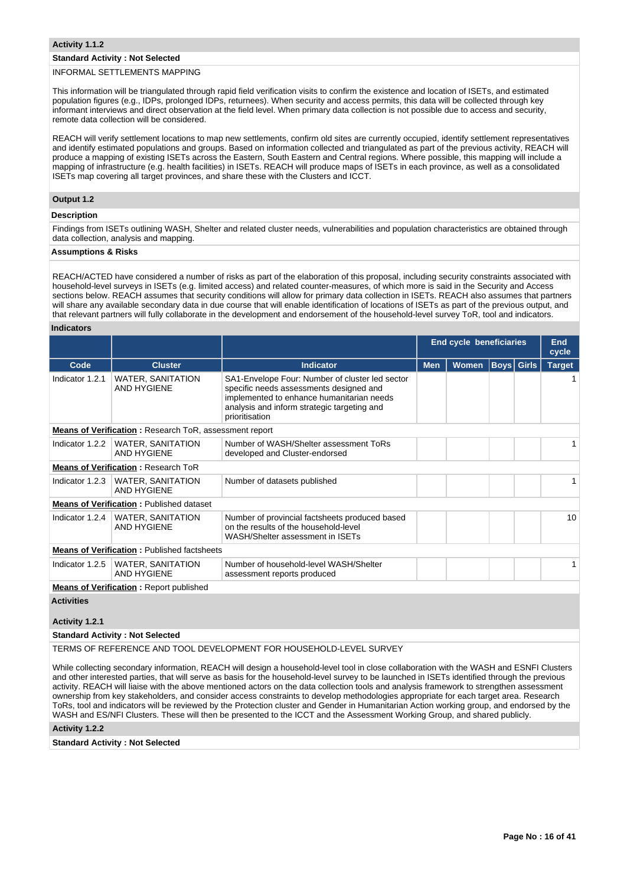## **Standard Activity : Not Selected**

## INFORMAL SETTLEMENTS MAPPING

This information will be triangulated through rapid field verification visits to confirm the existence and location of ISETs, and estimated population figures (e.g., IDPs, prolonged IDPs, returnees). When security and access permits, this data will be collected through key informant interviews and direct observation at the field level. When primary data collection is not possible due to access and security, remote data collection will be considered.

REACH will verify settlement locations to map new settlements, confirm old sites are currently occupied, identify settlement representatives and identify estimated populations and groups. Based on information collected and triangulated as part of the previous activity, REACH will produce a mapping of existing ISETs across the Eastern, South Eastern and Central regions. Where possible, this mapping will include a mapping of infrastructure (e.g. health facilities) in ISETs. REACH will produce maps of ISETs in each province, as well as a consolidated ISETs map covering all target provinces, and share these with the Clusters and ICCT.

## **Output 1.2**

## **Description**

Findings from ISETs outlining WASH, Shelter and related cluster needs, vulnerabilities and population characteristics are obtained through data collection, analysis and mapping.

## **Assumptions & Risks**

REACH/ACTED have considered a number of risks as part of the elaboration of this proposal, including security constraints associated with household-level surveys in ISETs (e.g. limited access) and related counter-measures, of which more is said in the Security and Access sections below. REACH assumes that security conditions will allow for primary data collection in ISETs. REACH also assumes that partners will share any available secondary data in due course that will enable identification of locations of ISETs as part of the previous output, and that relevant partners will fully collaborate in the development and endorsement of the household-level survey ToR, tool and indicators.

#### **Indicators**

|                 |                                                               |                                                                                                                                                                                                          | <b>End cycle beneficiaries</b> |       | End<br>cycle      |  |               |  |  |  |
|-----------------|---------------------------------------------------------------|----------------------------------------------------------------------------------------------------------------------------------------------------------------------------------------------------------|--------------------------------|-------|-------------------|--|---------------|--|--|--|
| Code            | <b>Cluster</b>                                                | <b>Indicator</b>                                                                                                                                                                                         | <b>Men</b>                     | Women | <b>Boys Girls</b> |  | <b>Target</b> |  |  |  |
| Indicator 1.2.1 | <b>WATER, SANITATION</b><br><b>AND HYGIENE</b>                | SA1-Envelope Four: Number of cluster led sector<br>specific needs assessments designed and<br>implemented to enhance humanitarian needs<br>analysis and inform strategic targeting and<br>prioritisation |                                |       |                   |  |               |  |  |  |
|                 | <b>Means of Verification: Research ToR, assessment report</b> |                                                                                                                                                                                                          |                                |       |                   |  |               |  |  |  |
| Indicator 1.2.2 | <b>WATER, SANITATION</b><br><b>AND HYGIENE</b>                | Number of WASH/Shelter assessment ToRs<br>developed and Cluster-endorsed                                                                                                                                 |                                |       |                   |  |               |  |  |  |
|                 | <b>Means of Verification: Research ToR</b>                    |                                                                                                                                                                                                          |                                |       |                   |  |               |  |  |  |
| Indicator 1.2.3 | WATER, SANITATION<br><b>AND HYGIENE</b>                       | Number of datasets published                                                                                                                                                                             |                                |       |                   |  |               |  |  |  |
|                 | <b>Means of Verification: Published dataset</b>               |                                                                                                                                                                                                          |                                |       |                   |  |               |  |  |  |
| Indicator 1.2.4 | <b>WATER, SANITATION</b><br><b>AND HYGIENE</b>                | Number of provincial factsheets produced based<br>on the results of the household-level<br>WASH/Shelter assessment in ISETs                                                                              |                                |       |                   |  | 10            |  |  |  |
|                 | <b>Means of Verification: Published factsheets</b>            |                                                                                                                                                                                                          |                                |       |                   |  |               |  |  |  |
| Indicator 1.2.5 | <b>WATER, SANITATION</b><br><b>AND HYGIENE</b>                | Number of household-level WASH/Shelter<br>assessment reports produced                                                                                                                                    |                                |       |                   |  |               |  |  |  |
|                 | <b>Means of Verification:</b> Report published                |                                                                                                                                                                                                          |                                |       |                   |  |               |  |  |  |

## **Activities**

## **Activity 1.2.1**

## **Standard Activity : Not Selected**

TERMS OF REFERENCE AND TOOL DEVELOPMENT FOR HOUSEHOLD-LEVEL SURVEY

While collecting secondary information, REACH will design a household-level tool in close collaboration with the WASH and ESNFI Clusters and other interested parties, that will serve as basis for the household-level survey to be launched in ISETs identified through the previous activity. REACH will liaise with the above mentioned actors on the data collection tools and analysis framework to strengthen assessment ownership from key stakeholders, and consider access constraints to develop methodologies appropriate for each target area. Research ToRs, tool and indicators will be reviewed by the Protection cluster and Gender in Humanitarian Action working group, and endorsed by the WASH and ES/NFI Clusters. These will then be presented to the ICCT and the Assessment Working Group, and shared publicly.

## **Activity 1.2.2**

#### **Standard Activity : Not Selected**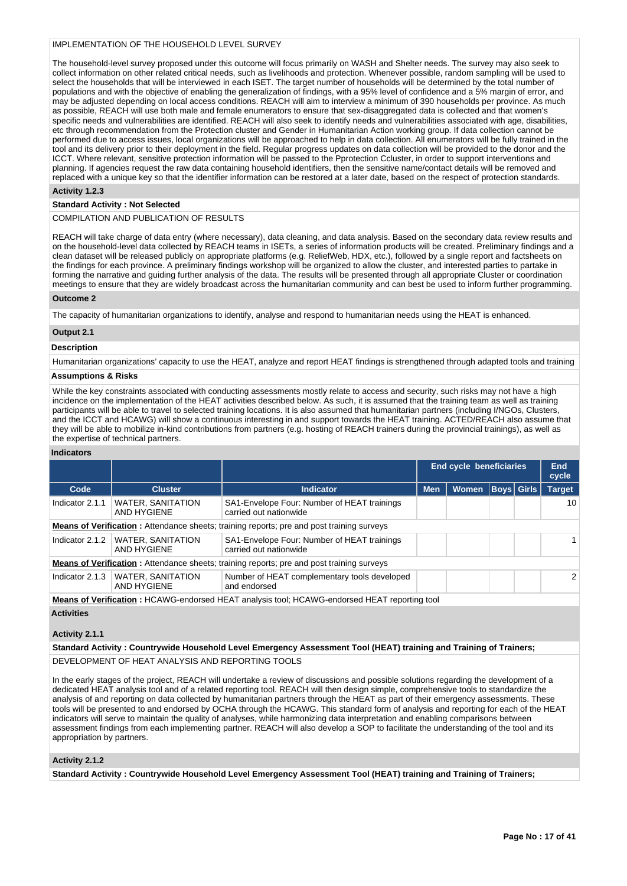## IMPLEMENTATION OF THE HOUSEHOLD LEVEL SURVEY

The household-level survey proposed under this outcome will focus primarily on WASH and Shelter needs. The survey may also seek to collect information on other related critical needs, such as livelihoods and protection. Whenever possible, random sampling will be used to select the households that will be interviewed in each ISET. The target number of households will be determined by the total number of populations and with the objective of enabling the generalization of findings, with a 95% level of confidence and a 5% margin of error, and may be adjusted depending on local access conditions. REACH will aim to interview a minimum of 390 households per province. As much as possible, REACH will use both male and female enumerators to ensure that sex-disaggregated data is collected and that women's specific needs and vulnerabilities are identified. REACH will also seek to identify needs and vulnerabilities associated with age, disabilities, etc through recommendation from the Protection cluster and Gender in Humanitarian Action working group. If data collection cannot be performed due to access issues, local organizations will be approached to help in data collection. All enumerators will be fully trained in the tool and its delivery prior to their deployment in the field. Regular progress updates on data collection will be provided to the donor and the ICCT. Where relevant, sensitive protection information will be passed to the Pprotection Ccluster, in order to support interventions and planning. If agencies request the raw data containing household identifiers, then the sensitive name/contact details will be removed and replaced with a unique key so that the identifier information can be restored at a later date, based on the respect of protection standards.

## **Activity 1.2.3**

## **Standard Activity : Not Selected**

## COMPILATION AND PUBLICATION OF RESULTS

REACH will take charge of data entry (where necessary), data cleaning, and data analysis. Based on the secondary data review results and on the household-level data collected by REACH teams in ISETs, a series of information products will be created. Preliminary findings and a clean dataset will be released publicly on appropriate platforms (e.g. ReliefWeb, HDX, etc.), followed by a single report and factsheets on the findings for each province. A preliminary findings workshop will be organized to allow the cluster, and interested parties to partake in forming the narrative and guiding further analysis of the data. The results will be presented through all appropriate Cluster or coordination meetings to ensure that they are widely broadcast across the humanitarian community and can best be used to inform further programming.

#### **Outcome 2**

The capacity of humanitarian organizations to identify, analyse and respond to humanitarian needs using the HEAT is enhanced.

## **Output 2.1**

#### **Description**

Humanitarian organizations' capacity to use the HEAT, analyze and report HEAT findings is strengthened through adapted tools and training

## **Assumptions & Risks**

While the key constraints associated with conducting assessments mostly relate to access and security, such risks may not have a high incidence on the implementation of the HEAT activities described below. As such, it is assumed that the training team as well as training participants will be able to travel to selected training locations. It is also assumed that humanitarian partners (including I/NGOs, Clusters, and the ICCT and HCAWG) will show a continuous interesting in and support towards the HEAT training. ACTED/REACH also assume that they will be able to mobilize in-kind contributions from partners (e.g. hosting of REACH trainers during the provincial trainings), as well as the expertise of technical partners.

#### **Indicators**

|                                                                                                   |                                         |                                                                                                     | End cycle beneficiaries | <b>End</b><br>cycle |  |                   |               |  |
|---------------------------------------------------------------------------------------------------|-----------------------------------------|-----------------------------------------------------------------------------------------------------|-------------------------|---------------------|--|-------------------|---------------|--|
| Code                                                                                              | <b>Cluster</b>                          | <b>Indicator</b>                                                                                    | <b>Men</b>              | <b>Women</b>        |  | <b>Boys</b> Girls | <b>Target</b> |  |
| Indicator 2.1.1                                                                                   | WATER, SANITATION<br>AND HYGIENE        | SA1-Envelope Four: Number of HEAT trainings<br>carried out nationwide                               |                         |                     |  |                   | 10            |  |
| <b>Means of Verification</b> : Attendance sheets; training reports; pre and post training surveys |                                         |                                                                                                     |                         |                     |  |                   |               |  |
| Indicator 2.1.2                                                                                   | <b>WATER, SANITATION</b><br>AND HYGIENE | SA1-Envelope Four: Number of HEAT trainings<br>carried out nationwide                               |                         |                     |  |                   |               |  |
|                                                                                                   |                                         | <b>Means of Verification:</b> Attendance sheets; training reports; pre and post training surveys    |                         |                     |  |                   |               |  |
| Indicator 2.1.3                                                                                   | WATER, SANITATION<br>AND HYGIENE        | Number of HEAT complementary tools developed<br>and endorsed                                        |                         |                     |  |                   | 2             |  |
|                                                                                                   |                                         | <b>Means of Verification: HCAWG-endorsed HEAT analysis tool: HCAWG-endorsed HEAT reporting tool</b> |                         |                     |  |                   |               |  |

**Activities**

## **Activity 2.1.1**

**Standard Activity : Countrywide Household Level Emergency Assessment Tool (HEAT) training and Training of Trainers;**

DEVELOPMENT OF HEAT ANALYSIS AND REPORTING TOOLS

In the early stages of the project, REACH will undertake a review of discussions and possible solutions regarding the development of a dedicated HEAT analysis tool and of a related reporting tool. REACH will then design simple, comprehensive tools to standardize the analysis of and reporting on data collected by humanitarian partners through the HEAT as part of their emergency assessments. These tools will be presented to and endorsed by OCHA through the HCAWG. This standard form of analysis and reporting for each of the HEAT indicators will serve to maintain the quality of analyses, while harmonizing data interpretation and enabling comparisons between assessment findings from each implementing partner. REACH will also develop a SOP to facilitate the understanding of the tool and its appropriation by partners.

## **Activity 2.1.2**

**Standard Activity : Countrywide Household Level Emergency Assessment Tool (HEAT) training and Training of Trainers;**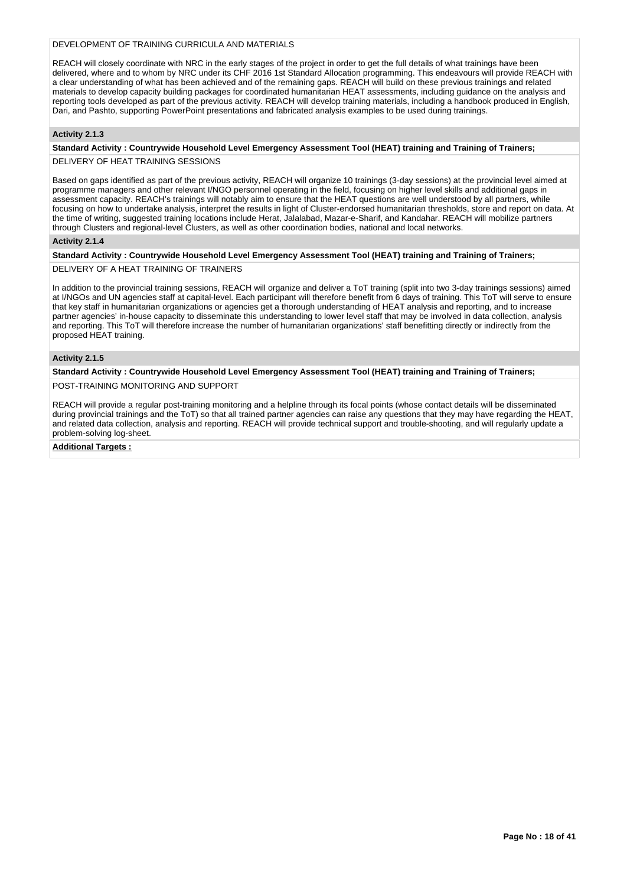## DEVELOPMENT OF TRAINING CURRICULA AND MATERIALS

REACH will closely coordinate with NRC in the early stages of the project in order to get the full details of what trainings have been delivered, where and to whom by NRC under its CHF 2016 1st Standard Allocation programming. This endeavours will provide REACH with a clear understanding of what has been achieved and of the remaining gaps. REACH will build on these previous trainings and related materials to develop capacity building packages for coordinated humanitarian HEAT assessments, including guidance on the analysis and reporting tools developed as part of the previous activity. REACH will develop training materials, including a handbook produced in English, Dari, and Pashto, supporting PowerPoint presentations and fabricated analysis examples to be used during trainings.

## **Activity 2.1.3**

## **Standard Activity : Countrywide Household Level Emergency Assessment Tool (HEAT) training and Training of Trainers;**

DELIVERY OF HEAT TRAINING SESSIONS

Based on gaps identified as part of the previous activity, REACH will organize 10 trainings (3-day sessions) at the provincial level aimed at programme managers and other relevant I/NGO personnel operating in the field, focusing on higher level skills and additional gaps in assessment capacity. REACH's trainings will notably aim to ensure that the HEAT questions are well understood by all partners, while focusing on how to undertake analysis, interpret the results in light of Cluster-endorsed humanitarian thresholds, store and report on data. At the time of writing, suggested training locations include Herat, Jalalabad, Mazar-e-Sharif, and Kandahar. REACH will mobilize partners through Clusters and regional-level Clusters, as well as other coordination bodies, national and local networks.

## **Activity 2.1.4**

## **Standard Activity : Countrywide Household Level Emergency Assessment Tool (HEAT) training and Training of Trainers;**

DELIVERY OF A HEAT TRAINING OF TRAINERS

In addition to the provincial training sessions, REACH will organize and deliver a ToT training (split into two 3-day trainings sessions) aimed at I/NGOs and UN agencies staff at capital-level. Each participant will therefore benefit from 6 days of training. This ToT will serve to ensure that key staff in humanitarian organizations or agencies get a thorough understanding of HEAT analysis and reporting, and to increase partner agencies' in-house capacity to disseminate this understanding to lower level staff that may be involved in data collection, analysis and reporting. This ToT will therefore increase the number of humanitarian organizations' staff benefitting directly or indirectly from the proposed HEAT training.

#### **Activity 2.1.5**

## **Standard Activity : Countrywide Household Level Emergency Assessment Tool (HEAT) training and Training of Trainers;**

POST-TRAINING MONITORING AND SUPPORT

REACH will provide a regular post-training monitoring and a helpline through its focal points (whose contact details will be disseminated during provincial trainings and the ToT) so that all trained partner agencies can raise any questions that they may have regarding the HEAT, and related data collection, analysis and reporting. REACH will provide technical support and trouble-shooting, and will regularly update a problem-solving log-sheet.

## **Additional Targets :**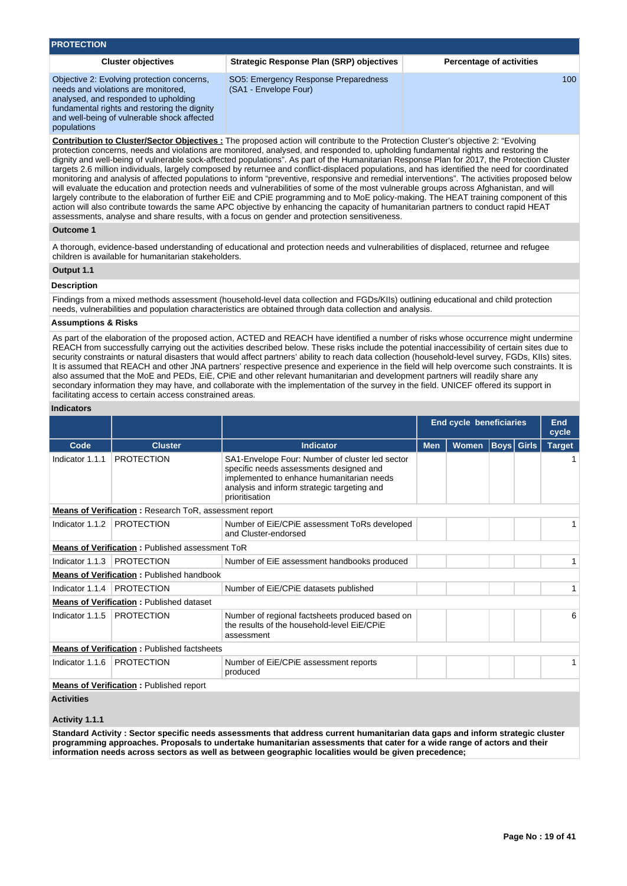| <b>PROTECTION</b>                                                                                                                                                                                                                       |                                                                                                                                                                                                                                                                                  |                                 |
|-----------------------------------------------------------------------------------------------------------------------------------------------------------------------------------------------------------------------------------------|----------------------------------------------------------------------------------------------------------------------------------------------------------------------------------------------------------------------------------------------------------------------------------|---------------------------------|
| <b>Cluster objectives</b>                                                                                                                                                                                                               | <b>Strategic Response Plan (SRP) objectives</b>                                                                                                                                                                                                                                  | <b>Percentage of activities</b> |
| Objective 2: Evolving protection concerns,<br>needs and violations are monitored.<br>analysed, and responded to upholding<br>fundamental rights and restoring the dignity<br>and well-being of vulnerable shock affected<br>populations | SO5: Emergency Response Preparedness<br>(SA1 - Envelope Four)                                                                                                                                                                                                                    | 100                             |
|                                                                                                                                                                                                                                         | <b>Contribution to Cluster/Sector Objectives:</b> The proposed action will contribute to the Protection Cluster's objective 2: "Evolving"<br>protection concerns, needs and violations are monitored, analysed, and responded to, upholding fundamental rights and restoring the |                                 |

protection concerns, needs and violations are monitored, analysed, and responded to, upholding fundamental rights and restoring the dignity and well-being of vulnerable sock-affected populations". As part of the Humanitarian Response Plan for 2017, the Protection Cluster targets 2.6 million individuals, largely composed by returnee and conflict-displaced populations, and has identified the need for coordinated monitoring and analysis of affected populations to inform "preventive, responsive and remedial interventions". The activities proposed below will evaluate the education and protection needs and vulnerabilities of some of the most vulnerable groups across Afghanistan, and will largely contribute to the elaboration of further EiE and CPiE programming and to MoE policy-making. The HEAT training component of this action will also contribute towards the same APC objective by enhancing the capacity of humanitarian partners to conduct rapid HEAT assessments, analyse and share results, with a focus on gender and protection sensitiveness.

#### **Outcome 1**

A thorough, evidence-based understanding of educational and protection needs and vulnerabilities of displaced, returnee and refugee children is available for humanitarian stakeholders.

## **Output 1.1**

## **Description**

Findings from a mixed methods assessment (household-level data collection and FGDs/KIIs) outlining educational and child protection needs, vulnerabilities and population characteristics are obtained through data collection and analysis.

#### **Assumptions & Risks**

As part of the elaboration of the proposed action, ACTED and REACH have identified a number of risks whose occurrence might undermine REACH from successfully carrying out the activities described below. These risks include the potential inaccessibility of certain sites due to security constraints or natural disasters that would affect partners' ability to reach data collection (household-level survey, FGDs, KIIs) sites. It is assumed that REACH and other JNA partners' respective presence and experience in the field will help overcome such constraints. It is also assumed that the MoE and PEDs, EiE, CPiE and other relevant humanitarian and development partners will readily share any secondary information they may have, and collaborate with the implementation of the survey in the field. UNICEF offered its support in facilitating access to certain access constrained areas.

## **Indicators**

|                                                        |                                                               |                                                                                                                                                                                                          | <b>End cycle beneficiaries</b> |              | End<br>cycle      |  |               |  |  |
|--------------------------------------------------------|---------------------------------------------------------------|----------------------------------------------------------------------------------------------------------------------------------------------------------------------------------------------------------|--------------------------------|--------------|-------------------|--|---------------|--|--|
| Code                                                   | <b>Cluster</b>                                                | <b>Indicator</b>                                                                                                                                                                                         | <b>Men</b>                     | <b>Women</b> | <b>Boys</b> Girls |  | <b>Target</b> |  |  |
| Indicator 1.1.1                                        | <b>PROTECTION</b>                                             | SA1-Envelope Four: Number of cluster led sector<br>specific needs assessments designed and<br>implemented to enhance humanitarian needs<br>analysis and inform strategic targeting and<br>prioritisation |                                |              |                   |  |               |  |  |
|                                                        | <b>Means of Verification:</b> Research ToR, assessment report |                                                                                                                                                                                                          |                                |              |                   |  |               |  |  |
| Indicator 1.1.2                                        | <b>PROTECTION</b>                                             | Number of EiE/CPIE assessment ToRs developed<br>and Cluster-endorsed                                                                                                                                     |                                |              |                   |  |               |  |  |
| <b>Means of Verification:</b> Published assessment ToR |                                                               |                                                                                                                                                                                                          |                                |              |                   |  |               |  |  |
| Indicator 1.1.3                                        | <b>PROTECTION</b>                                             | Number of EiE assessment handbooks produced                                                                                                                                                              |                                |              |                   |  |               |  |  |
|                                                        | <b>Means of Verification: Published handbook</b>              |                                                                                                                                                                                                          |                                |              |                   |  |               |  |  |
| Indicator 1.1.4                                        | <b>PROTECTION</b>                                             | Number of EiE/CPIE datasets published                                                                                                                                                                    |                                |              |                   |  |               |  |  |
|                                                        | <b>Means of Verification: Published dataset</b>               |                                                                                                                                                                                                          |                                |              |                   |  |               |  |  |
| Indicator 1.1.5                                        | <b>PROTECTION</b>                                             | Number of regional factsheets produced based on<br>the results of the household-level EiE/CPIE<br>assessment                                                                                             |                                |              |                   |  | 6             |  |  |
|                                                        | <b>Means of Verification: Published factsheets</b>            |                                                                                                                                                                                                          |                                |              |                   |  |               |  |  |
| Indicator 1.1.6                                        | <b>PROTECTION</b>                                             | Number of EiE/CPIE assessment reports<br>produced                                                                                                                                                        |                                |              |                   |  |               |  |  |
|                                                        | <b>Means of Verification:</b> Published report                |                                                                                                                                                                                                          |                                |              |                   |  |               |  |  |
| <b>Activities</b>                                      |                                                               |                                                                                                                                                                                                          |                                |              |                   |  |               |  |  |

## **Activity 1.1.1**

**Standard Activity : Sector specific needs assessments that address current humanitarian data gaps and inform strategic cluster programming approaches. Proposals to undertake humanitarian assessments that cater for a wide range of actors and their information needs across sectors as well as between geographic localities would be given precedence;**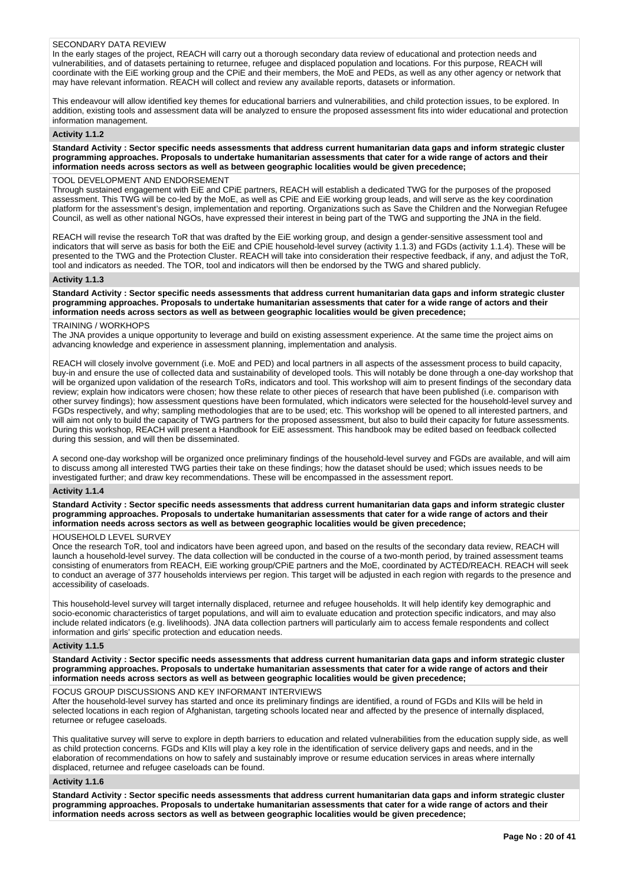## SECONDARY DATA REVIEW

In the early stages of the project, REACH will carry out a thorough secondary data review of educational and protection needs and vulnerabilities, and of datasets pertaining to returnee, refugee and displaced population and locations. For this purpose, REACH will coordinate with the EiE working group and the CPiE and their members, the MoE and PEDs, as well as any other agency or network that may have relevant information. REACH will collect and review any available reports, datasets or information.

This endeavour will allow identified key themes for educational barriers and vulnerabilities, and child protection issues, to be explored. In addition, existing tools and assessment data will be analyzed to ensure the proposed assessment fits into wider educational and protection information management.

## **Activity 1.1.2**

**Standard Activity : Sector specific needs assessments that address current humanitarian data gaps and inform strategic cluster programming approaches. Proposals to undertake humanitarian assessments that cater for a wide range of actors and their information needs across sectors as well as between geographic localities would be given precedence;**

#### TOOL DEVELOPMENT AND ENDORSEMENT

Through sustained engagement with EiE and CPiE partners, REACH will establish a dedicated TWG for the purposes of the proposed assessment. This TWG will be co-led by the MoE, as well as CPiE and EiE working group leads, and will serve as the key coordination platform for the assessment's design, implementation and reporting. Organizations such as Save the Children and the Norwegian Refugee Council, as well as other national NGOs, have expressed their interest in being part of the TWG and supporting the JNA in the field.

REACH will revise the research ToR that was drafted by the EiE working group, and design a gender-sensitive assessment tool and indicators that will serve as basis for both the EiE and CPiE household-level survey (activity 1.1.3) and FGDs (activity 1.1.4). These will be presented to the TWG and the Protection Cluster. REACH will take into consideration their respective feedback, if any, and adjust the ToR, tool and indicators as needed. The TOR, tool and indicators will then be endorsed by the TWG and shared publicly.

#### **Activity 1.1.3**

**Standard Activity : Sector specific needs assessments that address current humanitarian data gaps and inform strategic cluster programming approaches. Proposals to undertake humanitarian assessments that cater for a wide range of actors and their information needs across sectors as well as between geographic localities would be given precedence;**

#### TRAINING / WORKHOPS

The JNA provides a unique opportunity to leverage and build on existing assessment experience. At the same time the project aims on advancing knowledge and experience in assessment planning, implementation and analysis.

REACH will closely involve government (i.e. MoE and PED) and local partners in all aspects of the assessment process to build capacity, buy-in and ensure the use of collected data and sustainability of developed tools. This will notably be done through a one-day workshop that will be organized upon validation of the research ToRs, indicators and tool. This workshop will aim to present findings of the secondary data review; explain how indicators were chosen; how these relate to other pieces of research that have been published (i.e. comparison with other survey findings); how assessment questions have been formulated, which indicators were selected for the household-level survey and FGDs respectively, and why; sampling methodologies that are to be used; etc. This workshop will be opened to all interested partners, and will aim not only to build the capacity of TWG partners for the proposed assessment, but also to build their capacity for future assessments. During this workshop, REACH will present a Handbook for EiE assessment. This handbook may be edited based on feedback collected during this session, and will then be disseminated.

A second one-day workshop will be organized once preliminary findings of the household-level survey and FGDs are available, and will aim to discuss among all interested TWG parties their take on these findings; how the dataset should be used; which issues needs to be investigated further; and draw key recommendations. These will be encompassed in the assessment report.

#### **Activity 1.1.4**

**Standard Activity : Sector specific needs assessments that address current humanitarian data gaps and inform strategic cluster programming approaches. Proposals to undertake humanitarian assessments that cater for a wide range of actors and their information needs across sectors as well as between geographic localities would be given precedence;**

## HOUSEHOLD LEVEL SURVEY

Once the research ToR, tool and indicators have been agreed upon, and based on the results of the secondary data review, REACH will launch a household-level survey. The data collection will be conducted in the course of a two-month period, by trained assessment teams consisting of enumerators from REACH, EiE working group/CPiE partners and the MoE, coordinated by ACTED/REACH. REACH will seek to conduct an average of 377 households interviews per region. This target will be adjusted in each region with regards to the presence and accessibility of caseloads.

This household-level survey will target internally displaced, returnee and refugee households. It will help identify key demographic and socio-economic characteristics of target populations, and will aim to evaluate education and protection specific indicators, and may also include related indicators (e.g. livelihoods). JNA data collection partners will particularly aim to access female respondents and collect information and girls' specific protection and education needs.

#### **Activity 1.1.5**

**Standard Activity : Sector specific needs assessments that address current humanitarian data gaps and inform strategic cluster programming approaches. Proposals to undertake humanitarian assessments that cater for a wide range of actors and their information needs across sectors as well as between geographic localities would be given precedence;**

#### FOCUS GROUP DISCUSSIONS AND KEY INFORMANT INTERVIEWS

After the household-level survey has started and once its preliminary findings are identified, a round of FGDs and KIIs will be held in selected locations in each region of Afghanistan, targeting schools located near and affected by the presence of internally displaced, returnee or refugee caseloads.

This qualitative survey will serve to explore in depth barriers to education and related vulnerabilities from the education supply side, as well as child protection concerns. FGDs and KIIs will play a key role in the identification of service delivery gaps and needs, and in the elaboration of recommendations on how to safely and sustainably improve or resume education services in areas where internally displaced, returnee and refugee caseloads can be found.

## **Activity 1.1.6**

**Standard Activity : Sector specific needs assessments that address current humanitarian data gaps and inform strategic cluster programming approaches. Proposals to undertake humanitarian assessments that cater for a wide range of actors and their information needs across sectors as well as between geographic localities would be given precedence;**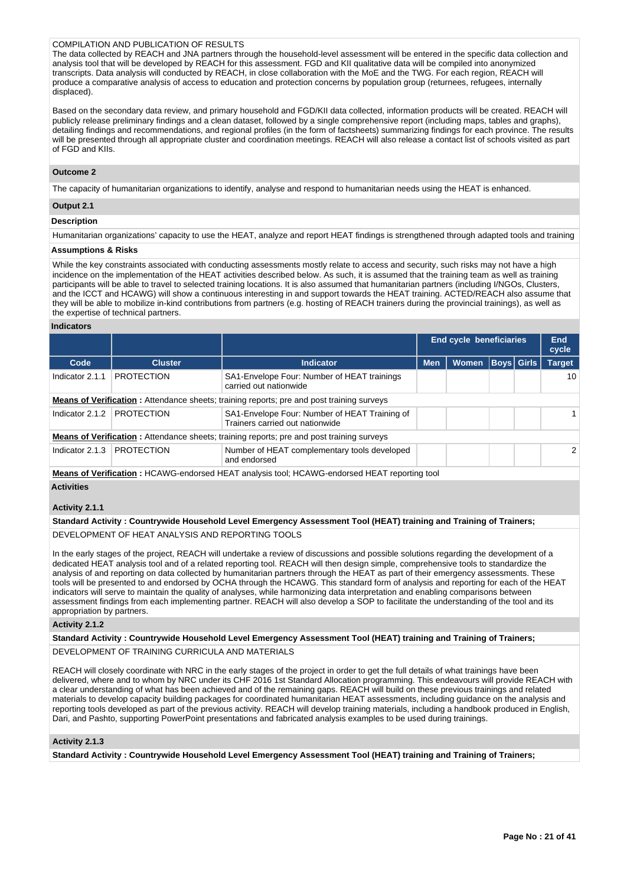## COMPILATION AND PUBLICATION OF RESULTS

The data collected by REACH and JNA partners through the household-level assessment will be entered in the specific data collection and analysis tool that will be developed by REACH for this assessment. FGD and KII qualitative data will be compiled into anonymized transcripts. Data analysis will conducted by REACH, in close collaboration with the MoE and the TWG. For each region, REACH will produce a comparative analysis of access to education and protection concerns by population group (returnees, refugees, internally displaced).

Based on the secondary data review, and primary household and FGD/KII data collected, information products will be created. REACH will publicly release preliminary findings and a clean dataset, followed by a single comprehensive report (including maps, tables and graphs), detailing findings and recommendations, and regional profiles (in the form of factsheets) summarizing findings for each province. The results will be presented through all appropriate cluster and coordination meetings. REACH will also release a contact list of schools visited as part of FGD and KIIs.

## **Outcome 2**

The capacity of humanitarian organizations to identify, analyse and respond to humanitarian needs using the HEAT is enhanced.

## **Output 2.1**

## **Description**

Humanitarian organizations' capacity to use the HEAT, analyze and report HEAT findings is strengthened through adapted tools and training

#### **Assumptions & Risks**

While the key constraints associated with conducting assessments mostly relate to access and security, such risks may not have a high incidence on the implementation of the HEAT activities described below. As such, it is assumed that the training team as well as training participants will be able to travel to selected training locations. It is also assumed that humanitarian partners (including I/NGOs, Clusters, and the ICCT and HCAWG) will show a continuous interesting in and support towards the HEAT training. ACTED/REACH also assume that they will be able to mobilize in-kind contributions from partners (e.g. hosting of REACH trainers during the provincial trainings), as well as the expertise of technical partners.

#### **Indicators**

|                                                                                                  |                   |                                                                                                  | <b>End cycle beneficiaries</b> | End<br>cycle |  |                   |                 |
|--------------------------------------------------------------------------------------------------|-------------------|--------------------------------------------------------------------------------------------------|--------------------------------|--------------|--|-------------------|-----------------|
| Code                                                                                             | <b>Cluster</b>    | <b>Indicator</b>                                                                                 | <b>Men</b>                     | <b>Women</b> |  | <b>Boys Girls</b> | <b>Target</b>   |
| Indicator 2.1.1                                                                                  | PROTECTION        | SA1-Envelope Four: Number of HEAT trainings<br>carried out nationwide                            |                                |              |  |                   | 10 <sup>1</sup> |
| <b>Means of Verification:</b> Attendance sheets; training reports; pre and post training surveys |                   |                                                                                                  |                                |              |  |                   |                 |
| Indicator 2.1.2                                                                                  | <b>PROTECTION</b> | SA1-Envelope Four: Number of HEAT Training of<br>Trainers carried out nationwide                 |                                |              |  |                   |                 |
|                                                                                                  |                   | <b>Means of Verification:</b> Attendance sheets; training reports; pre and post training surveys |                                |              |  |                   |                 |
| Indicator 2.1.3                                                                                  | <b>PROTECTION</b> | Number of HEAT complementary tools developed<br>and endorsed                                     |                                |              |  |                   | $\mathcal{P}$   |
|                                                                                                  |                   | Means of Verification : HCAMC endersed HEAT enableis teal: HCAMC endersed HEAT reporting tool    |                                |              |  |                   |                 |

**Means of Verification :** HCAWG-endorsed HEAT analysis tool; HCAWG-endorsed HEAT reporting tool **Activities**

## **Activity 2.1.1**

## **Standard Activity : Countrywide Household Level Emergency Assessment Tool (HEAT) training and Training of Trainers;**

DEVELOPMENT OF HEAT ANALYSIS AND REPORTING TOOLS

In the early stages of the project, REACH will undertake a review of discussions and possible solutions regarding the development of a dedicated HEAT analysis tool and of a related reporting tool. REACH will then design simple, comprehensive tools to standardize the analysis of and reporting on data collected by humanitarian partners through the HEAT as part of their emergency assessments. These tools will be presented to and endorsed by OCHA through the HCAWG. This standard form of analysis and reporting for each of the HEAT indicators will serve to maintain the quality of analyses, while harmonizing data interpretation and enabling comparisons between assessment findings from each implementing partner. REACH will also develop a SOP to facilitate the understanding of the tool and its appropriation by partners.

#### **Activity 2.1.2**

## **Standard Activity : Countrywide Household Level Emergency Assessment Tool (HEAT) training and Training of Trainers;**

DEVELOPMENT OF TRAINING CURRICULA AND MATERIALS

REACH will closely coordinate with NRC in the early stages of the project in order to get the full details of what trainings have been delivered, where and to whom by NRC under its CHF 2016 1st Standard Allocation programming. This endeavours will provide REACH with a clear understanding of what has been achieved and of the remaining gaps. REACH will build on these previous trainings and related materials to develop capacity building packages for coordinated humanitarian HEAT assessments, including guidance on the analysis and reporting tools developed as part of the previous activity. REACH will develop training materials, including a handbook produced in English, Dari, and Pashto, supporting PowerPoint presentations and fabricated analysis examples to be used during trainings.

## **Activity 2.1.3**

**Standard Activity : Countrywide Household Level Emergency Assessment Tool (HEAT) training and Training of Trainers;**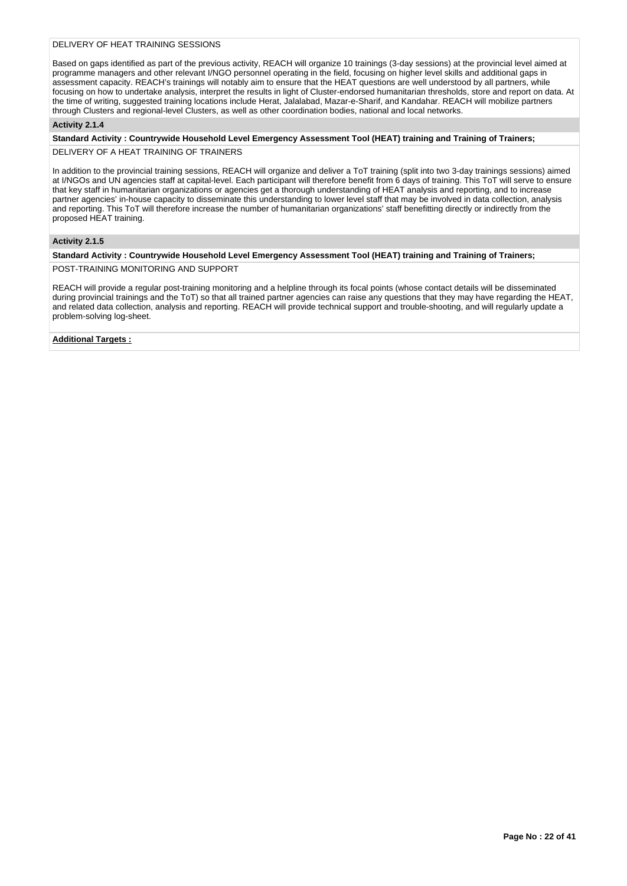## DELIVERY OF HEAT TRAINING SESSIONS

Based on gaps identified as part of the previous activity, REACH will organize 10 trainings (3-day sessions) at the provincial level aimed at programme managers and other relevant I/NGO personnel operating in the field, focusing on higher level skills and additional gaps in assessment capacity. REACH's trainings will notably aim to ensure that the HEAT questions are well understood by all partners, while focusing on how to undertake analysis, interpret the results in light of Cluster-endorsed humanitarian thresholds, store and report on data. At the time of writing, suggested training locations include Herat, Jalalabad, Mazar-e-Sharif, and Kandahar. REACH will mobilize partners through Clusters and regional-level Clusters, as well as other coordination bodies, national and local networks.

## **Activity 2.1.4**

**Standard Activity : Countrywide Household Level Emergency Assessment Tool (HEAT) training and Training of Trainers;** DELIVERY OF A HEAT TRAINING OF TRAINERS

In addition to the provincial training sessions, REACH will organize and deliver a ToT training (split into two 3-day trainings sessions) aimed at I/NGOs and UN agencies staff at capital-level. Each participant will therefore benefit from 6 days of training. This ToT will serve to ensure that key staff in humanitarian organizations or agencies get a thorough understanding of HEAT analysis and reporting, and to increase partner agencies' in-house capacity to disseminate this understanding to lower level staff that may be involved in data collection, analysis and reporting. This ToT will therefore increase the number of humanitarian organizations' staff benefitting directly or indirectly from the proposed HEAT training.

## **Activity 2.1.5**

## **Standard Activity : Countrywide Household Level Emergency Assessment Tool (HEAT) training and Training of Trainers;**

POST-TRAINING MONITORING AND SUPPORT

REACH will provide a regular post-training monitoring and a helpline through its focal points (whose contact details will be disseminated during provincial trainings and the ToT) so that all trained partner agencies can raise any questions that they may have regarding the HEAT, and related data collection, analysis and reporting. REACH will provide technical support and trouble-shooting, and will regularly update a problem-solving log-sheet.

**Additional Targets :**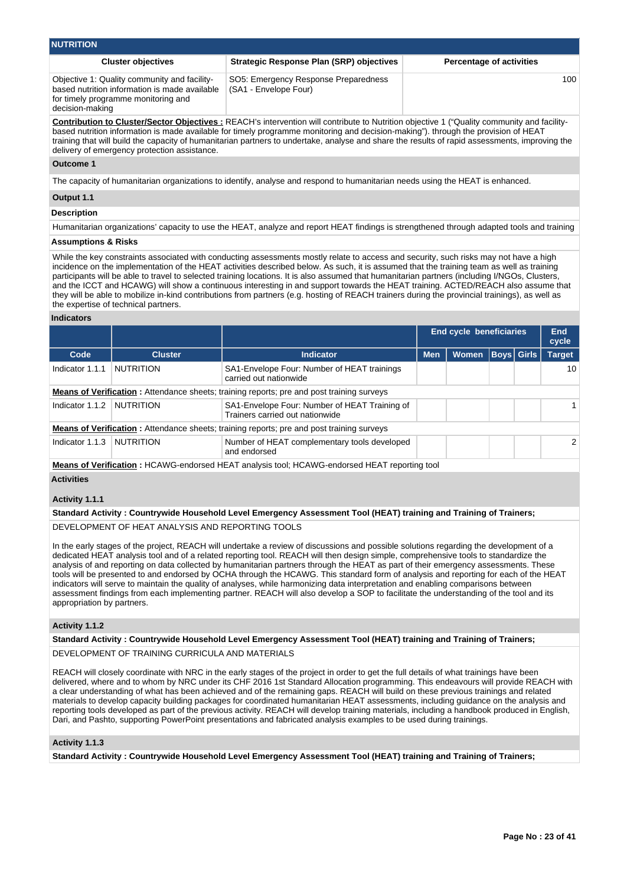| <b>NUTRITION</b>                                                                                                                                        |                                                                                                                                             |                                 |
|---------------------------------------------------------------------------------------------------------------------------------------------------------|---------------------------------------------------------------------------------------------------------------------------------------------|---------------------------------|
| <b>Cluster objectives</b>                                                                                                                               | <b>Strategic Response Plan (SRP) objectives</b>                                                                                             | <b>Percentage of activities</b> |
| Objective 1: Quality community and facility-<br>based nutrition information is made available<br>for timely programme monitoring and<br>decision-making | SO5: Emergency Response Preparedness<br>(SA1 - Envelope Four)                                                                               | 100                             |
|                                                                                                                                                         | Contribution to Cluster/Sector Objectives · REACH's intervention will contribute to Nutrition objective 1 ("Quality community and facility- |                                 |

**Contribution to Cluster/Sector Objectives :** REACH's intervention will contribute to Nutrition objective 1 ("Quality community and facilitybased nutrition information is made available for timely programme monitoring and decision-making"). through the provision of HEAT training that will build the capacity of humanitarian partners to undertake, analyse and share the results of rapid assessments, improving the delivery of emergency protection assistance.

**Outcome 1**

The capacity of humanitarian organizations to identify, analyse and respond to humanitarian needs using the HEAT is enhanced.

## **Output 1.1**

## **Description**

Humanitarian organizations' capacity to use the HEAT, analyze and report HEAT findings is strengthened through adapted tools and training

## **Assumptions & Risks**

While the key constraints associated with conducting assessments mostly relate to access and security, such risks may not have a high incidence on the implementation of the HEAT activities described below. As such, it is assumed that the training team as well as training participants will be able to travel to selected training locations. It is also assumed that humanitarian partners (including I/NGOs, Clusters, and the ICCT and HCAWG) will show a continuous interesting in and support towards the HEAT training. ACTED/REACH also assume that they will be able to mobilize in-kind contributions from partners (e.g. hosting of REACH trainers during the provincial trainings), as well as the expertise of technical partners.

## **Indicators**

|                                                                                                   |                  |                                                                                                     | <b>End cycle beneficiaries</b> | End<br>cycle |  |                   |               |  |  |  |
|---------------------------------------------------------------------------------------------------|------------------|-----------------------------------------------------------------------------------------------------|--------------------------------|--------------|--|-------------------|---------------|--|--|--|
| Code                                                                                              | <b>Cluster</b>   | <b>Indicator</b>                                                                                    | <b>Men</b>                     | <b>Women</b> |  | <b>Boys Girls</b> | <b>Target</b> |  |  |  |
| Indicator 1.1.1                                                                                   | <b>NUTRITION</b> | SA1-Envelope Four: Number of HEAT trainings<br>carried out nationwide                               |                                |              |  |                   | 10            |  |  |  |
| <b>Means of Verification</b> : Attendance sheets; training reports; pre and post training surveys |                  |                                                                                                     |                                |              |  |                   |               |  |  |  |
| Indicator 1.1.2                                                                                   | NUTRITION        | SA1-Envelope Four: Number of HEAT Training of<br>Trainers carried out nationwide                    |                                |              |  |                   |               |  |  |  |
|                                                                                                   |                  | <b>Means of Verification:</b> Attendance sheets; training reports; pre and post training surveys    |                                |              |  |                   |               |  |  |  |
| Indicator 1.1.3                                                                                   | NUTRITION        | Number of HEAT complementary tools developed<br>and endorsed                                        |                                |              |  |                   | $\mathcal{P}$ |  |  |  |
|                                                                                                   |                  | <b>Means of Verification:</b> HCAWG-endorsed HEAT analysis tool; HCAWG-endorsed HEAT reporting tool |                                |              |  |                   |               |  |  |  |
| <b>Activities</b>                                                                                 |                  |                                                                                                     |                                |              |  |                   |               |  |  |  |

## **Activity 1.1.1**

## **Standard Activity : Countrywide Household Level Emergency Assessment Tool (HEAT) training and Training of Trainers;**

DEVELOPMENT OF HEAT ANALYSIS AND REPORTING TOOLS

In the early stages of the project, REACH will undertake a review of discussions and possible solutions regarding the development of a dedicated HEAT analysis tool and of a related reporting tool. REACH will then design simple, comprehensive tools to standardize the analysis of and reporting on data collected by humanitarian partners through the HEAT as part of their emergency assessments. These tools will be presented to and endorsed by OCHA through the HCAWG. This standard form of analysis and reporting for each of the HEAT indicators will serve to maintain the quality of analyses, while harmonizing data interpretation and enabling comparisons between assessment findings from each implementing partner. REACH will also develop a SOP to facilitate the understanding of the tool and its appropriation by partners.

## **Activity 1.1.2**

## **Standard Activity : Countrywide Household Level Emergency Assessment Tool (HEAT) training and Training of Trainers;**

DEVELOPMENT OF TRAINING CURRICULA AND MATERIALS

REACH will closely coordinate with NRC in the early stages of the project in order to get the full details of what trainings have been delivered, where and to whom by NRC under its CHF 2016 1st Standard Allocation programming. This endeavours will provide REACH with a clear understanding of what has been achieved and of the remaining gaps. REACH will build on these previous trainings and related materials to develop capacity building packages for coordinated humanitarian HEAT assessments, including guidance on the analysis and reporting tools developed as part of the previous activity. REACH will develop training materials, including a handbook produced in English, Dari, and Pashto, supporting PowerPoint presentations and fabricated analysis examples to be used during trainings.

## **Activity 1.1.3**

**Standard Activity : Countrywide Household Level Emergency Assessment Tool (HEAT) training and Training of Trainers;**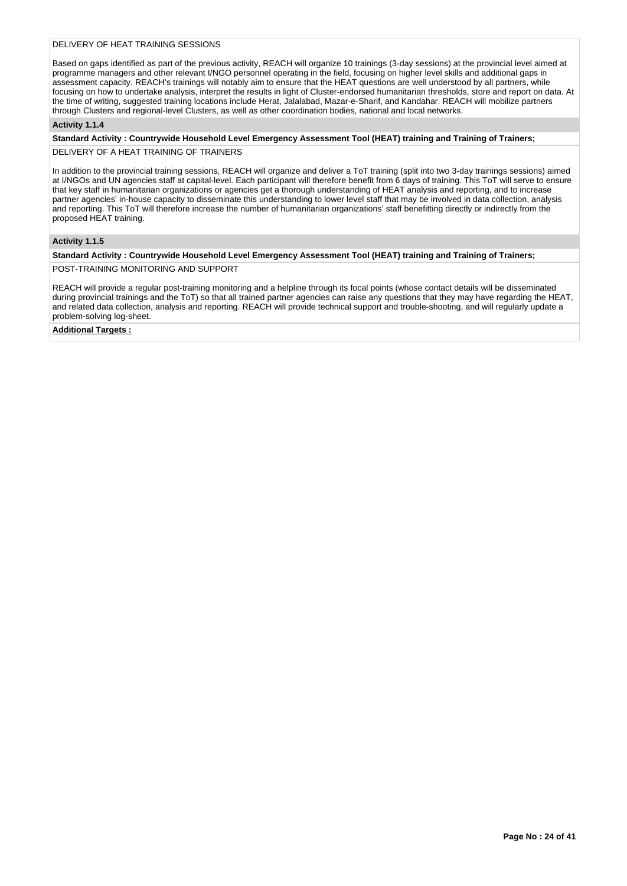## DELIVERY OF HEAT TRAINING SESSIONS

Based on gaps identified as part of the previous activity, REACH will organize 10 trainings (3-day sessions) at the provincial level aimed at programme managers and other relevant I/NGO personnel operating in the field, focusing on higher level skills and additional gaps in assessment capacity. REACH's trainings will notably aim to ensure that the HEAT questions are well understood by all partners, while focusing on how to undertake analysis, interpret the results in light of Cluster-endorsed humanitarian thresholds, store and report on data. At the time of writing, suggested training locations include Herat, Jalalabad, Mazar-e-Sharif, and Kandahar. REACH will mobilize partners through Clusters and regional-level Clusters, as well as other coordination bodies, national and local networks.

## **Activity 1.1.4**

**Standard Activity : Countrywide Household Level Emergency Assessment Tool (HEAT) training and Training of Trainers;** DELIVERY OF A HEAT TRAINING OF TRAINERS

In addition to the provincial training sessions, REACH will organize and deliver a ToT training (split into two 3-day trainings sessions) aimed at I/NGOs and UN agencies staff at capital-level. Each participant will therefore benefit from 6 days of training. This ToT will serve to ensure that key staff in humanitarian organizations or agencies get a thorough understanding of HEAT analysis and reporting, and to increase partner agencies' in-house capacity to disseminate this understanding to lower level staff that may be involved in data collection, analysis and reporting. This ToT will therefore increase the number of humanitarian organizations' staff benefitting directly or indirectly from the proposed HEAT training.

## **Activity 1.1.5**

## **Standard Activity : Countrywide Household Level Emergency Assessment Tool (HEAT) training and Training of Trainers;**

POST-TRAINING MONITORING AND SUPPORT

REACH will provide a regular post-training monitoring and a helpline through its focal points (whose contact details will be disseminated during provincial trainings and the ToT) so that all trained partner agencies can raise any questions that they may have regarding the HEAT, and related data collection, analysis and reporting. REACH will provide technical support and trouble-shooting, and will regularly update a problem-solving log-sheet.

**Additional Targets :**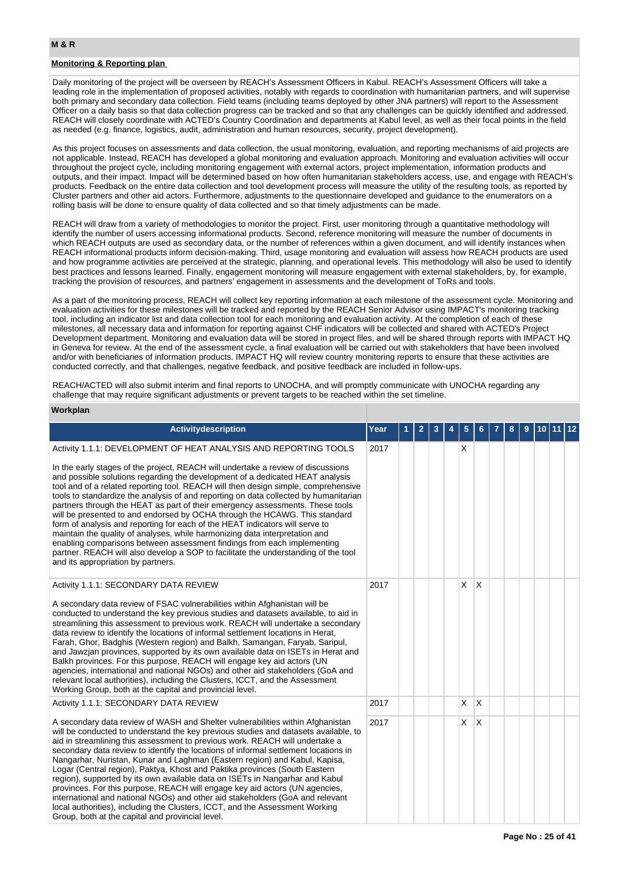## **Monitoring & Reporting plan**

Daily monitoring of the project will be overseen by REACH's Assessment Officers in Kabul. REACH's Assessment Officers will take a leading role in the implementation of proposed activities, notably with regards to coordination with humanitarian partners, and will supervise both primary and secondary data collection. Field teams (including teams deployed by other JNA partners) will report to the Assessment Officer on a daily basis so that data collection progress can be tracked and so that any challenges can be quickly identified and addressed. REACH will closely coordinate with ACTED's Country Coordination and departments at Kabul level, as well as their focal points in the field as needed (e.g. finance, logistics, audit, administration and human resources, security, project development).

As this project focuses on assessments and data collection, the usual monitoring, evaluation, and reporting mechanisms of aid projects are not applicable. Instead, REACH has developed a global monitoring and evaluation approach. Monitoring and evaluation activities will occur throughout the project cycle, including monitoring engagement with external actors, project implementation, information products and outputs, and their impact. Impact will be determined based on how often humanitarian stakeholders access, use, and engage with REACH's products. Feedback on the entire data collection and tool development process will measure the utility of the resulting tools, as reported by Cluster partners and other aid actors. Furthermore, adjustments to the questionnaire developed and guidance to the enumerators on a rolling basis will be done to ensure quality of data collected and so that timely adjustments can be made.

REACH will draw from a variety of methodologies to monitor the project. First, user monitoring through a quantitative methodology will identify the number of users accessing informational products. Second, reference monitoring will measure the number of documents in which REACH outputs are used as secondary data, or the number of references within a given document, and will identify instances when REACH informational products inform decision-making. Third, usage monitoring and evaluation will assess how REACH products are used and how programme activities are perceived at the strategic, planning, and operational levels. This methodology will also be used to identify best practices and lessons learned. Finally, engagement monitoring will measure engagement with external stakeholders, by, for example, tracking the provision of resources, and partners' engagement in assessments and the development of ToRs and tools.

As a part of the monitoring process, REACH will collect key reporting information at each milestone of the assessment cycle. Monitoring and evaluation activities for these milestones will be tracked and reported by the REACH Senior Advisor using IMPACT's monitoring tracking tool, including an indicator list and data collection tool for each monitoring and evaluation activity. At the completion of each of these milestones, all necessary data and information for reporting against CHF indicators will be collected and shared with ACTED's Project Development department. Monitoring and evaluation data will be stored in project files, and will be shared through reports with IMPACT HQ in Geneva for review. At the end of the assessment cycle, a final evaluation will be carried out with stakeholders that have been involved and/or with beneficiaries of information products. IMPACT HQ will review country monitoring reports to ensure that these activities are conducted correctly, and that challenges, negative feedback, and positive feedback are included in follow-ups.

REACH/ACTED will also submit interim and final reports to UNOCHA, and will promptly communicate with UNOCHA regarding any challenge that may require significant adjustments or prevent targets to be reached within the set timeline.

## **Workplan**

| Activitydescription                                                                                                                                                                                                                                                                                                                                                                                                                                                                                                                                                                                                                                                                                                                                                                                                                                                                          | Year | $\mathbf{2}$ | 3 | 5  | 6        | 8 | 9 | 10 11 | 12 |
|----------------------------------------------------------------------------------------------------------------------------------------------------------------------------------------------------------------------------------------------------------------------------------------------------------------------------------------------------------------------------------------------------------------------------------------------------------------------------------------------------------------------------------------------------------------------------------------------------------------------------------------------------------------------------------------------------------------------------------------------------------------------------------------------------------------------------------------------------------------------------------------------|------|--------------|---|----|----------|---|---|-------|----|
| Activity 1.1.1: DEVELOPMENT OF HEAT ANALYSIS AND REPORTING TOOLS                                                                                                                                                                                                                                                                                                                                                                                                                                                                                                                                                                                                                                                                                                                                                                                                                             | 2017 |              |   | X  |          |   |   |       |    |
| In the early stages of the project, REACH will undertake a review of discussions<br>and possible solutions regarding the development of a dedicated HEAT analysis<br>tool and of a related reporting tool. REACH will then design simple, comprehensive<br>tools to standardize the analysis of and reporting on data collected by humanitarian<br>partners through the HEAT as part of their emergency assessments. These tools<br>will be presented to and endorsed by OCHA through the HCAWG. This standard<br>form of analysis and reporting for each of the HEAT indicators will serve to<br>maintain the quality of analyses, while harmonizing data interpretation and<br>enabling comparisons between assessment findings from each implementing<br>partner. REACH will also develop a SOP to facilitate the understanding of the tool<br>and its appropriation by partners.         |      |              |   |    |          |   |   |       |    |
| Activity 1.1.1: SECONDARY DATA REVIEW<br>A secondary data review of FSAC vulnerabilities within Afghanistan will be<br>conducted to understand the key previous studies and datasets available, to aid in<br>streamlining this assessment to previous work. REACH will undertake a secondary<br>data review to identify the locations of informal settlement locations in Herat,<br>Farah, Ghor, Badghis (Western region) and Balkh, Samangan, Faryab, Saripul,<br>and Jawzjan provinces, supported by its own available data on ISETs in Herat and<br>Balkh provinces. For this purpose, REACH will engage key aid actors (UN<br>agencies, international and national NGOs) and other aid stakeholders (GoA and<br>relevant local authorities), including the Clusters, ICCT, and the Assessment<br>Working Group, both at the capital and provincial level.                                | 2017 |              |   | X. | X        |   |   |       |    |
| Activity 1.1.1: SECONDARY DATA REVIEW                                                                                                                                                                                                                                                                                                                                                                                                                                                                                                                                                                                                                                                                                                                                                                                                                                                        | 2017 |              |   | X. | $\times$ |   |   |       |    |
| A secondary data review of WASH and Shelter vulnerabilities within Afghanistan<br>will be conducted to understand the key previous studies and datasets available, to<br>aid in streamlining this assessment to previous work. REACH will undertake a<br>secondary data review to identify the locations of informal settlement locations in<br>Nangarhar, Nuristan, Kunar and Laghman (Eastern region) and Kabul, Kapisa,<br>Logar (Central region), Paktya, Khost and Paktika provinces (South Eastern<br>region), supported by its own available data on ISETs in Nangarhar and Kabul<br>provinces. For this purpose, REACH will engage key aid actors (UN agencies,<br>international and national NGOs) and other aid stakeholders (GoA and relevant<br>local authorities), including the Clusters, ICCT, and the Assessment Working<br>Group, both at the capital and provincial level. | 2017 |              |   | X  | X        |   |   |       |    |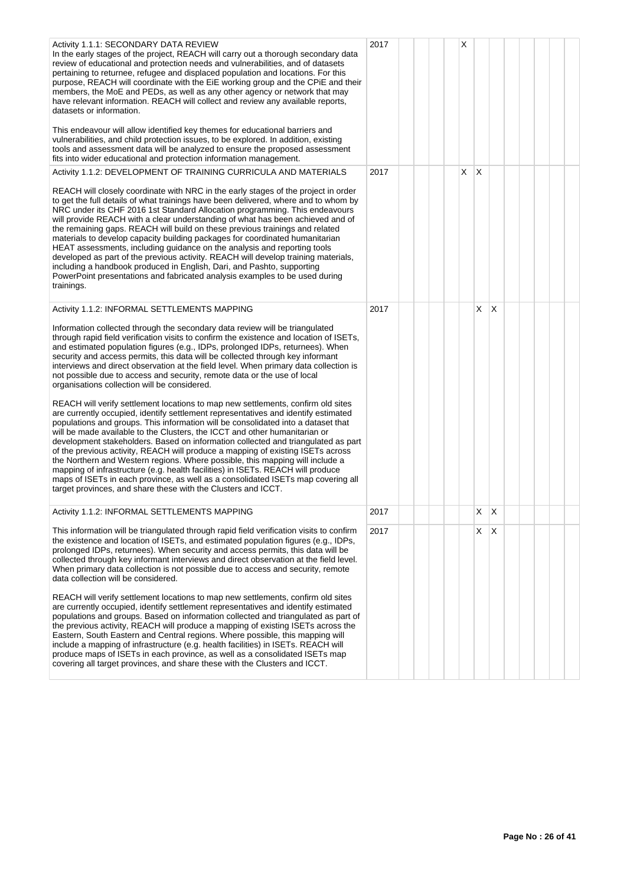| Activity 1.1.1: SECONDARY DATA REVIEW<br>In the early stages of the project, REACH will carry out a thorough secondary data<br>review of educational and protection needs and vulnerabilities, and of datasets<br>pertaining to returnee, refugee and displaced population and locations. For this<br>purpose, REACH will coordinate with the EiE working group and the CPiE and their<br>members, the MoE and PEDs, as well as any other agency or network that may<br>have relevant information. REACH will collect and review any available reports,<br>datasets or information.<br>This endeavour will allow identified key themes for educational barriers and<br>vulnerabilities, and child protection issues, to be explored. In addition, existing<br>tools and assessment data will be analyzed to ensure the proposed assessment<br>fits into wider educational and protection information management.                                                                                                                                                                                                                                                                                                                                                                                                                                                                                               | 2017 |  | Χ |                         |              |  |  |
|----------------------------------------------------------------------------------------------------------------------------------------------------------------------------------------------------------------------------------------------------------------------------------------------------------------------------------------------------------------------------------------------------------------------------------------------------------------------------------------------------------------------------------------------------------------------------------------------------------------------------------------------------------------------------------------------------------------------------------------------------------------------------------------------------------------------------------------------------------------------------------------------------------------------------------------------------------------------------------------------------------------------------------------------------------------------------------------------------------------------------------------------------------------------------------------------------------------------------------------------------------------------------------------------------------------------------------------------------------------------------------------------------------------|------|--|---|-------------------------|--------------|--|--|
| Activity 1.1.2: DEVELOPMENT OF TRAINING CURRICULA AND MATERIALS                                                                                                                                                                                                                                                                                                                                                                                                                                                                                                                                                                                                                                                                                                                                                                                                                                                                                                                                                                                                                                                                                                                                                                                                                                                                                                                                                | 2017 |  | X | $\overline{\mathsf{x}}$ |              |  |  |
| REACH will closely coordinate with NRC in the early stages of the project in order<br>to get the full details of what trainings have been delivered, where and to whom by<br>NRC under its CHF 2016 1st Standard Allocation programming. This endeavours<br>will provide REACH with a clear understanding of what has been achieved and of<br>the remaining gaps. REACH will build on these previous trainings and related<br>materials to develop capacity building packages for coordinated humanitarian<br>HEAT assessments, including guidance on the analysis and reporting tools<br>developed as part of the previous activity. REACH will develop training materials,<br>including a handbook produced in English, Dari, and Pashto, supporting<br>PowerPoint presentations and fabricated analysis examples to be used during<br>trainings.                                                                                                                                                                                                                                                                                                                                                                                                                                                                                                                                                            |      |  |   |                         |              |  |  |
| Activity 1.1.2: INFORMAL SETTLEMENTS MAPPING                                                                                                                                                                                                                                                                                                                                                                                                                                                                                                                                                                                                                                                                                                                                                                                                                                                                                                                                                                                                                                                                                                                                                                                                                                                                                                                                                                   | 2017 |  |   | X                       | X            |  |  |
| Information collected through the secondary data review will be triangulated<br>through rapid field verification visits to confirm the existence and location of ISETs,<br>and estimated population figures (e.g., IDPs, prolonged IDPs, returnees). When<br>security and access permits, this data will be collected through key informant<br>interviews and direct observation at the field level. When primary data collection is<br>not possible due to access and security, remote data or the use of local<br>organisations collection will be considered.<br>REACH will verify settlement locations to map new settlements, confirm old sites<br>are currently occupied, identify settlement representatives and identify estimated<br>populations and groups. This information will be consolidated into a dataset that<br>will be made available to the Clusters, the ICCT and other humanitarian or<br>development stakeholders. Based on information collected and triangulated as part<br>of the previous activity, REACH will produce a mapping of existing ISETs across<br>the Northern and Western regions. Where possible, this mapping will include a<br>mapping of infrastructure (e.g. health facilities) in ISETs. REACH will produce<br>maps of ISETs in each province, as well as a consolidated ISETs map covering all<br>target provinces, and share these with the Clusters and ICCT. |      |  |   |                         |              |  |  |
| Activity 1.1.2: INFORMAL SETTLEMENTS MAPPING                                                                                                                                                                                                                                                                                                                                                                                                                                                                                                                                                                                                                                                                                                                                                                                                                                                                                                                                                                                                                                                                                                                                                                                                                                                                                                                                                                   | 2017 |  |   | X                       | $\mathsf{X}$ |  |  |
| This information will be triangulated through rapid field verification visits to confirm<br>the existence and location of ISETs, and estimated population figures (e.g., IDPs,<br>prolonged IDPs, returnees). When security and access permits, this data will be<br>collected through key informant interviews and direct observation at the field level.<br>When primary data collection is not possible due to access and security, remote<br>data collection will be considered.<br>REACH will verify settlement locations to map new settlements, confirm old sites<br>are currently occupied, identify settlement representatives and identify estimated<br>populations and groups. Based on information collected and triangulated as part of                                                                                                                                                                                                                                                                                                                                                                                                                                                                                                                                                                                                                                                           | 2017 |  |   | $X$ $ X$                |              |  |  |
| the previous activity, REACH will produce a mapping of existing ISETs across the<br>Eastern, South Eastern and Central regions. Where possible, this mapping will<br>include a mapping of infrastructure (e.g. health facilities) in ISETs. REACH will<br>produce maps of ISETs in each province, as well as a consolidated ISETs map<br>covering all target provinces, and share these with the Clusters and ICCT.                                                                                                                                                                                                                                                                                                                                                                                                                                                                                                                                                                                                                                                                                                                                                                                                                                                                                                                                                                                            |      |  |   |                         |              |  |  |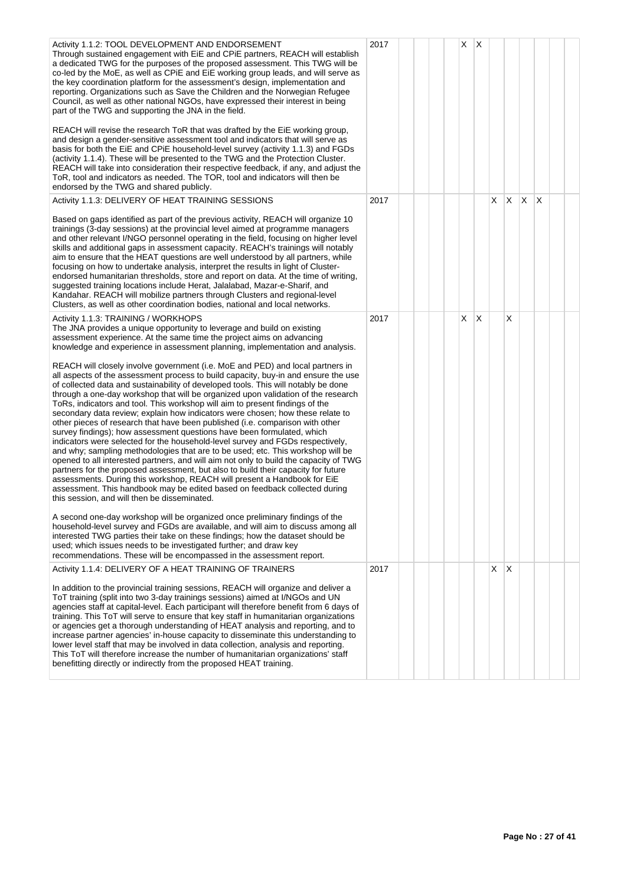| Activity 1.1.2: TOOL DEVELOPMENT AND ENDORSEMENT<br>Through sustained engagement with EiE and CPIE partners, REACH will establish<br>a dedicated TWG for the purposes of the proposed assessment. This TWG will be<br>co-led by the MoE, as well as CPiE and EiE working group leads, and will serve as<br>the key coordination platform for the assessment's design, implementation and<br>reporting. Organizations such as Save the Children and the Norwegian Refugee<br>Council, as well as other national NGOs, have expressed their interest in being<br>part of the TWG and supporting the JNA in the field.<br>REACH will revise the research ToR that was drafted by the EiE working group,<br>and design a gender-sensitive assessment tool and indicators that will serve as<br>basis for both the EiE and CPiE household-level survey (activity 1.1.3) and FGDs<br>(activity 1.1.4). These will be presented to the TWG and the Protection Cluster.<br>REACH will take into consideration their respective feedback, if any, and adjust the<br>ToR, tool and indicators as needed. The TOR, tool and indicators will then be<br>endorsed by the TWG and shared publicly.                                                      | 2017 |  | X | <sup>X</sup> |    |          |     |   |  |
|-------------------------------------------------------------------------------------------------------------------------------------------------------------------------------------------------------------------------------------------------------------------------------------------------------------------------------------------------------------------------------------------------------------------------------------------------------------------------------------------------------------------------------------------------------------------------------------------------------------------------------------------------------------------------------------------------------------------------------------------------------------------------------------------------------------------------------------------------------------------------------------------------------------------------------------------------------------------------------------------------------------------------------------------------------------------------------------------------------------------------------------------------------------------------------------------------------------------------------------------|------|--|---|--------------|----|----------|-----|---|--|
| Activity 1.1.3: DELIVERY OF HEAT TRAINING SESSIONS                                                                                                                                                                                                                                                                                                                                                                                                                                                                                                                                                                                                                                                                                                                                                                                                                                                                                                                                                                                                                                                                                                                                                                                        | 2017 |  |   |              | X. | <b>X</b> | ΙX. | X |  |
| Based on gaps identified as part of the previous activity, REACH will organize 10<br>trainings (3-day sessions) at the provincial level aimed at programme managers<br>and other relevant I/NGO personnel operating in the field, focusing on higher level<br>skills and additional gaps in assessment capacity. REACH's trainings will notably<br>aim to ensure that the HEAT questions are well understood by all partners, while<br>focusing on how to undertake analysis, interpret the results in light of Cluster-<br>endorsed humanitarian thresholds, store and report on data. At the time of writing,<br>suggested training locations include Herat, Jalalabad, Mazar-e-Sharif, and<br>Kandahar. REACH will mobilize partners through Clusters and regional-level<br>Clusters, as well as other coordination bodies, national and local networks.                                                                                                                                                                                                                                                                                                                                                                               |      |  |   |              |    |          |     |   |  |
| Activity 1.1.3: TRAINING / WORKHOPS<br>The JNA provides a unique opportunity to leverage and build on existing<br>assessment experience. At the same time the project aims on advancing<br>knowledge and experience in assessment planning, implementation and analysis.                                                                                                                                                                                                                                                                                                                                                                                                                                                                                                                                                                                                                                                                                                                                                                                                                                                                                                                                                                  | 2017 |  | X | ΙX.          |    | X        |     |   |  |
| REACH will closely involve government (i.e. MoE and PED) and local partners in<br>all aspects of the assessment process to build capacity, buy-in and ensure the use<br>of collected data and sustainability of developed tools. This will notably be done<br>through a one-day workshop that will be organized upon validation of the research<br>ToRs, indicators and tool. This workshop will aim to present findings of the<br>secondary data review; explain how indicators were chosen; how these relate to<br>other pieces of research that have been published (i.e. comparison with other<br>survey findings); how assessment questions have been formulated, which<br>indicators were selected for the household-level survey and FGDs respectively,<br>and why; sampling methodologies that are to be used; etc. This workshop will be<br>opened to all interested partners, and will aim not only to build the capacity of TWG<br>partners for the proposed assessment, but also to build their capacity for future<br>assessments. During this workshop, REACH will present a Handbook for EiE<br>assessment. This handbook may be edited based on feedback collected during<br>this session, and will then be disseminated. |      |  |   |              |    |          |     |   |  |
| A second one-day workshop will be organized once preliminary findings of the<br>household-level survey and FGDs are available, and will aim to discuss among all<br>interested TWG parties their take on these findings; how the dataset should be<br>used; which issues needs to be investigated further; and draw key<br>recommendations. These will be encompassed in the assessment report.                                                                                                                                                                                                                                                                                                                                                                                                                                                                                                                                                                                                                                                                                                                                                                                                                                           |      |  |   |              |    |          |     |   |  |
| Activity 1.1.4: DELIVERY OF A HEAT TRAINING OF TRAINERS                                                                                                                                                                                                                                                                                                                                                                                                                                                                                                                                                                                                                                                                                                                                                                                                                                                                                                                                                                                                                                                                                                                                                                                   | 2017 |  |   |              | X. | ΙX       |     |   |  |
| In addition to the provincial training sessions, REACH will organize and deliver a<br>ToT training (split into two 3-day trainings sessions) aimed at I/NGOs and UN<br>agencies staff at capital-level. Each participant will therefore benefit from 6 days of<br>training. This ToT will serve to ensure that key staff in humanitarian organizations<br>or agencies get a thorough understanding of HEAT analysis and reporting, and to<br>increase partner agencies' in-house capacity to disseminate this understanding to<br>lower level staff that may be involved in data collection, analysis and reporting.<br>This ToT will therefore increase the number of humanitarian organizations' staff<br>benefitting directly or indirectly from the proposed HEAT training.                                                                                                                                                                                                                                                                                                                                                                                                                                                           |      |  |   |              |    |          |     |   |  |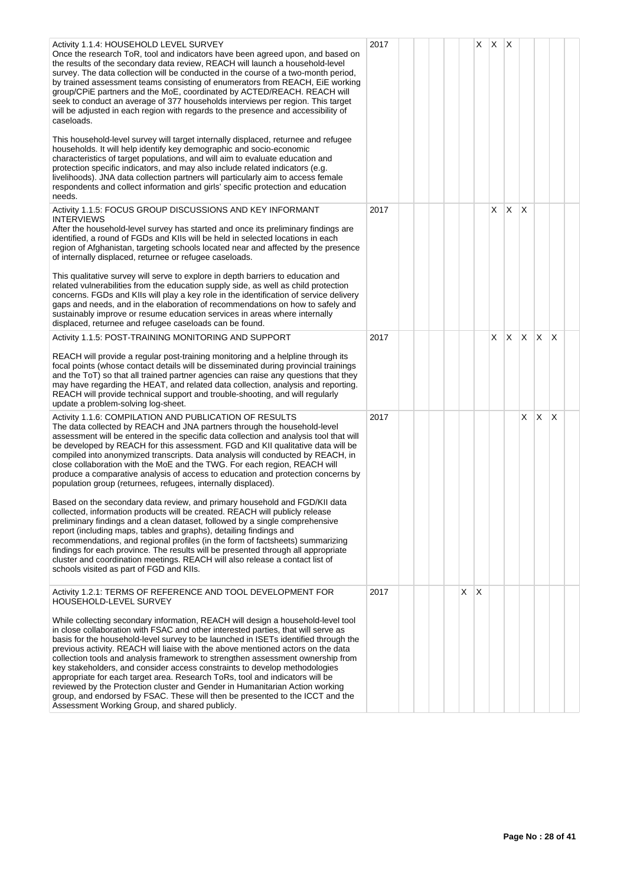| Activity 1.1.4: HOUSEHOLD LEVEL SURVEY<br>Once the research ToR, tool and indicators have been agreed upon, and based on<br>the results of the secondary data review, REACH will launch a household-level<br>survey. The data collection will be conducted in the course of a two-month period,<br>by trained assessment teams consisting of enumerators from REACH, EiE working<br>group/CPiE partners and the MoE, coordinated by ACTED/REACH. REACH will<br>seek to conduct an average of 377 households interviews per region. This target<br>will be adjusted in each region with regards to the presence and accessibility of<br>caseloads.                                                                                                                                                                    | 2017 |  |   | X            | $\mathsf{X}$ | $\mathsf{X}$ |          |              |                 |  |
|----------------------------------------------------------------------------------------------------------------------------------------------------------------------------------------------------------------------------------------------------------------------------------------------------------------------------------------------------------------------------------------------------------------------------------------------------------------------------------------------------------------------------------------------------------------------------------------------------------------------------------------------------------------------------------------------------------------------------------------------------------------------------------------------------------------------|------|--|---|--------------|--------------|--------------|----------|--------------|-----------------|--|
| This household-level survey will target internally displaced, returnee and refugee<br>households. It will help identify key demographic and socio-economic<br>characteristics of target populations, and will aim to evaluate education and<br>protection specific indicators, and may also include related indicators (e.g.<br>livelihoods). JNA data collection partners will particularly aim to access female<br>respondents and collect information and girls' specific protection and education<br>needs.                                                                                                                                                                                                                                                                                                      |      |  |   |              |              |              |          |              |                 |  |
| Activity 1.1.5: FOCUS GROUP DISCUSSIONS AND KEY INFORMANT<br><b>INTERVIEWS</b><br>After the household-level survey has started and once its preliminary findings are<br>identified, a round of FGDs and KIIs will be held in selected locations in each<br>region of Afghanistan, targeting schools located near and affected by the presence<br>of internally displaced, returnee or refugee caseloads.                                                                                                                                                                                                                                                                                                                                                                                                             | 2017 |  |   |              | X.           | $\mathsf{X}$ | X        |              |                 |  |
| This qualitative survey will serve to explore in depth barriers to education and<br>related vulnerabilities from the education supply side, as well as child protection<br>concerns. FGDs and KIIs will play a key role in the identification of service delivery<br>gaps and needs, and in the elaboration of recommendations on how to safely and<br>sustainably improve or resume education services in areas where internally<br>displaced, returnee and refugee caseloads can be found.                                                                                                                                                                                                                                                                                                                         |      |  |   |              |              |              |          |              |                 |  |
| Activity 1.1.5: POST-TRAINING MONITORING AND SUPPORT                                                                                                                                                                                                                                                                                                                                                                                                                                                                                                                                                                                                                                                                                                                                                                 | 2017 |  |   |              | X.           | <b>X</b>     | <b>X</b> | $\mathsf{X}$ | X               |  |
| REACH will provide a regular post-training monitoring and a helpline through its<br>focal points (whose contact details will be disseminated during provincial trainings<br>and the ToT) so that all trained partner agencies can raise any questions that they<br>may have regarding the HEAT, and related data collection, analysis and reporting.<br>REACH will provide technical support and trouble-shooting, and will regularly<br>update a problem-solving log-sheet.                                                                                                                                                                                                                                                                                                                                         |      |  |   |              |              |              |          |              |                 |  |
| Activity 1.1.6: COMPILATION AND PUBLICATION OF RESULTS<br>The data collected by REACH and JNA partners through the household-level<br>assessment will be entered in the specific data collection and analysis tool that will<br>be developed by REACH for this assessment. FGD and KII qualitative data will be<br>compiled into anonymized transcripts. Data analysis will conducted by REACH, in<br>close collaboration with the MoE and the TWG. For each region, REACH will<br>produce a comparative analysis of access to education and protection concerns by<br>population group (returnees, refugees, internally displaced).                                                                                                                                                                                 | 2017 |  |   |              |              |              | X        | X            | $\mathsf{\chi}$ |  |
| Based on the secondary data review, and primary household and FGD/KII data<br>collected, information products will be created. REACH will publicly release<br>preliminary findings and a clean dataset, followed by a single comprehensive<br>report (including maps, tables and graphs), detailing findings and<br>recommendations, and regional profiles (in the form of factsheets) summarizing<br>findings for each province. The results will be presented through all appropriate<br>cluster and coordination meetings. REACH will also release a contact list of<br>schools visited as part of FGD and KIIs.                                                                                                                                                                                                  |      |  |   |              |              |              |          |              |                 |  |
| Activity 1.2.1: TERMS OF REFERENCE AND TOOL DEVELOPMENT FOR<br>HOUSEHOLD-LEVEL SURVEY                                                                                                                                                                                                                                                                                                                                                                                                                                                                                                                                                                                                                                                                                                                                | 2017 |  | X | $\mathsf{X}$ |              |              |          |              |                 |  |
| While collecting secondary information, REACH will design a household-level tool<br>in close collaboration with FSAC and other interested parties, that will serve as<br>basis for the household-level survey to be launched in ISETs identified through the<br>previous activity. REACH will liaise with the above mentioned actors on the data<br>collection tools and analysis framework to strengthen assessment ownership from<br>key stakeholders, and consider access constraints to develop methodologies<br>appropriate for each target area. Research ToRs, tool and indicators will be<br>reviewed by the Protection cluster and Gender in Humanitarian Action working<br>group, and endorsed by FSAC. These will then be presented to the ICCT and the<br>Assessment Working Group, and shared publicly. |      |  |   |              |              |              |          |              |                 |  |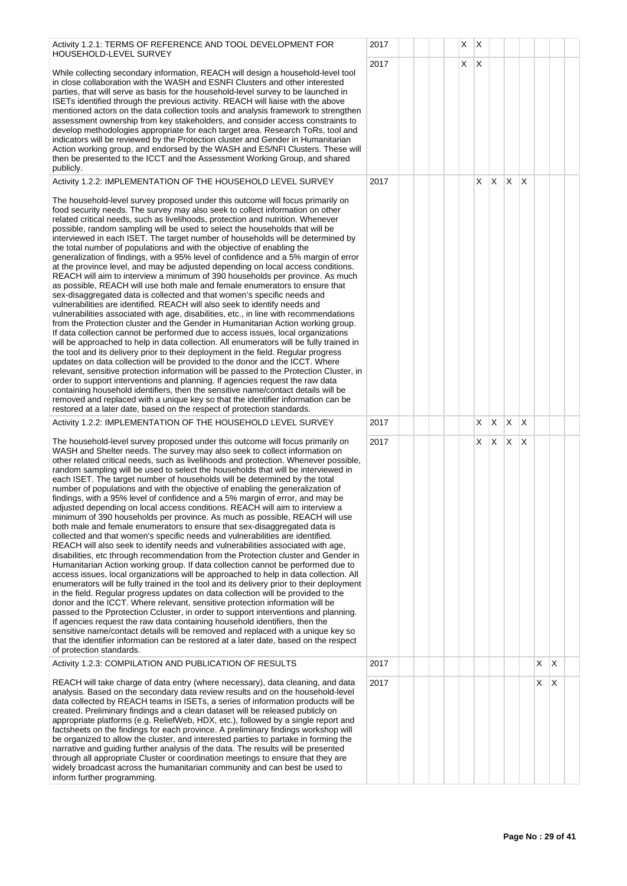| Activity 1.2.1: TERMS OF REFERENCE AND TOOL DEVELOPMENT FOR<br>HOUSEHOLD-LEVEL SURVEY                                                                                                                                                                                                                                                                                                                                                                                                                                                                                                                                                                                                                                                                                                                                                                                                                                                                                                                                                                                                                                                                                                                                                                                                                                                                                                                                                                                                                                                                                                                                                                                                                                                                                                                                                                                                                                                                                 | 2017 |  | X |   | $\mathsf{X}$ |              |              |    |    |   |  |
|-----------------------------------------------------------------------------------------------------------------------------------------------------------------------------------------------------------------------------------------------------------------------------------------------------------------------------------------------------------------------------------------------------------------------------------------------------------------------------------------------------------------------------------------------------------------------------------------------------------------------------------------------------------------------------------------------------------------------------------------------------------------------------------------------------------------------------------------------------------------------------------------------------------------------------------------------------------------------------------------------------------------------------------------------------------------------------------------------------------------------------------------------------------------------------------------------------------------------------------------------------------------------------------------------------------------------------------------------------------------------------------------------------------------------------------------------------------------------------------------------------------------------------------------------------------------------------------------------------------------------------------------------------------------------------------------------------------------------------------------------------------------------------------------------------------------------------------------------------------------------------------------------------------------------------------------------------------------------|------|--|---|---|--------------|--------------|--------------|----|----|---|--|
| While collecting secondary information, REACH will design a household-level tool<br>in close collaboration with the WASH and ESNFI Clusters and other interested<br>parties, that will serve as basis for the household-level survey to be launched in<br>ISETs identified through the previous activity. REACH will liaise with the above<br>mentioned actors on the data collection tools and analysis framework to strengthen<br>assessment ownership from key stakeholders, and consider access constraints to<br>develop methodologies appropriate for each target area. Research ToRs, tool and<br>indicators will be reviewed by the Protection cluster and Gender in Humanitarian<br>Action working group, and endorsed by the WASH and ES/NFI Clusters. These will<br>then be presented to the ICCT and the Assessment Working Group, and shared<br>publicly.                                                                                                                                                                                                                                                                                                                                                                                                                                                                                                                                                                                                                                                                                                                                                                                                                                                                                                                                                                                                                                                                                                | 2017 |  |   | X | $\mathsf{X}$ |              |              |    |    |   |  |
| Activity 1.2.2: IMPLEMENTATION OF THE HOUSEHOLD LEVEL SURVEY                                                                                                                                                                                                                                                                                                                                                                                                                                                                                                                                                                                                                                                                                                                                                                                                                                                                                                                                                                                                                                                                                                                                                                                                                                                                                                                                                                                                                                                                                                                                                                                                                                                                                                                                                                                                                                                                                                          | 2017 |  |   |   | X.           | X.           | X.           | ΙX |    |   |  |
| The household-level survey proposed under this outcome will focus primarily on<br>food security needs. The survey may also seek to collect information on other<br>related critical needs, such as livelihoods, protection and nutrition. Whenever<br>possible, random sampling will be used to select the households that will be<br>interviewed in each ISET. The target number of households will be determined by<br>the total number of populations and with the objective of enabling the<br>generalization of findings, with a 95% level of confidence and a 5% margin of error<br>at the province level, and may be adjusted depending on local access conditions.<br>REACH will aim to interview a minimum of 390 households per province. As much<br>as possible, REACH will use both male and female enumerators to ensure that<br>sex-disaggregated data is collected and that women's specific needs and<br>vulnerabilities are identified. REACH will also seek to identify needs and<br>vulnerabilities associated with age, disabilities, etc., in line with recommendations<br>from the Protection cluster and the Gender in Humanitarian Action working group.<br>If data collection cannot be performed due to access issues, local organizations<br>will be approached to help in data collection. All enumerators will be fully trained in<br>the tool and its delivery prior to their deployment in the field. Regular progress<br>updates on data collection will be provided to the donor and the ICCT. Where<br>relevant, sensitive protection information will be passed to the Protection Cluster, in<br>order to support interventions and planning. If agencies request the raw data<br>containing household identifiers, then the sensitive name/contact details will be<br>removed and replaced with a unique key so that the identifier information can be<br>restored at a later date, based on the respect of protection standards. |      |  |   |   |              |              |              |    |    |   |  |
| Activity 1.2.2: IMPLEMENTATION OF THE HOUSEHOLD LEVEL SURVEY                                                                                                                                                                                                                                                                                                                                                                                                                                                                                                                                                                                                                                                                                                                                                                                                                                                                                                                                                                                                                                                                                                                                                                                                                                                                                                                                                                                                                                                                                                                                                                                                                                                                                                                                                                                                                                                                                                          | 2017 |  |   |   | X            | X            | $\mathsf{X}$ | X  |    |   |  |
| The household-level survey proposed under this outcome will focus primarily on<br>WASH and Shelter needs. The survey may also seek to collect information on<br>other related critical needs, such as livelihoods and protection. Whenever possible,<br>random sampling will be used to select the households that will be interviewed in<br>each ISET. The target number of households will be determined by the total<br>number of populations and with the objective of enabling the generalization of<br>findings, with a 95% level of confidence and a 5% margin of error, and may be<br>adjusted depending on local access conditions. REACH will aim to interview a<br>minimum of 390 households per province. As much as possible, REACH will use<br>both male and female enumerators to ensure that sex-disaggregated data is<br>collected and that women's specific needs and vulnerabilities are identified.<br>REACH will also seek to identify needs and vulnerabilities associated with age,<br>disabilities, etc through recommendation from the Protection cluster and Gender in<br>Humanitarian Action working group. If data collection cannot be performed due to<br>access issues, local organizations will be approached to help in data collection. All<br>enumerators will be fully trained in the tool and its delivery prior to their deployment<br>in the field. Regular progress updates on data collection will be provided to the<br>donor and the ICCT. Where relevant, sensitive protection information will be<br>passed to the Pprotection Ccluster, in order to support interventions and planning.<br>If agencies request the raw data containing household identifiers, then the<br>sensitive name/contact details will be removed and replaced with a unique key so<br>that the identifier information can be restored at a later date, based on the respect<br>of protection standards.                                         | 2017 |  |   |   | X.           | $\mathsf{X}$ | X            | Χ  |    |   |  |
| Activity 1.2.3: COMPILATION AND PUBLICATION OF RESULTS                                                                                                                                                                                                                                                                                                                                                                                                                                                                                                                                                                                                                                                                                                                                                                                                                                                                                                                                                                                                                                                                                                                                                                                                                                                                                                                                                                                                                                                                                                                                                                                                                                                                                                                                                                                                                                                                                                                | 2017 |  |   |   |              |              |              |    | X. | X |  |
| REACH will take charge of data entry (where necessary), data cleaning, and data<br>analysis. Based on the secondary data review results and on the household-level<br>data collected by REACH teams in ISETs, a series of information products will be<br>created. Preliminary findings and a clean dataset will be released publicly on<br>appropriate platforms (e.g. ReliefWeb, HDX, etc.), followed by a single report and<br>factsheets on the findings for each province. A preliminary findings workshop will<br>be organized to allow the cluster, and interested parties to partake in forming the<br>narrative and guiding further analysis of the data. The results will be presented<br>through all appropriate Cluster or coordination meetings to ensure that they are<br>widely broadcast across the humanitarian community and can best be used to<br>inform further programming.                                                                                                                                                                                                                                                                                                                                                                                                                                                                                                                                                                                                                                                                                                                                                                                                                                                                                                                                                                                                                                                                     | 2017 |  |   |   |              |              |              |    | X. | X |  |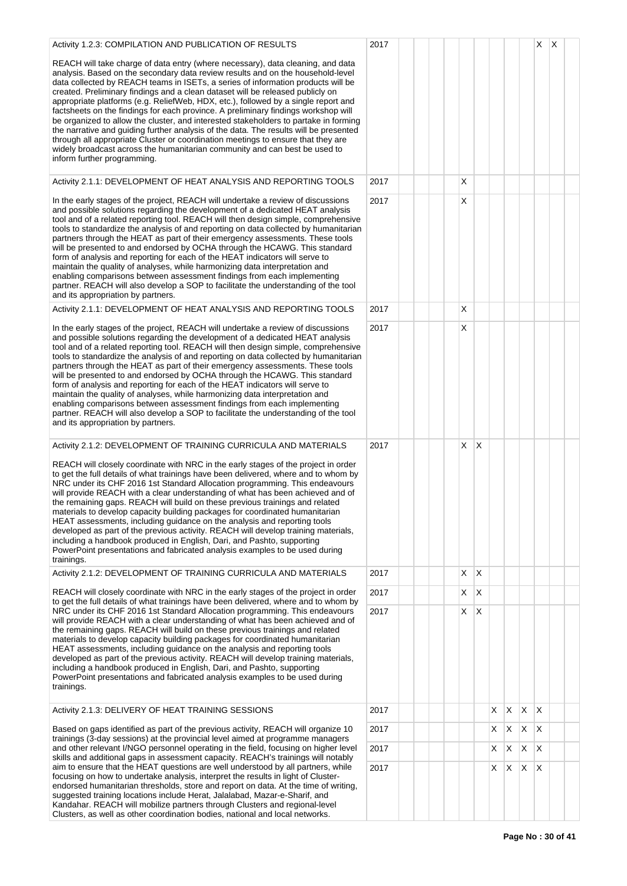| Activity 1.2.3: COMPILATION AND PUBLICATION OF RESULTS                                                                                                                                                                                                                                                                                                                                                                                                                                                                                                                                                                                                                                                                                                                                                                                                                                                 | 2017 |  |   |              |   |              |    | X                       | Х |  |
|--------------------------------------------------------------------------------------------------------------------------------------------------------------------------------------------------------------------------------------------------------------------------------------------------------------------------------------------------------------------------------------------------------------------------------------------------------------------------------------------------------------------------------------------------------------------------------------------------------------------------------------------------------------------------------------------------------------------------------------------------------------------------------------------------------------------------------------------------------------------------------------------------------|------|--|---|--------------|---|--------------|----|-------------------------|---|--|
| REACH will take charge of data entry (where necessary), data cleaning, and data<br>analysis. Based on the secondary data review results and on the household-level<br>data collected by REACH teams in ISETs, a series of information products will be<br>created. Preliminary findings and a clean dataset will be released publicly on<br>appropriate platforms (e.g. ReliefWeb, HDX, etc.), followed by a single report and<br>factsheets on the findings for each province. A preliminary findings workshop will<br>be organized to allow the cluster, and interested stakeholders to partake in forming<br>the narrative and guiding further analysis of the data. The results will be presented<br>through all appropriate Cluster or coordination meetings to ensure that they are<br>widely broadcast across the humanitarian community and can best be used to<br>inform further programming. |      |  |   |              |   |              |    |                         |   |  |
| Activity 2.1.1: DEVELOPMENT OF HEAT ANALYSIS AND REPORTING TOOLS                                                                                                                                                                                                                                                                                                                                                                                                                                                                                                                                                                                                                                                                                                                                                                                                                                       | 2017 |  | X |              |   |              |    |                         |   |  |
| In the early stages of the project, REACH will undertake a review of discussions<br>and possible solutions regarding the development of a dedicated HEAT analysis<br>tool and of a related reporting tool. REACH will then design simple, comprehensive<br>tools to standardize the analysis of and reporting on data collected by humanitarian<br>partners through the HEAT as part of their emergency assessments. These tools<br>will be presented to and endorsed by OCHA through the HCAWG. This standard<br>form of analysis and reporting for each of the HEAT indicators will serve to<br>maintain the quality of analyses, while harmonizing data interpretation and<br>enabling comparisons between assessment findings from each implementing<br>partner. REACH will also develop a SOP to facilitate the understanding of the tool<br>and its appropriation by partners.                   | 2017 |  | Х |              |   |              |    |                         |   |  |
| Activity 2.1.1: DEVELOPMENT OF HEAT ANALYSIS AND REPORTING TOOLS                                                                                                                                                                                                                                                                                                                                                                                                                                                                                                                                                                                                                                                                                                                                                                                                                                       | 2017 |  | Х |              |   |              |    |                         |   |  |
| In the early stages of the project, REACH will undertake a review of discussions<br>and possible solutions regarding the development of a dedicated HEAT analysis<br>tool and of a related reporting tool. REACH will then design simple, comprehensive<br>tools to standardize the analysis of and reporting on data collected by humanitarian<br>partners through the HEAT as part of their emergency assessments. These tools<br>will be presented to and endorsed by OCHA through the HCAWG. This standard<br>form of analysis and reporting for each of the HEAT indicators will serve to<br>maintain the quality of analyses, while harmonizing data interpretation and<br>enabling comparisons between assessment findings from each implementing<br>partner. REACH will also develop a SOP to facilitate the understanding of the tool<br>and its appropriation by partners.                   | 2017 |  | X |              |   |              |    |                         |   |  |
| Activity 2.1.2: DEVELOPMENT OF TRAINING CURRICULA AND MATERIALS                                                                                                                                                                                                                                                                                                                                                                                                                                                                                                                                                                                                                                                                                                                                                                                                                                        | 2017 |  | X | $\mathsf{X}$ |   |              |    |                         |   |  |
| REACH will closely coordinate with NRC in the early stages of the project in order<br>to get the full details of what trainings have been delivered, where and to whom by<br>NRC under its CHF 2016 1st Standard Allocation programming. This endeavours<br>will provide REACH with a clear understanding of what has been achieved and of<br>the remaining gaps. REACH will build on these previous trainings and related<br>materials to develop capacity building packages for coordinated humanitarian<br>HEAT assessments, including guidance on the analysis and reporting tools<br>developed as part of the previous activity. REACH will develop training materials,<br>including a handbook produced in English, Dari, and Pashto, supporting<br>PowerPoint presentations and fabricated analysis examples to be used during<br>trainings.                                                    |      |  |   |              |   |              |    |                         |   |  |
| Activity 2.1.2: DEVELOPMENT OF TRAINING CURRICULA AND MATERIALS                                                                                                                                                                                                                                                                                                                                                                                                                                                                                                                                                                                                                                                                                                                                                                                                                                        | 2017 |  | X | X            |   |              |    |                         |   |  |
| REACH will closely coordinate with NRC in the early stages of the project in order<br>to get the full details of what trainings have been delivered, where and to whom by                                                                                                                                                                                                                                                                                                                                                                                                                                                                                                                                                                                                                                                                                                                              | 2017 |  | Х | $\mathsf{X}$ |   |              |    |                         |   |  |
| NRC under its CHF 2016 1st Standard Allocation programming. This endeavours<br>will provide REACH with a clear understanding of what has been achieved and of<br>the remaining gaps. REACH will build on these previous trainings and related<br>materials to develop capacity building packages for coordinated humanitarian<br>HEAT assessments, including guidance on the analysis and reporting tools<br>developed as part of the previous activity. REACH will develop training materials,<br>including a handbook produced in English, Dari, and Pashto, supporting<br>PowerPoint presentations and fabricated analysis examples to be used during<br>trainings.                                                                                                                                                                                                                                 | 2017 |  | Χ | Х            |   |              |    |                         |   |  |
| Activity 2.1.3: DELIVERY OF HEAT TRAINING SESSIONS                                                                                                                                                                                                                                                                                                                                                                                                                                                                                                                                                                                                                                                                                                                                                                                                                                                     | 2017 |  |   |              | X | X.           | X. | $\overline{\mathsf{x}}$ |   |  |
| Based on gaps identified as part of the previous activity, REACH will organize 10<br>trainings (3-day sessions) at the provincial level aimed at programme managers                                                                                                                                                                                                                                                                                                                                                                                                                                                                                                                                                                                                                                                                                                                                    | 2017 |  |   |              | Х | $\mathsf{X}$ | X  | X                       |   |  |
| and other relevant I/NGO personnel operating in the field, focusing on higher level<br>skills and additional gaps in assessment capacity. REACH's trainings will notably                                                                                                                                                                                                                                                                                                                                                                                                                                                                                                                                                                                                                                                                                                                               | 2017 |  |   |              | Х | X            | X  | X                       |   |  |
| aim to ensure that the HEAT questions are well understood by all partners, while<br>focusing on how to undertake analysis, interpret the results in light of Cluster-<br>endorsed humanitarian thresholds, store and report on data. At the time of writing,<br>suggested training locations include Herat, Jalalabad, Mazar-e-Sharif, and<br>Kandahar. REACH will mobilize partners through Clusters and regional-level<br>Clusters, as well as other coordination bodies, national and local networks.                                                                                                                                                                                                                                                                                                                                                                                               | 2017 |  |   |              | X | X.           | X. | $\mathsf{X}$            |   |  |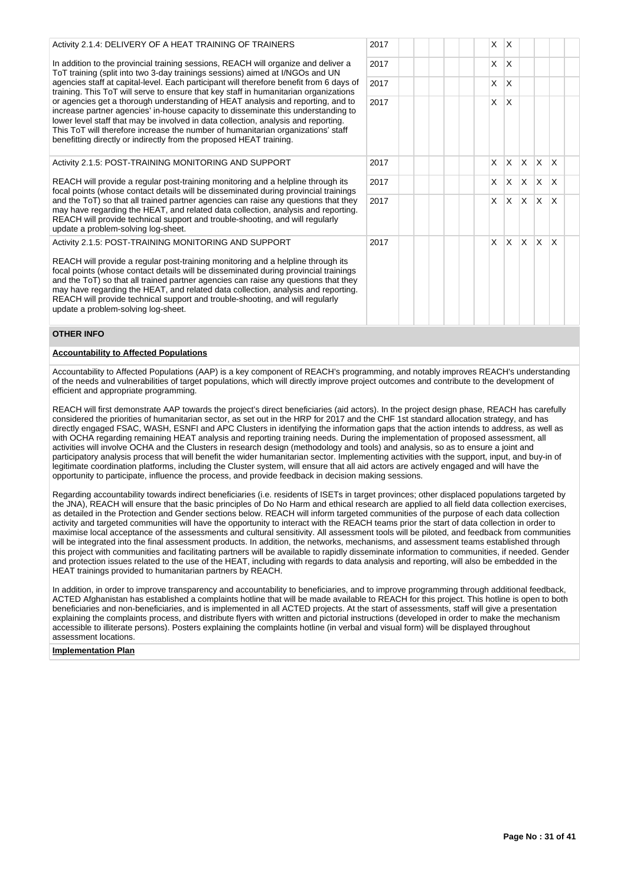| $\overline{1}$ . Ouvily a term to be a transfer to the set of the set of the set of the set of the set of the set of the set of the set of the set of the set of the set of the set of the set of the set of the set of the set of |
|------------------------------------------------------------------------------------------------------------------------------------------------------------------------------------------------------------------------------------|
| In addition to the provincial training sessions, REACH will organize and deliver a                                                                                                                                                 |
| ToT training (split into two 3-day trainings sessions) aimed at I/NGOs and UN                                                                                                                                                      |
| agencies staff at capital-level. Each participant will therefore benefit from 6 days of                                                                                                                                            |
| training. This ToT will serve to ensure that key staff in humanitarian organizations                                                                                                                                               |
| or agencies get a thorough understanding of HEAT analysis and reporting, and to                                                                                                                                                    |
| increase partner agencies' in-house capacity to disseminate this understanding to                                                                                                                                                  |
| lower level staff that may be involved in data collection, analysis and reporting.                                                                                                                                                 |
| This ToT will therefore increase the number of humanitarian organizations' staff                                                                                                                                                   |
| benefitting directly or indirectly from the proposed HEAT training.                                                                                                                                                                |

## Activity 2.1.5: POST-TRAINING MONITORING AND SUPPORT

Activity 2.1.4: DELIVERY OF A HEAT TRAINING OF TRAINERS

REACH will provide a regular post-training monitoring and a helpline through its focal points (whose contact details will be disseminated during provincial trainings and the ToT) so that all trained partner agencies can raise any questions that they may have regarding the HEAT, and related data collection, analysis and reporting. REACH will provide technical support and trouble-shooting, and will regularly update a problem-solving log-sheet.

Activity 2.1.5: POST-TRAINING MONITORING AND SUPPORT

REACH will provide a regular post-training monitoring and a helpline through its focal points (whose contact details will be disseminated during provincial trainings and the ToT) so that all trained partner agencies can raise any questions that they may have regarding the HEAT, and related data collection, analysis and reporting. REACH will provide technical support and trouble-shooting, and will regularly update a problem-solving log-sheet.

# 2017 X X 2017 X X 2017 X X X X X 2017 X X X X X 2017 X X X X X 2017 X X X X X

2017 X X 2017 X X

#### **OTHER INFO**

## **Accountability to Affected Populations**

Accountability to Affected Populations (AAP) is a key component of REACH's programming, and notably improves REACH's understanding of the needs and vulnerabilities of target populations, which will directly improve project outcomes and contribute to the development of efficient and appropriate programming.

REACH will first demonstrate AAP towards the project's direct beneficiaries (aid actors). In the project design phase, REACH has carefully considered the priorities of humanitarian sector, as set out in the HRP for 2017 and the CHF 1st standard allocation strategy, and has directly engaged FSAC, WASH, ESNFI and APC Clusters in identifying the information gaps that the action intends to address, as well as with OCHA regarding remaining HEAT analysis and reporting training needs. During the implementation of proposed assessment, all activities will involve OCHA and the Clusters in research design (methodology and tools) and analysis, so as to ensure a joint and participatory analysis process that will benefit the wider humanitarian sector. Implementing activities with the support, input, and buy-in of legitimate coordination platforms, including the Cluster system, will ensure that all aid actors are actively engaged and will have the opportunity to participate, influence the process, and provide feedback in decision making sessions.

Regarding accountability towards indirect beneficiaries (i.e. residents of ISETs in target provinces; other displaced populations targeted by the JNA), REACH will ensure that the basic principles of Do No Harm and ethical research are applied to all field data collection exercises, as detailed in the Protection and Gender sections below. REACH will inform targeted communities of the purpose of each data collection activity and targeted communities will have the opportunity to interact with the REACH teams prior the start of data collection in order to maximise local acceptance of the assessments and cultural sensitivity. All assessment tools will be piloted, and feedback from communities will be integrated into the final assessment products. In addition, the networks, mechanisms, and assessment teams established through this project with communities and facilitating partners will be available to rapidly disseminate information to communities, if needed. Gender and protection issues related to the use of the HEAT, including with regards to data analysis and reporting, will also be embedded in the HEAT trainings provided to humanitarian partners by REACH.

In addition, in order to improve transparency and accountability to beneficiaries, and to improve programming through additional feedback, ACTED Afghanistan has established a complaints hotline that will be made available to REACH for this project. This hotline is open to both beneficiaries and non-beneficiaries, and is implemented in all ACTED projects. At the start of assessments, staff will give a presentation explaining the complaints process, and distribute flyers with written and pictorial instructions (developed in order to make the mechanism accessible to illiterate persons). Posters explaining the complaints hotline (in verbal and visual form) will be displayed throughout assessment locations.

## **Implementation Plan**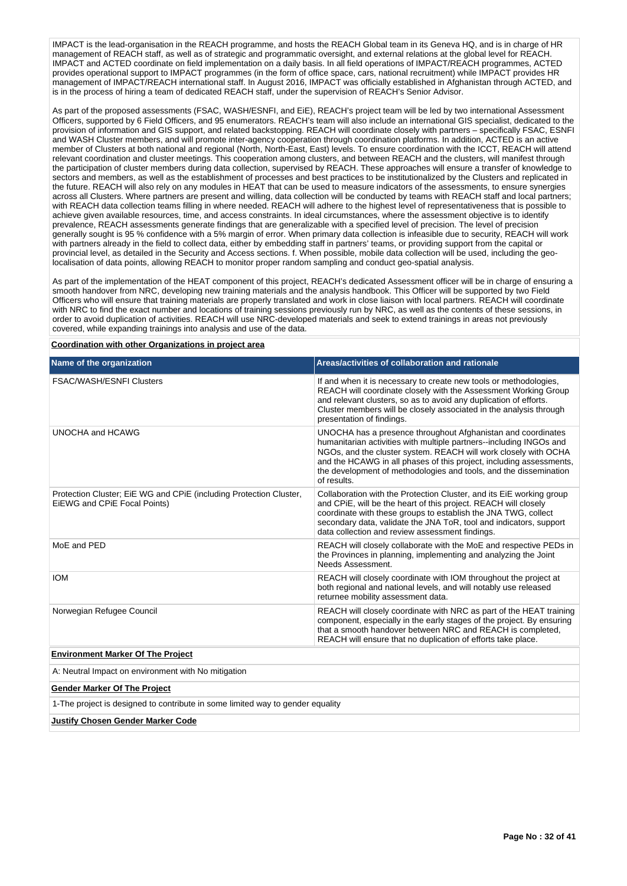IMPACT is the lead-organisation in the REACH programme, and hosts the REACH Global team in its Geneva HQ, and is in charge of HR management of REACH staff, as well as of strategic and programmatic oversight, and external relations at the global level for REACH. IMPACT and ACTED coordinate on field implementation on a daily basis. In all field operations of IMPACT/REACH programmes, ACTED provides operational support to IMPACT programmes (in the form of office space, cars, national recruitment) while IMPACT provides HR management of IMPACT/REACH international staff. In August 2016, IMPACT was officially established in Afghanistan through ACTED, and is in the process of hiring a team of dedicated REACH staff, under the supervision of REACH's Senior Advisor.

As part of the proposed assessments (FSAC, WASH/ESNFI, and EiE), REACH's project team will be led by two international Assessment Officers, supported by 6 Field Officers, and 95 enumerators. REACH's team will also include an international GIS specialist, dedicated to the provision of information and GIS support, and related backstopping. REACH will coordinate closely with partners – specifically FSAC, ESNFI and WASH Cluster members, and will promote inter-agency cooperation through coordination platforms. In addition, ACTED is an active member of Clusters at both national and regional (North, North-East, East) levels. To ensure coordination with the ICCT, REACH will attend relevant coordination and cluster meetings. This cooperation among clusters, and between REACH and the clusters, will manifest through the participation of cluster members during data collection, supervised by REACH. These approaches will ensure a transfer of knowledge to sectors and members, as well as the establishment of processes and best practices to be institutionalized by the Clusters and replicated in the future. REACH will also rely on any modules in HEAT that can be used to measure indicators of the assessments, to ensure synergies across all Clusters. Where partners are present and willing, data collection will be conducted by teams with REACH staff and local partners; with REACH data collection teams filling in where needed. REACH will adhere to the highest level of representativeness that is possible to achieve given available resources, time, and access constraints. In ideal circumstances, where the assessment objective is to identify prevalence, REACH assessments generate findings that are generalizable with a specified level of precision. The level of precision generally sought is 95 % confidence with a 5% margin of error. When primary data collection is infeasible due to security, REACH will work with partners already in the field to collect data, either by embedding staff in partners' teams, or providing support from the capital or provincial level, as detailed in the Security and Access sections. f. When possible, mobile data collection will be used, including the geolocalisation of data points, allowing REACH to monitor proper random sampling and conduct geo-spatial analysis.

As part of the implementation of the HEAT component of this project, REACH's dedicated Assessment officer will be in charge of ensuring a smooth handover from NRC, developing new training materials and the analysis handbook. This Officer will be supported by two Field Officers who will ensure that training materials are properly translated and work in close liaison with local partners. REACH will coordinate with NRC to find the exact number and locations of training sessions previously run by NRC, as well as the contents of these sessions, in order to avoid duplication of activities. REACH will use NRC-developed materials and seek to extend trainings in areas not previously covered, while expanding trainings into analysis and use of the data.

**Coordination with other Organizations in project area**

| Name of the organization                                                                           | Areas/activities of collaboration and rationale                                                                                                                                                                                                                                                                                                                   |
|----------------------------------------------------------------------------------------------------|-------------------------------------------------------------------------------------------------------------------------------------------------------------------------------------------------------------------------------------------------------------------------------------------------------------------------------------------------------------------|
| <b>FSAC/WASH/ESNFI Clusters</b>                                                                    | If and when it is necessary to create new tools or methodologies,<br>REACH will coordinate closely with the Assessment Working Group<br>and relevant clusters, so as to avoid any duplication of efforts.<br>Cluster members will be closely associated in the analysis through<br>presentation of findings.                                                      |
| UNOCHA and HCAWG                                                                                   | UNOCHA has a presence throughout Afghanistan and coordinates<br>humanitarian activities with multiple partners--including INGOs and<br>NGOs, and the cluster system. REACH will work closely with OCHA<br>and the HCAWG in all phases of this project, including assessments,<br>the development of methodologies and tools, and the dissemination<br>of results. |
| Protection Cluster; EiE WG and CPiE (including Protection Cluster,<br>EIEWG and CPIE Focal Points) | Collaboration with the Protection Cluster, and its EiE working group<br>and CPIE, will be the heart of this project. REACH will closely<br>coordinate with these groups to establish the JNA TWG, collect<br>secondary data, validate the JNA ToR, tool and indicators, support<br>data collection and review assessment findings.                                |
| MoE and PED                                                                                        | REACH will closely collaborate with the MoE and respective PEDs in<br>the Provinces in planning, implementing and analyzing the Joint<br>Needs Assessment.                                                                                                                                                                                                        |
| <b>IOM</b>                                                                                         | REACH will closely coordinate with IOM throughout the project at<br>both regional and national levels, and will notably use released<br>returnee mobility assessment data.                                                                                                                                                                                        |
| Norwegian Refugee Council                                                                          | REACH will closely coordinate with NRC as part of the HEAT training<br>component, especially in the early stages of the project. By ensuring<br>that a smooth handover between NRC and REACH is completed,<br>REACH will ensure that no duplication of efforts take place.                                                                                        |
| <b>Environment Marker Of The Project</b>                                                           |                                                                                                                                                                                                                                                                                                                                                                   |
| A: Neutral Impact on environment with No mitigation                                                |                                                                                                                                                                                                                                                                                                                                                                   |
| <b>Gender Marker Of The Project</b>                                                                |                                                                                                                                                                                                                                                                                                                                                                   |
| 1-The project is designed to contribute in some limited way to gender equality                     |                                                                                                                                                                                                                                                                                                                                                                   |
| <b>Justify Chosen Gender Marker Code</b>                                                           |                                                                                                                                                                                                                                                                                                                                                                   |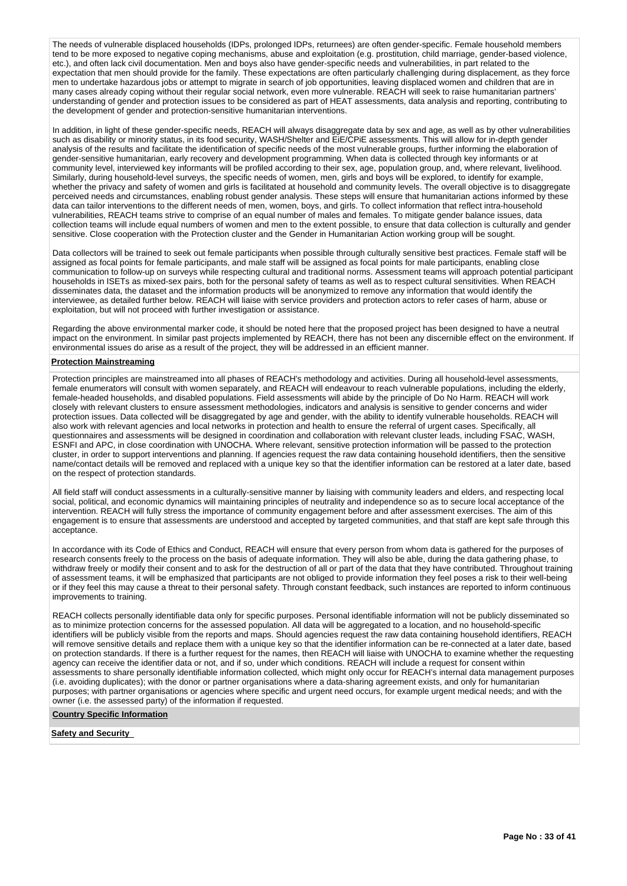The needs of vulnerable displaced households (IDPs, prolonged IDPs, returnees) are often gender-specific. Female household members tend to be more exposed to negative coping mechanisms, abuse and exploitation (e.g. prostitution, child marriage, gender-based violence, etc.), and often lack civil documentation. Men and boys also have gender-specific needs and vulnerabilities, in part related to the expectation that men should provide for the family. These expectations are often particularly challenging during displacement, as they force men to undertake hazardous jobs or attempt to migrate in search of job opportunities, leaving displaced women and children that are in many cases already coping without their regular social network, even more vulnerable. REACH will seek to raise humanitarian partners' understanding of gender and protection issues to be considered as part of HEAT assessments, data analysis and reporting, contributing to the development of gender and protection-sensitive humanitarian interventions.

In addition, in light of these gender-specific needs, REACH will always disaggregate data by sex and age, as well as by other vulnerabilities such as disability or minority status, in its food security, WASH/Shelter and EiE/CPiE assessments. This will allow for in-depth gender analysis of the results and facilitate the identification of specific needs of the most vulnerable groups, further informing the elaboration of gender-sensitive humanitarian, early recovery and development programming. When data is collected through key informants or at community level, interviewed key informants will be profiled according to their sex, age, population group, and, where relevant, livelihood. Similarly, during household-level surveys, the specific needs of women, men, girls and boys will be explored, to identify for example, whether the privacy and safety of women and girls is facilitated at household and community levels. The overall objective is to disaggregate perceived needs and circumstances, enabling robust gender analysis. These steps will ensure that humanitarian actions informed by these data can tailor interventions to the different needs of men, women, boys, and girls. To collect information that reflect intra-household vulnerabilities, REACH teams strive to comprise of an equal number of males and females. To mitigate gender balance issues, data collection teams will include equal numbers of women and men to the extent possible, to ensure that data collection is culturally and gender sensitive. Close cooperation with the Protection cluster and the Gender in Humanitarian Action working group will be sought.

Data collectors will be trained to seek out female participants when possible through culturally sensitive best practices. Female staff will be assigned as focal points for female participants, and male staff will be assigned as focal points for male participants, enabling close communication to follow-up on surveys while respecting cultural and traditional norms. Assessment teams will approach potential participant households in ISETs as mixed-sex pairs, both for the personal safety of teams as well as to respect cultural sensitivities. When REACH disseminates data, the dataset and the information products will be anonymized to remove any information that would identify the interviewee, as detailed further below. REACH will liaise with service providers and protection actors to refer cases of harm, abuse or exploitation, but will not proceed with further investigation or assistance.

Regarding the above environmental marker code, it should be noted here that the proposed project has been designed to have a neutral impact on the environment. In similar past projects implemented by REACH, there has not been any discernible effect on the environment. If environmental issues do arise as a result of the project, they will be addressed in an efficient manner.

### **Protection Mainstreaming**

Protection principles are mainstreamed into all phases of REACH's methodology and activities. During all household-level assessments, female enumerators will consult with women separately, and REACH will endeavour to reach vulnerable populations, including the elderly, female-headed households, and disabled populations. Field assessments will abide by the principle of Do No Harm. REACH will work closely with relevant clusters to ensure assessment methodologies, indicators and analysis is sensitive to gender concerns and wider protection issues. Data collected will be disaggregated by age and gender, with the ability to identify vulnerable households. REACH will also work with relevant agencies and local networks in protection and health to ensure the referral of urgent cases. Specifically, all questionnaires and assessments will be designed in coordination and collaboration with relevant cluster leads, including FSAC, WASH, ESNFI and APC, in close coordination with UNOCHA. Where relevant, sensitive protection information will be passed to the protection cluster, in order to support interventions and planning. If agencies request the raw data containing household identifiers, then the sensitive name/contact details will be removed and replaced with a unique key so that the identifier information can be restored at a later date, based on the respect of protection standards.

All field staff will conduct assessments in a culturally-sensitive manner by liaising with community leaders and elders, and respecting local social, political, and economic dynamics will maintaining principles of neutrality and independence so as to secure local acceptance of the intervention. REACH will fully stress the importance of community engagement before and after assessment exercises. The aim of this engagement is to ensure that assessments are understood and accepted by targeted communities, and that staff are kept safe through this acceptance.

In accordance with its Code of Ethics and Conduct, REACH will ensure that every person from whom data is gathered for the purposes of research consents freely to the process on the basis of adequate information. They will also be able, during the data gathering phase, to withdraw freely or modify their consent and to ask for the destruction of all or part of the data that they have contributed. Throughout training of assessment teams, it will be emphasized that participants are not obliged to provide information they feel poses a risk to their well-being or if they feel this may cause a threat to their personal safety. Through constant feedback, such instances are reported to inform continuous improvements to training.

REACH collects personally identifiable data only for specific purposes. Personal identifiable information will not be publicly disseminated so as to minimize protection concerns for the assessed population. All data will be aggregated to a location, and no household-specific identifiers will be publicly visible from the reports and maps. Should agencies request the raw data containing household identifiers, REACH will remove sensitive details and replace them with a unique key so that the identifier information can be re-connected at a later date, based on protection standards. If there is a further request for the names, then REACH will liaise with UNOCHA to examine whether the requesting agency can receive the identifier data or not, and if so, under which conditions. REACH will include a request for consent within assessments to share personally identifiable information collected, which might only occur for REACH's internal data management purposes (i.e. avoiding duplicates); with the donor or partner organisations where a data-sharing agreement exists, and only for humanitarian purposes; with partner organisations or agencies where specific and urgent need occurs, for example urgent medical needs; and with the owner (i.e. the assessed party) of the information if requested.

**Country Specific Information**

**Safety and Security**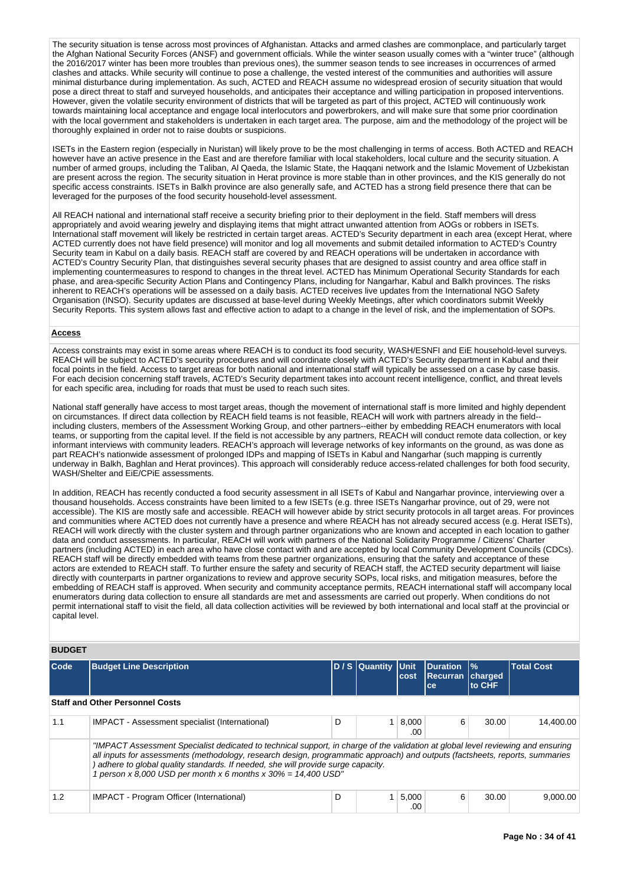The security situation is tense across most provinces of Afghanistan. Attacks and armed clashes are commonplace, and particularly target the Afghan National Security Forces (ANSF) and government officials. While the winter season usually comes with a "winter truce" (although the 2016/2017 winter has been more troubles than previous ones), the summer season tends to see increases in occurrences of armed clashes and attacks. While security will continue to pose a challenge, the vested interest of the communities and authorities will assure minimal disturbance during implementation. As such, ACTED and REACH assume no widespread erosion of security situation that would pose a direct threat to staff and surveyed households, and anticipates their acceptance and willing participation in proposed interventions. However, given the volatile security environment of districts that will be targeted as part of this project, ACTED will continuously work towards maintaining local acceptance and engage local interlocutors and powerbrokers, and will make sure that some prior coordination with the local government and stakeholders is undertaken in each target area. The purpose, aim and the methodology of the project will be thoroughly explained in order not to raise doubts or suspicions.

ISETs in the Eastern region (especially in Nuristan) will likely prove to be the most challenging in terms of access. Both ACTED and REACH however have an active presence in the East and are therefore familiar with local stakeholders, local culture and the security situation. A number of armed groups, including the Taliban, Al Qaeda, the Islamic State, the Haqqani network and the Islamic Movement of Uzbekistan are present across the region. The security situation in Herat province is more stable than in other provinces, and the KIS generally do not specific access constraints. ISETs in Balkh province are also generally safe, and ACTED has a strong field presence there that can be leveraged for the purposes of the food security household-level assessment.

All REACH national and international staff receive a security briefing prior to their deployment in the field. Staff members will dress appropriately and avoid wearing jewelry and displaying items that might attract unwanted attention from AOGs or robbers in ISETs. International staff movement will likely be restricted in certain target areas. ACTED's Security department in each area (except Herat, where ACTED currently does not have field presence) will monitor and log all movements and submit detailed information to ACTED's Country Security team in Kabul on a daily basis. REACH staff are covered by and REACH operations will be undertaken in accordance with ACTED's Country Security Plan, that distinguishes several security phases that are designed to assist country and area office staff in implementing countermeasures to respond to changes in the threat level. ACTED has Minimum Operational Security Standards for each phase, and area-specific Security Action Plans and Contingency Plans, including for Nangarhar, Kabul and Balkh provinces. The risks inherent to REACH's operations will be assessed on a daily basis. ACTED receives live updates from the International NGO Safety Organisation (INSO). Security updates are discussed at base-level during Weekly Meetings, after which coordinators submit Weekly Security Reports. This system allows fast and effective action to adapt to a change in the level of risk, and the implementation of SOPs.

#### **Access**

Access constraints may exist in some areas where REACH is to conduct its food security, WASH/ESNFI and EiE household-level surveys. REACH will be subject to ACTED's security procedures and will coordinate closely with ACTED's Security department in Kabul and their focal points in the field. Access to target areas for both national and international staff will typically be assessed on a case by case basis. For each decision concerning staff travels, ACTED's Security department takes into account recent intelligence, conflict, and threat levels for each specific area, including for roads that must be used to reach such sites.

National staff generally have access to most target areas, though the movement of international staff is more limited and highly dependent on circumstances. If direct data collection by REACH field teams is not feasible, REACH will work with partners already in the field- including clusters, members of the Assessment Working Group, and other partners--either by embedding REACH enumerators with local teams, or supporting from the capital level. If the field is not accessible by any partners, REACH will conduct remote data collection, or key informant interviews with community leaders. REACH's approach will leverage networks of key informants on the ground, as was done as part REACH's nationwide assessment of prolonged IDPs and mapping of ISETs in Kabul and Nangarhar (such mapping is currently underway in Balkh, Baghlan and Herat provinces). This approach will considerably reduce access-related challenges for both food security, WASH/Shelter and EiE/CPiE assessments.

In addition, REACH has recently conducted a food security assessment in all ISETs of Kabul and Nangarhar province, interviewing over a thousand households. Access constraints have been limited to a few ISETs (e.g. three ISETs Nangarhar province, out of 29, were not accessible). The KIS are mostly safe and accessible. REACH will however abide by strict security protocols in all target areas. For provinces and communities where ACTED does not currently have a presence and where REACH has not already secured access (e.g. Herat ISETs), REACH will work directly with the cluster system and through partner organizations who are known and accepted in each location to gather data and conduct assessments. In particular, REACH will work with partners of the National Solidarity Programme / Citizens' Charter partners (including ACTED) in each area who have close contact with and are accepted by local Community Development Councils (CDCs). REACH staff will be directly embedded with teams from these partner organizations, ensuring that the safety and acceptance of these actors are extended to REACH staff. To further ensure the safety and security of REACH staff, the ACTED security department will liaise directly with counterparts in partner organizations to review and approve security SOPs, local risks, and mitigation measures, before the embedding of REACH staff is approved. When security and community acceptance permits, REACH international staff will accompany local enumerators during data collection to ensure all standards are met and assessments are carried out properly. When conditions do not permit international staff to visit the field, all data collection activities will be reviewed by both international and local staff at the provincial or capital level.

## **BUDGET**

| Code | <b>Budget Line Description</b>                                                                                                                                                                                                                                                                                                                                                                                            |   | ID / S  Quantitv  Unit | cost         | <b>IDuration</b><br><b>Recurran charged</b><br>ce | $\frac{9}{6}$<br>to CHF | <b>Total Cost</b> |
|------|---------------------------------------------------------------------------------------------------------------------------------------------------------------------------------------------------------------------------------------------------------------------------------------------------------------------------------------------------------------------------------------------------------------------------|---|------------------------|--------------|---------------------------------------------------|-------------------------|-------------------|
|      | <b>Staff and Other Personnel Costs</b>                                                                                                                                                                                                                                                                                                                                                                                    |   |                        |              |                                                   |                         |                   |
| 1.1  | IMPACT - Assessment specialist (International)                                                                                                                                                                                                                                                                                                                                                                            | D |                        | 8,000<br>.00 | 6                                                 | 30.00                   | 14.400.00         |
|      | "IMPACT Assessment Specialist dedicated to technical support, in charge of the validation at global level reviewing and ensuring<br>all inputs for assessments (methodology, research design, programmatic approach) and outputs (factsheets, reports, summaries<br>) adhere to global quality standards. If needed, she will provide surge capacity.<br>1 person x 8,000 USD per month x 6 months x $30\% = 14,400$ USD" |   |                        |              |                                                   |                         |                   |
| 1.2  | IMPACT - Program Officer (International)                                                                                                                                                                                                                                                                                                                                                                                  | D |                        | 5,000<br>.00 | 6                                                 | 30.00                   | 9.000.00          |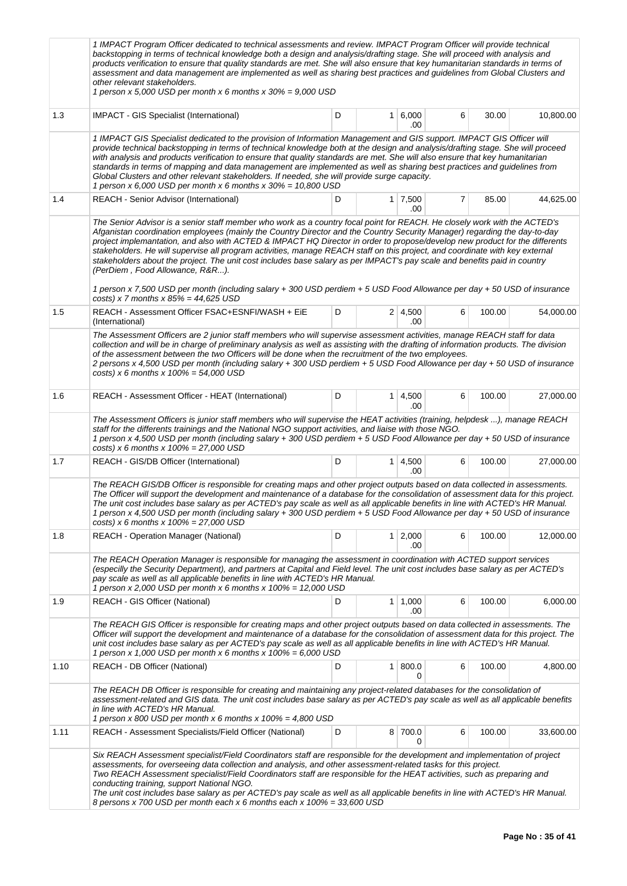|      | 1 IMPACT Program Officer dedicated to technical assessments and review. IMPACT Program Officer will provide technical<br>backstopping in terms of technical knowledge both a design and analysis/drafting stage. She will proceed with analysis and<br>products verification to ensure that quality standards are met. She will also ensure that key humanitarian standards in terms of<br>assessment and data management are implemented as well as sharing best practices and guidelines from Global Clusters and<br>other relevant stakeholders.<br>1 person x 5,000 USD per month x 6 months x $30\% = 9,000$ USD                                                                                                                                                                                                                                       |   |                             |   |        |           |
|------|-------------------------------------------------------------------------------------------------------------------------------------------------------------------------------------------------------------------------------------------------------------------------------------------------------------------------------------------------------------------------------------------------------------------------------------------------------------------------------------------------------------------------------------------------------------------------------------------------------------------------------------------------------------------------------------------------------------------------------------------------------------------------------------------------------------------------------------------------------------|---|-----------------------------|---|--------|-----------|
| 1.3  | <b>IMPACT</b> - GIS Specialist (International)                                                                                                                                                                                                                                                                                                                                                                                                                                                                                                                                                                                                                                                                                                                                                                                                              | D | $1 \ 6,000$<br>.00          | 6 | 30.00  | 10,800.00 |
|      | 1 IMPACT GIS Specialist dedicated to the provision of Information Management and GIS support. IMPACT GIS Officer will<br>provide technical backstopping in terms of technical knowledge both at the design and analysis/drafting stage. She will proceed<br>with analysis and products verification to ensure that quality standards are met. She will also ensure that key humanitarian<br>standards in terms of mapping and data management are implemented as well as sharing best practices and quidelines from<br>Global Clusters and other relevant stakeholders. If needed, she will provide surge capacity.<br>1 person x 6,000 USD per month x 6 months x $30\% = 10,800$ USD                                                                                                                                                                      |   |                             |   |        |           |
| 1.4  | REACH - Senior Advisor (International)                                                                                                                                                                                                                                                                                                                                                                                                                                                                                                                                                                                                                                                                                                                                                                                                                      | D | $1 \overline{7,500}$<br>.00 | 7 | 85.00  | 44,625.00 |
|      | The Senior Advisor is a senior staff member who work as a country focal point for REACH. He closely work with the ACTED's<br>Afganistan coordination employees (mainly the Country Director and the Country Security Manager) regarding the day-to-day<br>project implemantation, and also with ACTED & IMPACT HQ Director in order to propose/develop new product for the differents<br>stakeholders. He will supervise all program activities, manage REACH staff on this project, and coordinate with key external<br>stakeholders about the project. The unit cost includes base salary as per IMPACT's pay scale and benefits paid in country<br>(PerDiem, Food Allowance, R&R).<br>1 person x 7,500 USD per month (including salary + 300 USD perdiem + 5 USD Food Allowance per day + 50 USD of insurance<br>costs) x 7 months x $85\% = 44,625$ USD |   |                             |   |        |           |
| 1.5  | REACH - Assessment Officer FSAC+ESNFI/WASH + EiE<br>(International)                                                                                                                                                                                                                                                                                                                                                                                                                                                                                                                                                                                                                                                                                                                                                                                         | D | $2 \mid 4,500$<br>.00       | 6 | 100.00 | 54,000.00 |
|      | The Assessment Officers are 2 junior staff members who will supervise assessment activities, manage REACH staff for data<br>collection and will be in charge of preliminary analysis as well as assisting with the drafting of information products. The division<br>of the assessment between the two Officers will be done when the recruitment of the two employees.<br>2 persons x 4,500 USD per month (including salary + 300 USD perdiem + 5 USD Food Allowance per day + 50 USD of insurance<br>costs) x 6 months x $100\% = 54,000$ USD                                                                                                                                                                                                                                                                                                             |   |                             |   |        |           |
| 1.6  | REACH - Assessment Officer - HEAT (International)                                                                                                                                                                                                                                                                                                                                                                                                                                                                                                                                                                                                                                                                                                                                                                                                           | D | $1 \, 4,500$<br>.00         | 6 | 100.00 | 27,000.00 |
|      | The Assessment Officers is junior staff members who will supervise the HEAT activities (training, helpdesk ), manage REACH<br>staff for the differents trainings and the National NGO support activities, and liaise with those NGO.<br>1 person x 4,500 USD per month (including salary + 300 USD perdiem + 5 USD Food Allowance per day + 50 USD of insurance<br>costs) x 6 months x $100\% = 27,000$ USD                                                                                                                                                                                                                                                                                                                                                                                                                                                 |   |                             |   |        |           |
| 1.7  | REACH - GIS/DB Officer (International)                                                                                                                                                                                                                                                                                                                                                                                                                                                                                                                                                                                                                                                                                                                                                                                                                      | D | $1 \mid 4,500$<br>.00       | 6 | 100.00 | 27,000.00 |
|      | The REACH GIS/DB Officer is responsible for creating maps and other project outputs based on data collected in assessments.<br>The Officer will support the development and maintenance of a database for the consolidation of assessment data for this project.<br>The unit cost includes base salary as per ACTED's pay scale as well as all applicable benefits in line with ACTED's HR Manual.<br>1 person x 4,500 USD per month (including salary + 300 USD perdiem + 5 USD Food Allowance per day + 50 USD of insurance<br>costs) x 6 months x $100\% = 27,000$ USD                                                                                                                                                                                                                                                                                   |   |                             |   |        |           |
| 1.8  | REACH - Operation Manager (National)                                                                                                                                                                                                                                                                                                                                                                                                                                                                                                                                                                                                                                                                                                                                                                                                                        | D | $1 \mid 2,000$<br>.00       | 6 | 100.00 | 12,000.00 |
|      | The REACH Operation Manager is responsible for managing the assessment in coordination with ACTED support services<br>(especilly the Security Department), and partners at Capital and Field level. The unit cost includes base salary as per ACTED's<br>pay scale as well as all applicable benefits in line with ACTED's HR Manual.<br>1 person x 2,000 USD per month x 6 months x 100% = 12,000 USD                                                                                                                                                                                                                                                                                                                                                                                                                                                      |   |                             |   |        |           |
| 1.9  | REACH - GIS Officer (National)                                                                                                                                                                                                                                                                                                                                                                                                                                                                                                                                                                                                                                                                                                                                                                                                                              | D | $1 \mid 1,000$<br>.00       | 6 | 100.00 | 6,000.00  |
|      | The REACH GIS Officer is responsible for creating maps and other project outputs based on data collected in assessments. The<br>Officer will support the development and maintenance of a database for the consolidation of assessment data for this project. The<br>unit cost includes base salary as per ACTED's pay scale as well as all applicable benefits in line with ACTED's HR Manual.<br>1 person x 1,000 USD per month x 6 months x $100\% = 6,000$ USD                                                                                                                                                                                                                                                                                                                                                                                          |   |                             |   |        |           |
| 1.10 | REACH - DB Officer (National)                                                                                                                                                                                                                                                                                                                                                                                                                                                                                                                                                                                                                                                                                                                                                                                                                               | D | 1   800.0<br>0              | 6 | 100.00 | 4,800.00  |
|      | The REACH DB Officer is responsible for creating and maintaining any project-related databases for the consolidation of<br>assessment-related and GIS data. The unit cost includes base salary as per ACTED's pay scale as well as all applicable benefits<br>in line with ACTED's HR Manual.<br>1 person x 800 USD per month x 6 months x 100% = 4,800 USD                                                                                                                                                                                                                                                                                                                                                                                                                                                                                                 |   |                             |   |        |           |
| 1.11 | REACH - Assessment Specialists/Field Officer (National)                                                                                                                                                                                                                                                                                                                                                                                                                                                                                                                                                                                                                                                                                                                                                                                                     | D | 8 700.0<br>0                | 6 | 100.00 | 33,600.00 |
|      | Six REACH Assessment specialist/Field Coordinators staff are responsible for the development and implementation of project<br>assessments, for overseeing data collection and analysis, and other assessment-related tasks for this project.<br>Two REACH Assessment specialist/Field Coordinators staff are responsible for the HEAT activities, such as preparing and<br>conducting training, support National NGO.<br>The unit cost includes base salary as per ACTED's pay scale as well as all applicable benefits in line with ACTED's HR Manual.<br>8 persons x 700 USD per month each x 6 months each x $100\% = 33,600 \text{ USD}$                                                                                                                                                                                                                |   |                             |   |        |           |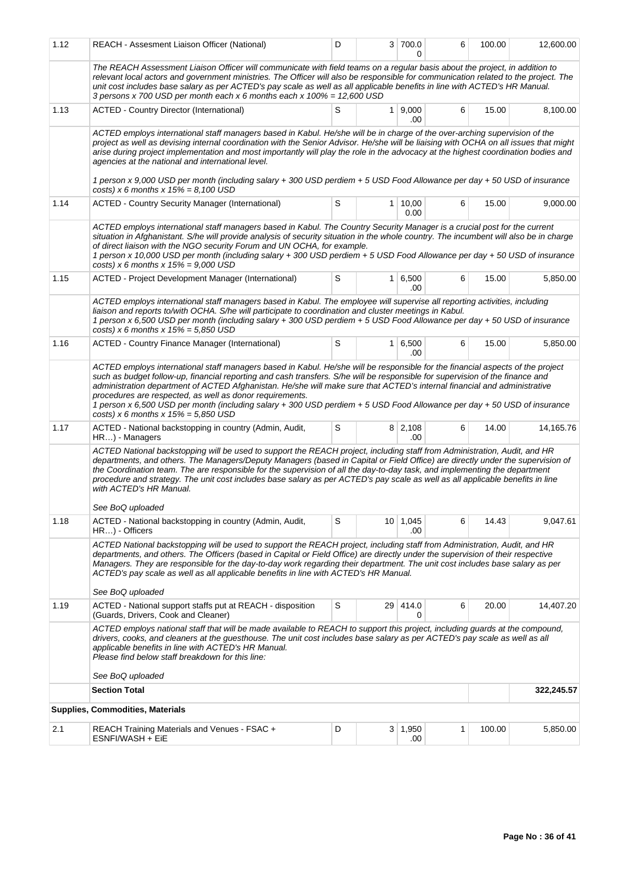| 1.12                                                                                                                                                                                                                                                                                                                                                                                                                                                                                                                | REACH - Assesment Liaison Officer (National)                                                                                                                                                                                                                                                                                                                                                                                                                                                                                                                                                                                | D |                | 3 700.0<br>0          | 6 | 100.00 | 12,600.00  |  |  |  |
|---------------------------------------------------------------------------------------------------------------------------------------------------------------------------------------------------------------------------------------------------------------------------------------------------------------------------------------------------------------------------------------------------------------------------------------------------------------------------------------------------------------------|-----------------------------------------------------------------------------------------------------------------------------------------------------------------------------------------------------------------------------------------------------------------------------------------------------------------------------------------------------------------------------------------------------------------------------------------------------------------------------------------------------------------------------------------------------------------------------------------------------------------------------|---|----------------|-----------------------|---|--------|------------|--|--|--|
|                                                                                                                                                                                                                                                                                                                                                                                                                                                                                                                     | The REACH Assessment Liaison Officer will communicate with field teams on a regular basis about the project, in addition to<br>relevant local actors and government ministries. The Officer will also be responsible for communication related to the project. The<br>unit cost includes base salary as per ACTED's pay scale as well as all applicable benefits in line with ACTED's HR Manual.<br>3 persons x 700 USD per month each x 6 months each x $100\% = 12,600$ USD                                                                                                                                               |   |                |                       |   |        |            |  |  |  |
| 1.13                                                                                                                                                                                                                                                                                                                                                                                                                                                                                                                | <b>ACTED - Country Director (International)</b>                                                                                                                                                                                                                                                                                                                                                                                                                                                                                                                                                                             | S | 1 <sup>1</sup> | 9,000<br>.00          | 6 | 15.00  | 8,100.00   |  |  |  |
|                                                                                                                                                                                                                                                                                                                                                                                                                                                                                                                     | ACTED employs international staff managers based in Kabul. He/she will be in charge of the over-arching supervision of the<br>project as well as devising internal coordination with the Senior Advisor. He/she will be liaising with OCHA on all issues that might<br>arise during project implementation and most importantly will play the role in the advocacy at the highest coordination bodies and<br>agencies at the national and international level.<br>1 person x 9,000 USD per month (including salary + 300 USD perdiem + 5 USD Food Allowance per day + 50 USD of insurance                                   |   |                |                       |   |        |            |  |  |  |
| 1.14                                                                                                                                                                                                                                                                                                                                                                                                                                                                                                                | costs) x 6 months x $15% = 8,100$ USD<br><b>ACTED - Country Security Manager (International)</b>                                                                                                                                                                                                                                                                                                                                                                                                                                                                                                                            | S |                | 1   10,00             | 6 | 15.00  | 9,000.00   |  |  |  |
|                                                                                                                                                                                                                                                                                                                                                                                                                                                                                                                     |                                                                                                                                                                                                                                                                                                                                                                                                                                                                                                                                                                                                                             |   |                | 0.00                  |   |        |            |  |  |  |
| ACTED employs international staff managers based in Kabul. The Country Security Manager is a crucial post for the current<br>situation in Afghanistant. S/he will provide analysis of security situation in the whole country. The incumbent will also be in charge<br>of direct liaison with the NGO security Forum and UN OCHA, for example.<br>1 person x 10,000 USD per month (including salary + 300 USD perdiem + 5 USD Food Allowance per day + 50 USD of insurance<br>costs) x 6 months x $15% = 9,000$ USD |                                                                                                                                                                                                                                                                                                                                                                                                                                                                                                                                                                                                                             |   |                |                       |   |        |            |  |  |  |
| 1.15                                                                                                                                                                                                                                                                                                                                                                                                                                                                                                                | ACTED - Project Development Manager (International)                                                                                                                                                                                                                                                                                                                                                                                                                                                                                                                                                                         | S |                | 1 6,500<br>.00        | 6 | 15.00  | 5,850.00   |  |  |  |
|                                                                                                                                                                                                                                                                                                                                                                                                                                                                                                                     | ACTED employs international staff managers based in Kabul. The employee will supervise all reporting activities, including<br>liaison and reports to/with OCHA. S/he will participate to coordination and cluster meetings in Kabul.<br>1 person x 6,500 USD per month (including salary + 300 USD perdiem + 5 USD Food Allowance per day + 50 USD of insurance<br>costs) x 6 months x $15\% = 5.850$ USD                                                                                                                                                                                                                   |   |                |                       |   |        |            |  |  |  |
| 1.16                                                                                                                                                                                                                                                                                                                                                                                                                                                                                                                | ACTED - Country Finance Manager (International)                                                                                                                                                                                                                                                                                                                                                                                                                                                                                                                                                                             | S | 1 <sup>1</sup> | 6,500<br>.00.         | 6 | 15.00  | 5,850.00   |  |  |  |
|                                                                                                                                                                                                                                                                                                                                                                                                                                                                                                                     | ACTED employs international staff managers based in Kabul. He/she will be responsible for the financial aspects of the project<br>such as budget follow-up, financial reporting and cash transfers. S/he will be responsible for supervision of the finance and<br>administration department of ACTED Afghanistan. He/she will make sure that ACTED's internal financial and administrative<br>procedures are respected, as well as donor requirements.<br>1 person x 6,500 USD per month (including salary + 300 USD perdiem + 5 USD Food Allowance per day + 50 USD of insurance<br>costs) x 6 months x $15% = 5,850$ USD |   |                |                       |   |        |            |  |  |  |
| 1.17                                                                                                                                                                                                                                                                                                                                                                                                                                                                                                                | ACTED - National backstopping in country (Admin, Audit,<br>HR) - Managers                                                                                                                                                                                                                                                                                                                                                                                                                                                                                                                                                   | S |                | $8 \mid 2,108$<br>.00 | 6 | 14.00  | 14,165.76  |  |  |  |
|                                                                                                                                                                                                                                                                                                                                                                                                                                                                                                                     | ACTED National backstopping will be used to support the REACH project, including staff from Administration, Audit, and HR<br>departments, and others. The Managers/Deputy Managers (based in Capital or Field Office) are directly under the supervision of<br>the Coordination team. The are responsible for the supervision of all the day-to-day task, and implementing the department<br>procedure and strategy. The unit cost includes base salary as per ACTED's pay scale as well as all applicable benefits in line<br>with ACTED's HR Manual.<br>See BoQ uploaded                                                  |   |                |                       |   |        |            |  |  |  |
| 1.18                                                                                                                                                                                                                                                                                                                                                                                                                                                                                                                | ACTED - National backstopping in country (Admin, Audit,<br>HR) - Officers                                                                                                                                                                                                                                                                                                                                                                                                                                                                                                                                                   | S |                | 10 1,045<br>.00       | 6 | 14.43  | 9,047.61   |  |  |  |
|                                                                                                                                                                                                                                                                                                                                                                                                                                                                                                                     | ACTED National backstopping will be used to support the REACH project, including staff from Administration, Audit, and HR<br>departments, and others. The Officers (based in Capital or Field Office) are directly under the supervision of their respective<br>Managers. They are responsible for the day-to-day work regarding their department. The unit cost includes base salary as per<br>ACTED's pay scale as well as all applicable benefits in line with ACTED's HR Manual.<br>See BoQ uploaded                                                                                                                    |   |                |                       |   |        |            |  |  |  |
| 1.19                                                                                                                                                                                                                                                                                                                                                                                                                                                                                                                | ACTED - National support staffs put at REACH - disposition                                                                                                                                                                                                                                                                                                                                                                                                                                                                                                                                                                  | S |                | 29 414.0              | 6 | 20.00  | 14,407.20  |  |  |  |
|                                                                                                                                                                                                                                                                                                                                                                                                                                                                                                                     | (Guards, Drivers, Cook and Cleaner)<br>ACTED employs national staff that will be made available to REACH to support this project, including guards at the compound,<br>drivers, cooks, and cleaners at the guesthouse. The unit cost includes base salary as per ACTED's pay scale as well as all<br>applicable benefits in line with ACTED's HR Manual.<br>Please find below staff breakdown for this line:<br>See BoQ uploaded                                                                                                                                                                                            |   |                | 0                     |   |        |            |  |  |  |
|                                                                                                                                                                                                                                                                                                                                                                                                                                                                                                                     | <b>Section Total</b>                                                                                                                                                                                                                                                                                                                                                                                                                                                                                                                                                                                                        |   |                |                       |   |        | 322,245.57 |  |  |  |
|                                                                                                                                                                                                                                                                                                                                                                                                                                                                                                                     | Supplies, Commodities, Materials                                                                                                                                                                                                                                                                                                                                                                                                                                                                                                                                                                                            |   |                |                       |   |        |            |  |  |  |
| 2.1                                                                                                                                                                                                                                                                                                                                                                                                                                                                                                                 | REACH Training Materials and Venues - FSAC +<br>ESNFI/WASH + EiE                                                                                                                                                                                                                                                                                                                                                                                                                                                                                                                                                            | D |                | 3   1,950<br>.00      | 1 | 100.00 | 5,850.00   |  |  |  |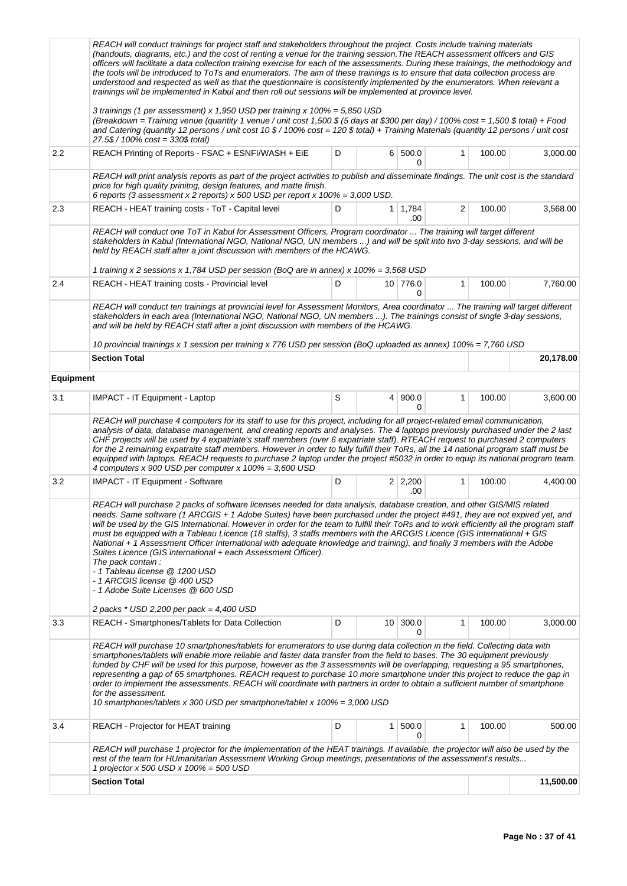|                  | REACH will conduct trainings for project staff and stakeholders throughout the project. Costs include training materials<br>(handouts, diagrams, etc.) and the cost of renting a venue for the training session. The REACH assessment officers and GIS<br>officers will facilitate a data collection training exercise for each of the assessments. During these trainings, the methodology and<br>the tools will be introduced to ToTs and enumerators. The aim of these trainings is to ensure that data collection process are<br>understood and respected as well as that the questionnaire is consistently implemented by the enumerators. When relevant a<br>trainings will be implemented in Kabul and then roll out sessions will be implemented at province level.                                                                             |   |                 |                       |              |        |           |
|------------------|---------------------------------------------------------------------------------------------------------------------------------------------------------------------------------------------------------------------------------------------------------------------------------------------------------------------------------------------------------------------------------------------------------------------------------------------------------------------------------------------------------------------------------------------------------------------------------------------------------------------------------------------------------------------------------------------------------------------------------------------------------------------------------------------------------------------------------------------------------|---|-----------------|-----------------------|--------------|--------|-----------|
|                  | 3 trainings (1 per assessment) x 1,950 USD per training x 100% = 5,850 USD<br>(Breakdown = Training venue (quantity 1 venue / unit cost 1,500 \$ (5 days at \$300 per day) / 100% cost = 1,500 \$ total) + Food<br>and Catering (quantity 12 persons / unit cost 10 \$ / 100% cost = 120 \$ total) + Training Materials (quantity 12 persons / unit cost<br>27.5\$ / 100% cost = 330\$ total)                                                                                                                                                                                                                                                                                                                                                                                                                                                           |   |                 |                       |              |        |           |
| 2.2              | REACH Printing of Reports - FSAC + ESNFI/WASH + EiE                                                                                                                                                                                                                                                                                                                                                                                                                                                                                                                                                                                                                                                                                                                                                                                                     | D |                 | 6 500.0<br>0          | 1            | 100.00 | 3,000.00  |
|                  | REACH will print analysis reports as part of the project activities to publish and disseminate findings. The unit cost is the standard<br>price for high quality prinitng, design features, and matte finish.<br>6 reports (3 assessment x 2 reports) x 500 USD per report x 100% = 3,000 USD.                                                                                                                                                                                                                                                                                                                                                                                                                                                                                                                                                          |   |                 |                       |              |        |           |
| 2.3              | REACH - HEAT training costs - ToT - Capital level                                                                                                                                                                                                                                                                                                                                                                                                                                                                                                                                                                                                                                                                                                                                                                                                       | D | 1               | 1,784<br>.00          | 2            | 100.00 | 3,568.00  |
|                  | REACH will conduct one ToT in Kabul for Assessment Officers, Program coordinator  The training will target different<br>stakeholders in Kabul (International NGO, National NGO, UN members ) and will be split into two 3-day sessions, and will be<br>held by REACH staff after a joint discussion with members of the HCAWG.                                                                                                                                                                                                                                                                                                                                                                                                                                                                                                                          |   |                 |                       |              |        |           |
|                  | 1 training x 2 sessions x 1,784 USD per session (BoQ are in annex) x 100% = 3,568 USD                                                                                                                                                                                                                                                                                                                                                                                                                                                                                                                                                                                                                                                                                                                                                                   |   |                 |                       |              |        |           |
| 2.4              | REACH - HEAT training costs - Provincial level                                                                                                                                                                                                                                                                                                                                                                                                                                                                                                                                                                                                                                                                                                                                                                                                          | D |                 | 10 776.0<br>0         | $\mathbf{1}$ | 100.00 | 7,760.00  |
|                  | REACH will conduct ten trainings at provincial level for Assessment Monitors, Area coordinator  The training will target different<br>stakeholders in each area (International NGO, National NGO, UN members ). The trainings consist of single 3-day sessions,<br>and will be held by REACH staff after a joint discussion with members of the HCAWG.                                                                                                                                                                                                                                                                                                                                                                                                                                                                                                  |   |                 |                       |              |        |           |
|                  | 10 provincial trainings x 1 session per training x 776 USD per session (BoQ uploaded as annex) 100% = 7,760 USD<br><b>Section Total</b>                                                                                                                                                                                                                                                                                                                                                                                                                                                                                                                                                                                                                                                                                                                 |   |                 |                       |              |        | 20,178.00 |
| <b>Equipment</b> |                                                                                                                                                                                                                                                                                                                                                                                                                                                                                                                                                                                                                                                                                                                                                                                                                                                         |   |                 |                       |              |        |           |
|                  |                                                                                                                                                                                                                                                                                                                                                                                                                                                                                                                                                                                                                                                                                                                                                                                                                                                         |   |                 |                       |              |        |           |
| 3.1              | IMPACT - IT Equipment - Laptop                                                                                                                                                                                                                                                                                                                                                                                                                                                                                                                                                                                                                                                                                                                                                                                                                          | S |                 | 4   900.0<br>0        | $\mathbf{1}$ | 100.00 | 3,600.00  |
|                  | REACH will purchase 4 computers for its staff to use for this project, including for all project-related email communication,<br>analysis of data, database management, and creating reports and analyses. The 4 laptops previously purchased under the 2 last<br>CHF projects will be used by 4 expatriate's staff members (over 6 expatriate staff). RTEACH request to purchased 2 computers<br>for the 2 remaining expatraite staff members. However in order to fully fulfill their ToRs, all the 14 national program staff must be<br>equipped with laptops. REACH requests to purchase 2 laptop under the project #5032 in order to equip its national program team.<br>4 computers x 900 USD per computer x $100\% = 3,600$ USD                                                                                                                  |   |                 |                       |              |        |           |
| 3.2              | <b>IMPACT - IT Equipment - Software</b>                                                                                                                                                                                                                                                                                                                                                                                                                                                                                                                                                                                                                                                                                                                                                                                                                 | D |                 | $2 \mid 2,200$<br>.00 | 1            | 100.00 | 4,400.00  |
|                  | REACH will purchase 2 packs of software licenses needed for data analysis, database creation, and other GIS/MIS related<br>needs. Same software (1 ARCGIS + 1 Adobe Suites) have been purchased under the project #491, they are not expired yet, and<br>will be used by the GIS International. However in order for the team to fulfill their ToRs and to work efficiently all the program staff<br>must be equipped with a Tableau Licence (18 staffs), 3 staffs members with the ARCGIS Licence (GIS International + GIS<br>National + 1 Assessment Officer International with adequate knowledge and training), and finally 3 members with the Adobe<br>Suites Licence (GIS international + each Assessment Officer).<br>The pack contain :<br>- 1 Tableau license @ 1200 USD<br>- 1 ARCGIS license @ 400 USD<br>- 1 Adobe Suite Licenses @ 600 USD |   |                 |                       |              |        |           |
|                  | 2 packs * USD 2,200 per pack = 4,400 USD                                                                                                                                                                                                                                                                                                                                                                                                                                                                                                                                                                                                                                                                                                                                                                                                                | D |                 | 300.0                 | 1            | 100.00 | 3,000.00  |
| 3.3              | REACH - Smartphones/Tablets for Data Collection                                                                                                                                                                                                                                                                                                                                                                                                                                                                                                                                                                                                                                                                                                                                                                                                         |   | 10 <sup>1</sup> | 0                     |              |        |           |
|                  | REACH will purchase 10 smartphones/tablets for enumerators to use during data collection in the field. Collecting data with<br>smartphones/tablets will enable more reliable and faster data transfer from the field to bases. The 30 equipment previously<br>funded by CHF will be used for this purpose, however as the 3 assessments will be overlapping, requesting a 95 smartphones,<br>representing a gap of 65 smartphones. REACH request to purchase 10 more smartphone under this project to reduce the gap in<br>order to implement the assessments. REACH will coordinate with partners in order to obtain a sufficient number of smartphone<br>for the assessment.<br>10 smartphones/tablets x 300 USD per smartphone/tablet x 100% = 3,000 USD                                                                                             |   |                 |                       |              |        |           |
| 3.4              | REACH - Projector for HEAT training                                                                                                                                                                                                                                                                                                                                                                                                                                                                                                                                                                                                                                                                                                                                                                                                                     | D | 1               | 500.0<br>0            | 1            | 100.00 | 500.00    |
|                  | REACH will purchase 1 projector for the implementation of the HEAT trainings. If available, the projector will also be used by the<br>rest of the team for HUmanitarian Assessment Working Group meetings, presentations of the assessment's results<br>1 projector x 500 USD x 100% = 500 USD                                                                                                                                                                                                                                                                                                                                                                                                                                                                                                                                                          |   |                 |                       |              |        |           |
|                  | <b>Section Total</b>                                                                                                                                                                                                                                                                                                                                                                                                                                                                                                                                                                                                                                                                                                                                                                                                                                    |   |                 |                       |              |        | 11,500.00 |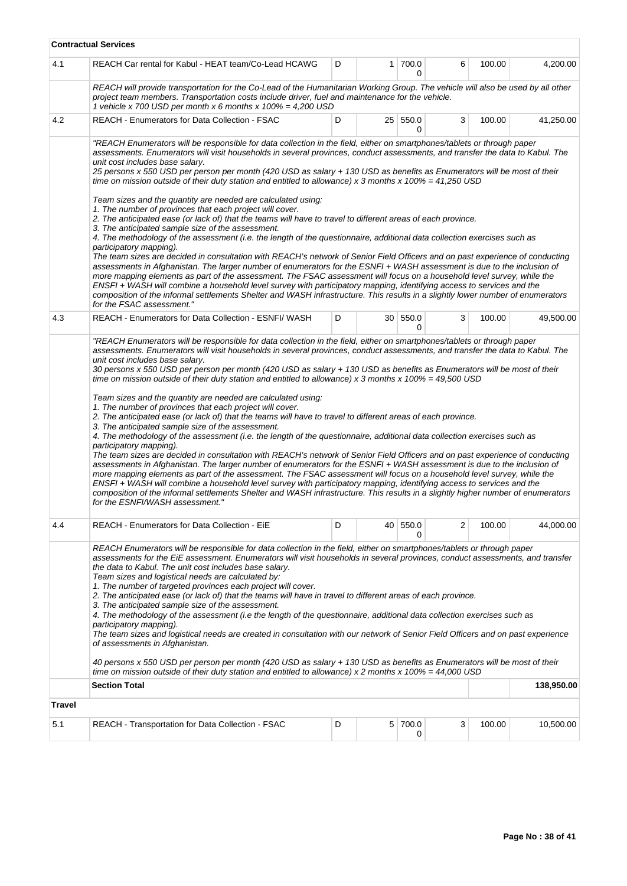|        | <b>Contractual Services</b>                                                                                                                                                                                                                                                                                                                                                                                                                                                                                                                                                                                                                                                                                                                                                                                                                                                                                                                                                                                                                                                                                                                                                                                                                                                                                                                                                                                                                                                                                                                          |   |      |               |   |        |            |
|--------|------------------------------------------------------------------------------------------------------------------------------------------------------------------------------------------------------------------------------------------------------------------------------------------------------------------------------------------------------------------------------------------------------------------------------------------------------------------------------------------------------------------------------------------------------------------------------------------------------------------------------------------------------------------------------------------------------------------------------------------------------------------------------------------------------------------------------------------------------------------------------------------------------------------------------------------------------------------------------------------------------------------------------------------------------------------------------------------------------------------------------------------------------------------------------------------------------------------------------------------------------------------------------------------------------------------------------------------------------------------------------------------------------------------------------------------------------------------------------------------------------------------------------------------------------|---|------|---------------|---|--------|------------|
| 4.1    | REACH Car rental for Kabul - HEAT team/Co-Lead HCAWG                                                                                                                                                                                                                                                                                                                                                                                                                                                                                                                                                                                                                                                                                                                                                                                                                                                                                                                                                                                                                                                                                                                                                                                                                                                                                                                                                                                                                                                                                                 | D |      | 1 700.0<br>0  | 6 | 100.00 | 4,200.00   |
|        | REACH will provide transportation for the Co-Lead of the Humanitarian Working Group. The vehicle will also be used by all other<br>project team members. Transportation costs include driver, fuel and maintenance for the vehicle.<br>1 vehicle x 700 USD per month x 6 months x $100\% = 4,200$ USD                                                                                                                                                                                                                                                                                                                                                                                                                                                                                                                                                                                                                                                                                                                                                                                                                                                                                                                                                                                                                                                                                                                                                                                                                                                |   |      |               |   |        |            |
| 4.2    | <b>REACH - Enumerators for Data Collection - FSAC</b>                                                                                                                                                                                                                                                                                                                                                                                                                                                                                                                                                                                                                                                                                                                                                                                                                                                                                                                                                                                                                                                                                                                                                                                                                                                                                                                                                                                                                                                                                                | D |      | 25 550.0<br>0 | 3 | 100.00 | 41,250.00  |
|        | "REACH Enumerators will be responsible for data collection in the field, either on smartphones/tablets or through paper<br>assessments. Enumerators will visit households in several provinces, conduct assessments, and transfer the data to Kabul. The<br>unit cost includes base salary.<br>25 persons x 550 USD per person per month (420 USD as salary + 130 USD as benefits as Enumerators will be most of their<br>time on mission outside of their duty station and entitled to allowance) x 3 months x $100\% = 41.250$ USD                                                                                                                                                                                                                                                                                                                                                                                                                                                                                                                                                                                                                                                                                                                                                                                                                                                                                                                                                                                                                 |   |      |               |   |        |            |
|        | Team sizes and the quantity are needed are calculated using:<br>1. The number of provinces that each project will cover.<br>2. The anticipated ease (or lack of) that the teams will have to travel to different areas of each province.<br>3. The anticipated sample size of the assessment.<br>4. The methodology of the assessment (i.e. the length of the questionnaire, additional data collection exercises such as<br>participatory mapping).<br>The team sizes are decided in consultation with REACH's network of Senior Field Officers and on past experience of conducting<br>assessments in Afghanistan. The larger number of enumerators for the ESNFI + WASH assessment is due to the inclusion of<br>more mapping elements as part of the assessment. The FSAC assessment will focus on a household level survey, while the<br>ENSFI + WASH will combine a household level survey with participatory mapping, identifying access to services and the<br>composition of the informal settlements Shelter and WASH infrastructure. This results in a slightly lower number of enumerators<br>for the FSAC assessment."                                                                                                                                                                                                                                                                                                                                                                                                                  |   |      |               |   |        |            |
| 4.3    | REACH - Enumerators for Data Collection - ESNFI/ WASH                                                                                                                                                                                                                                                                                                                                                                                                                                                                                                                                                                                                                                                                                                                                                                                                                                                                                                                                                                                                                                                                                                                                                                                                                                                                                                                                                                                                                                                                                                | D |      | 30 550.0<br>0 | 3 | 100.00 | 49,500.00  |
|        | assessments. Enumerators will visit households in several provinces, conduct assessments, and transfer the data to Kabul. The<br>unit cost includes base salary.<br>30 persons x 550 USD per person per month (420 USD as salary + 130 USD as benefits as Enumerators will be most of their<br>time on mission outside of their duty station and entitled to allowance) x 3 months x 100% = 49,500 USD<br>Team sizes and the quantity are needed are calculated using:<br>1. The number of provinces that each project will cover.<br>2. The anticipated ease (or lack of) that the teams will have to travel to different areas of each province.<br>3. The anticipated sample size of the assessment.<br>4. The methodology of the assessment (i.e. the length of the questionnaire, additional data collection exercises such as<br>participatory mapping).<br>The team sizes are decided in consultation with REACH's network of Senior Field Officers and on past experience of conducting<br>assessments in Afghanistan. The larger number of enumerators for the ESNFI + WASH assessment is due to the inclusion of<br>more mapping elements as part of the assessment. The FSAC assessment will focus on a household level survey, while the<br>ENSFI + WASH will combine a household level survey with participatory mapping, identifying access to services and the<br>composition of the informal settlements Shelter and WASH infrastructure. This results in a slightly higher number of enumerators<br>for the ESNFI/WASH assessment." |   |      |               |   |        |            |
| 4.4    | REACH - Enumerators for Data Collection - EiE                                                                                                                                                                                                                                                                                                                                                                                                                                                                                                                                                                                                                                                                                                                                                                                                                                                                                                                                                                                                                                                                                                                                                                                                                                                                                                                                                                                                                                                                                                        | D | 40 l | 550.0         | 2 | 100.00 | 44,000.00  |
|        | REACH Enumerators will be responsible for data collection in the field, either on smartphones/tablets or through paper<br>assessments for the EiE assessment. Enumerators will visit households in several provinces, conduct assessments, and transfer<br>the data to Kabul. The unit cost includes base salary.<br>Team sizes and logistical needs are calculated by:<br>1. The number of targeted provinces each project will cover.<br>2. The anticipated ease (or lack of) that the teams will have in travel to different areas of each province.<br>3. The anticipated sample size of the assessment.<br>4. The methodology of the assessment (i.e the length of the questionnaire, additional data collection exercises such as<br>participatory mapping).<br>The team sizes and logistical needs are created in consultation with our network of Senior Field Officers and on past experience<br>of assessments in Afghanistan.<br>40 persons x 550 USD per person per month (420 USD as salary + 130 USD as benefits as Enumerators will be most of their<br>time on mission outside of their duty station and entitled to allowance) x 2 months x 100% = 44,000 USD<br><b>Section Total</b>                                                                                                                                                                                                                                                                                                                                               |   |      |               |   |        | 138,950.00 |
| Travel |                                                                                                                                                                                                                                                                                                                                                                                                                                                                                                                                                                                                                                                                                                                                                                                                                                                                                                                                                                                                                                                                                                                                                                                                                                                                                                                                                                                                                                                                                                                                                      |   |      |               |   |        |            |
| 5.1    | REACH - Transportation for Data Collection - FSAC                                                                                                                                                                                                                                                                                                                                                                                                                                                                                                                                                                                                                                                                                                                                                                                                                                                                                                                                                                                                                                                                                                                                                                                                                                                                                                                                                                                                                                                                                                    | D |      | 5 700.0       | 3 | 100.00 | 10,500.00  |
|        |                                                                                                                                                                                                                                                                                                                                                                                                                                                                                                                                                                                                                                                                                                                                                                                                                                                                                                                                                                                                                                                                                                                                                                                                                                                                                                                                                                                                                                                                                                                                                      |   |      | 0             |   |        |            |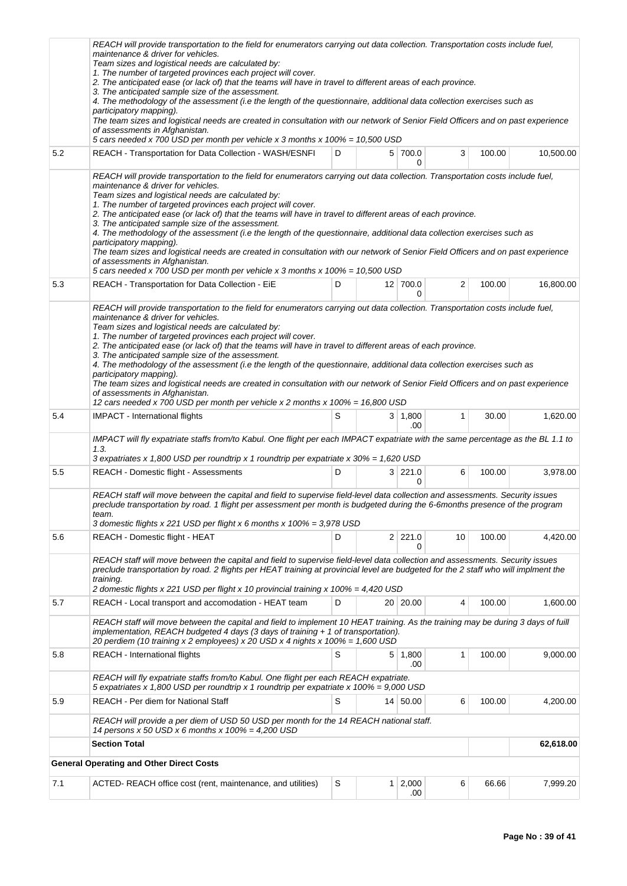|     | REACH will provide transportation to the field for enumerators carrying out data collection. Transportation costs include fuel,<br>maintenance & driver for vehicles.<br>Team sizes and logistical needs are calculated by:<br>1. The number of targeted provinces each project will cover.<br>2. The anticipated ease (or lack of) that the teams will have in travel to different areas of each province.<br>3. The anticipated sample size of the assessment.<br>4. The methodology of the assessment (i.e the length of the questionnaire, additional data collection exercises such as<br>participatory mapping).                                                                                                                                                                                                                                                        |   |              |                       |    |        |           |  |  |  |
|-----|-------------------------------------------------------------------------------------------------------------------------------------------------------------------------------------------------------------------------------------------------------------------------------------------------------------------------------------------------------------------------------------------------------------------------------------------------------------------------------------------------------------------------------------------------------------------------------------------------------------------------------------------------------------------------------------------------------------------------------------------------------------------------------------------------------------------------------------------------------------------------------|---|--------------|-----------------------|----|--------|-----------|--|--|--|
|     | The team sizes and logistical needs are created in consultation with our network of Senior Field Officers and on past experience<br>of assessments in Afghanistan.<br>5 cars needed x 700 USD per month per vehicle x 3 months x 100% = 10,500 USD                                                                                                                                                                                                                                                                                                                                                                                                                                                                                                                                                                                                                            |   |              |                       |    |        |           |  |  |  |
| 5.2 | REACH - Transportation for Data Collection - WASH/ESNFI                                                                                                                                                                                                                                                                                                                                                                                                                                                                                                                                                                                                                                                                                                                                                                                                                       | D |              | 5 700.0<br>0          | 3  | 100.00 | 10,500.00 |  |  |  |
|     | REACH will provide transportation to the field for enumerators carrying out data collection. Transportation costs include fuel,<br>maintenance & driver for vehicles.<br>Team sizes and logistical needs are calculated by:<br>1. The number of targeted provinces each project will cover.<br>2. The anticipated ease (or lack of) that the teams will have in travel to different areas of each province.<br>3. The anticipated sample size of the assessment.<br>4. The methodology of the assessment (i.e the length of the questionnaire, additional data collection exercises such as<br>participatory mapping).<br>The team sizes and logistical needs are created in consultation with our network of Senior Field Officers and on past experience<br>of assessments in Afghanistan.<br>5 cars needed x 700 USD per month per vehicle x 3 months x 100% = 10,500 USD  |   |              |                       |    |        |           |  |  |  |
| 5.3 | REACH - Transportation for Data Collection - EiE                                                                                                                                                                                                                                                                                                                                                                                                                                                                                                                                                                                                                                                                                                                                                                                                                              | D |              | 12 700.0<br>0         | 2  | 100.00 | 16,800.00 |  |  |  |
|     | REACH will provide transportation to the field for enumerators carrying out data collection. Transportation costs include fuel,<br>maintenance & driver for vehicles.<br>Team sizes and logistical needs are calculated by:<br>1. The number of targeted provinces each project will cover.<br>2. The anticipated ease (or lack of) that the teams will have in travel to different areas of each province.<br>3. The anticipated sample size of the assessment.<br>4. The methodology of the assessment (i.e the length of the questionnaire, additional data collection exercises such as<br>participatory mapping).<br>The team sizes and logistical needs are created in consultation with our network of Senior Field Officers and on past experience<br>of assessments in Afghanistan.<br>12 cars needed x 700 USD per month per vehicle x 2 months x 100% = 16,800 USD |   |              |                       |    |        |           |  |  |  |
| 5.4 | <b>IMPACT</b> - International flights                                                                                                                                                                                                                                                                                                                                                                                                                                                                                                                                                                                                                                                                                                                                                                                                                                         | S |              | $3 \mid 1,800$<br>.00 | 1  | 30.00  | 1,620.00  |  |  |  |
|     | IMPACT will fly expatriate staffs from/to Kabul. One flight per each IMPACT expatriate with the same percentage as the BL 1.1 to<br>1.3.<br>3 expatriates x 1,800 USD per roundtrip x 1 roundtrip per expatriate x 30% = 1,620 USD                                                                                                                                                                                                                                                                                                                                                                                                                                                                                                                                                                                                                                            |   |              |                       |    |        |           |  |  |  |
| 5.5 | REACH - Domestic flight - Assessments                                                                                                                                                                                                                                                                                                                                                                                                                                                                                                                                                                                                                                                                                                                                                                                                                                         | D |              | 3 221.0<br>0          | 6  | 100.00 | 3,978.00  |  |  |  |
|     | REACH staff will move between the capital and field to supervise field-level data collection and assessments. Security issues<br>preclude transportation by road. 1 flight per assessment per month is budgeted during the 6-6months presence of the program<br>team.<br>3 domestic flights x 221 USD per flight x 6 months x 100% = 3,978 USD                                                                                                                                                                                                                                                                                                                                                                                                                                                                                                                                |   |              |                       |    |        |           |  |  |  |
| 5.6 | <b>REACH - Domestic flight - HEAT</b>                                                                                                                                                                                                                                                                                                                                                                                                                                                                                                                                                                                                                                                                                                                                                                                                                                         | D |              | $2 \mid 221.0$        | 10 | 100.00 | 4,420.00  |  |  |  |
|     | REACH staff will move between the capital and field to supervise field-level data collection and assessments. Security issues<br>preclude transportation by road. 2 flights per HEAT training at provincial level are budgeted for the 2 staff who will implment the<br>training.<br>2 domestic flights x 221 USD per flight x 10 provincial training x 100% = 4,420 USD                                                                                                                                                                                                                                                                                                                                                                                                                                                                                                      |   |              |                       |    |        |           |  |  |  |
| 5.7 | REACH - Local transport and accomodation - HEAT team                                                                                                                                                                                                                                                                                                                                                                                                                                                                                                                                                                                                                                                                                                                                                                                                                          | D |              | 20 20.00              | 4  | 100.00 | 1,600.00  |  |  |  |
|     | REACH staff will move between the capital and field to implement 10 HEAT training. As the training may be during 3 days of fuill<br>implementation, REACH budgeted 4 days (3 days of training $+1$ of transportation).<br>20 perdiem (10 training x 2 employees) x 20 USD x 4 nights x 100% = 1,600 USD                                                                                                                                                                                                                                                                                                                                                                                                                                                                                                                                                                       |   |              |                       |    |        |           |  |  |  |
| 5.8 | <b>REACH</b> - International flights                                                                                                                                                                                                                                                                                                                                                                                                                                                                                                                                                                                                                                                                                                                                                                                                                                          | S |              | $5 \mid 1,800$<br>.00 | 1  | 100.00 | 9,000.00  |  |  |  |
|     | REACH will fly expatriate staffs from/to Kabul. One flight per each REACH expatriate.<br>5 expatriates x 1,800 USD per roundtrip x 1 roundtrip per expatriate x 100% = 9,000 USD                                                                                                                                                                                                                                                                                                                                                                                                                                                                                                                                                                                                                                                                                              |   |              |                       |    |        |           |  |  |  |
| 5.9 | <b>REACH - Per diem for National Staff</b>                                                                                                                                                                                                                                                                                                                                                                                                                                                                                                                                                                                                                                                                                                                                                                                                                                    | S |              | 14 50.00              | 6  | 100.00 | 4,200.00  |  |  |  |
|     | REACH will provide a per diem of USD 50 USD per month for the 14 REACH national staff.<br>14 persons x 50 USD x 6 months x $100\% = 4,200$ USD                                                                                                                                                                                                                                                                                                                                                                                                                                                                                                                                                                                                                                                                                                                                |   |              |                       |    |        |           |  |  |  |
|     | <b>Section Total</b>                                                                                                                                                                                                                                                                                                                                                                                                                                                                                                                                                                                                                                                                                                                                                                                                                                                          |   |              |                       |    |        | 62,618.00 |  |  |  |
|     | <b>General Operating and Other Direct Costs</b>                                                                                                                                                                                                                                                                                                                                                                                                                                                                                                                                                                                                                                                                                                                                                                                                                               |   |              |                       |    |        |           |  |  |  |
| 7.1 | ACTED-REACH office cost (rent, maintenance, and utilities)                                                                                                                                                                                                                                                                                                                                                                                                                                                                                                                                                                                                                                                                                                                                                                                                                    | S | $\mathbf{1}$ | 2,000<br>.00          | 6  | 66.66  | 7,999.20  |  |  |  |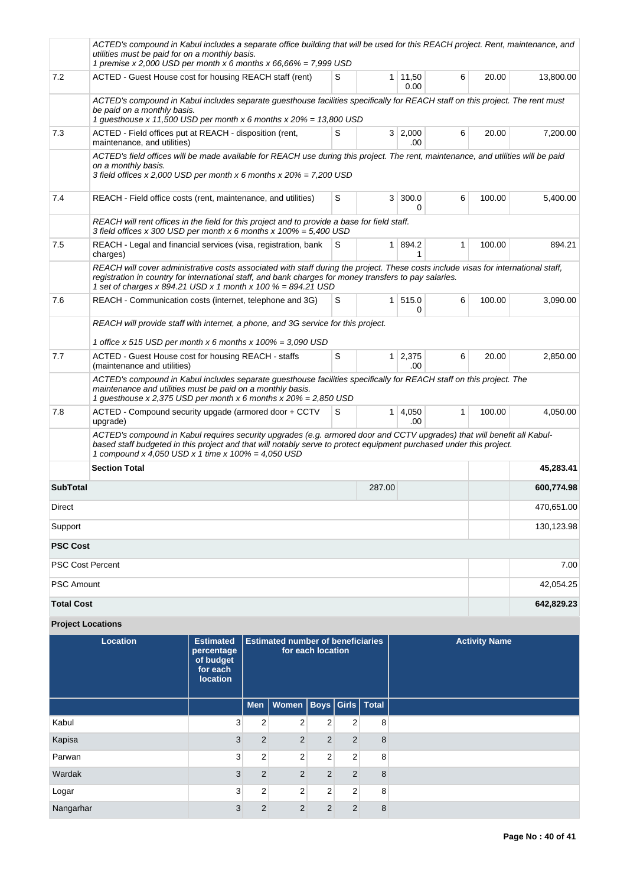|                   | ACTED's compound in Kabul includes a separate office building that will be used for this REACH project. Rent, maintenance, and<br>utilities must be paid for on a monthly basis.<br>1 premise x 2,000 USD per month x 6 months x $66,66\% = 7,999$ USD                                                       |            |                |                |   |        |            |  |  |
|-------------------|--------------------------------------------------------------------------------------------------------------------------------------------------------------------------------------------------------------------------------------------------------------------------------------------------------------|------------|----------------|----------------|---|--------|------------|--|--|
| 7.2               | ACTED - Guest House cost for housing REACH staff (rent)                                                                                                                                                                                                                                                      | S          | 1              | 11,50<br>0.00  | 6 | 20.00  | 13,800.00  |  |  |
|                   | ACTED's compound in Kabul includes separate questhouse facilities specifically for REACH staff on this project. The rent must<br>be paid on a monthly basis.<br>1 guesthouse x 11,500 USD per month x 6 months x $20\% = 13,800$ USD                                                                         |            |                |                |   |        |            |  |  |
| 7.3               | ACTED - Field offices put at REACH - disposition (rent,<br>maintenance, and utilities)                                                                                                                                                                                                                       | S          |                | 3 2,000<br>.00 | 6 | 20.00  | 7,200.00   |  |  |
|                   | ACTED's field offices will be made available for REACH use during this project. The rent, maintenance, and utilities will be paid<br>on a monthly basis.<br>3 field offices x 2,000 USD per month x 6 months x $20\% = 7,200$ USD                                                                            |            |                |                |   |        |            |  |  |
| 7.4               | REACH - Field office costs (rent, maintenance, and utilities)                                                                                                                                                                                                                                                | S          | 3 <sup>1</sup> | 300.0<br>0     | 6 | 100.00 | 5,400.00   |  |  |
|                   | REACH will rent offices in the field for this project and to provide a base for field staff.<br>3 field offices x 300 USD per month x 6 months x $100\% = 5,400$ USD                                                                                                                                         |            |                |                |   |        |            |  |  |
| 7.5               | REACH - Legal and financial services (visa, registration, bank<br>charges)                                                                                                                                                                                                                                   | S          | 1              | 894.2<br>1     | 1 | 100.00 | 894.21     |  |  |
|                   | REACH will cover administrative costs associated with staff during the project. These costs include visas for international staff,<br>registration in country for international staff, and bank charges for money transfers to pay salaries.<br>1 set of charges x 894.21 USD x 1 month x 100 % = 894.21 USD |            |                |                |   |        |            |  |  |
| 7.6               | REACH - Communication costs (internet, telephone and 3G)                                                                                                                                                                                                                                                     | S          | 1 <sup>1</sup> | 515.0<br>0     | 6 | 100.00 | 3,090.00   |  |  |
|                   | REACH will provide staff with internet, a phone, and 3G service for this project.<br>1 office x 515 USD per month x 6 months x $100\% = 3,090$ USD                                                                                                                                                           |            |                |                |   |        |            |  |  |
| 7.7               | ACTED - Guest House cost for housing REACH - staffs<br>(maintenance and utilities)                                                                                                                                                                                                                           | S          | 1 <sup>1</sup> | 2,375<br>.00   | 6 | 20.00  | 2,850.00   |  |  |
|                   | ACTED's compound in Kabul includes separate guesthouse facilities specifically for REACH staff on this project. The<br>maintenance and utilities must be paid on a monthly basis.<br>1 guesthouse x 2,375 USD per month x 6 months x 20% = 2,850 USD                                                         |            |                |                |   |        |            |  |  |
| 7.8               | ACTED - Compound security upgade (armored door + CCTV<br>upgrade)                                                                                                                                                                                                                                            | S          | 1              | 4,050<br>.00   | 1 | 100.00 | 4,050.00   |  |  |
|                   | ACTED's compound in Kabul requires security upgrades (e.g. armored door and CCTV upgrades) that will benefit all Kabul-<br>based staff budgeted in this project and that will notably serve to protect equipment purchased under this project.<br>1 compound x 4,050 USD x 1 time x 100% = 4,050 USD         |            |                |                |   |        |            |  |  |
|                   | <b>Section Total</b>                                                                                                                                                                                                                                                                                         |            |                |                |   |        | 45,283.41  |  |  |
| <b>SubTotal</b>   |                                                                                                                                                                                                                                                                                                              | 600,774.98 |                |                |   |        |            |  |  |
| Direct            |                                                                                                                                                                                                                                                                                                              | 470,651.00 |                |                |   |        |            |  |  |
| Support           |                                                                                                                                                                                                                                                                                                              |            |                |                |   |        | 130,123.98 |  |  |
| <b>PSC Cost</b>   |                                                                                                                                                                                                                                                                                                              |            |                |                |   |        |            |  |  |
|                   | PSC Cost Percent                                                                                                                                                                                                                                                                                             |            |                |                |   |        |            |  |  |
| PSC Amount        |                                                                                                                                                                                                                                                                                                              |            |                |                |   |        | 42,054.25  |  |  |
| <b>Total Cost</b> |                                                                                                                                                                                                                                                                                                              |            |                |                |   |        | 642,829.23 |  |  |

## **Project Locations**

| <b>Location</b> | <b>Estimated</b><br>percentage<br>of budget<br>for each<br>location | <b>Estimated number of beneficiaries</b><br>for each location |                                    |                |                |   | <b>Activity Name</b> |
|-----------------|---------------------------------------------------------------------|---------------------------------------------------------------|------------------------------------|----------------|----------------|---|----------------------|
|                 |                                                                     |                                                               | Men   Women   Boys   Girls   Total |                |                |   |                      |
| Kabul           | 3                                                                   | $\overline{2}$                                                | $\overline{2}$                     | $\overline{2}$ | 2              | 8 |                      |
| Kapisa          | 3                                                                   | $\overline{2}$                                                | $\overline{2}$                     | $\overline{2}$ | $\overline{2}$ | 8 |                      |
| Parwan          | 3                                                                   | $\overline{2}$                                                | $\overline{2}$                     | $\overline{2}$ | $\overline{2}$ | 8 |                      |
| Wardak          | 3                                                                   | $\overline{2}$                                                | $\overline{2}$                     | $\overline{2}$ | $\overline{2}$ | 8 |                      |
| Logar           | 3                                                                   | $\overline{2}$                                                | 2                                  | $\overline{2}$ | 2              | 8 |                      |
| Nangarhar       | 3                                                                   | $\overline{2}$                                                | $\overline{2}$                     | $\overline{2}$ | $\overline{2}$ | 8 |                      |